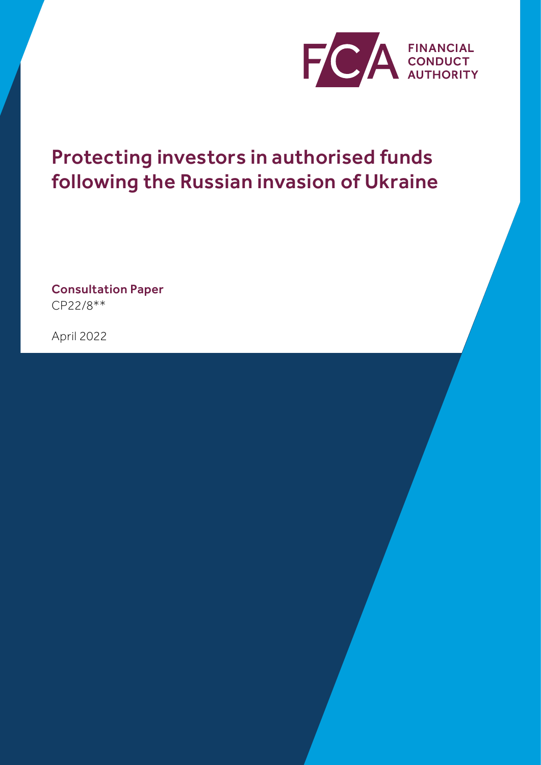

# Protecting investors in authorised funds following the Russian invasion of Ukraine

Consultation Paper CP22/8\*\*

April 2022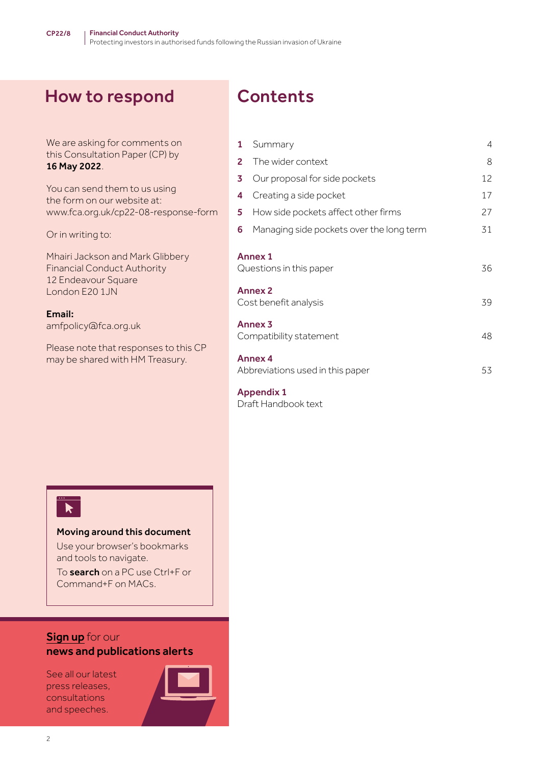# How to respond Contents

| We are asking for comments on                                | Summary<br>1                                  | 4  |
|--------------------------------------------------------------|-----------------------------------------------|----|
| this Consultation Paper (CP) by<br>16 May 2022.              | $\overline{2}$<br>The wider context           | 8  |
|                                                              | Our proposal for side pockets<br>3            | 12 |
| You can send them to us using<br>the form on our website at: | Creating a side pocket<br>4                   | 17 |
| www.fca.org.uk/cp22-08-response-form                         | How side pockets affect other firms<br>5      | 27 |
| Or in writing to:                                            | 6<br>Managing side pockets over the long term | 31 |
| Mhairi Jackson and Mark Glibbery                             | <b>Annex 1</b>                                |    |
| <b>Financial Conduct Authority</b>                           | Questions in this paper                       | 36 |
| 12 Endeavour Square                                          |                                               |    |
| London E20 1JN                                               | <b>Annex 2</b>                                |    |
| Email:                                                       | Cost benefit analysis                         | 39 |
| amfpolicy@fca.org.uk                                         | Annex <sub>3</sub>                            |    |
|                                                              | Compatibility statement                       | 48 |
| Please note that responses to this CP                        |                                               |    |
| may be shared with HM Treasury.                              | <b>Annex 4</b>                                |    |
|                                                              | Abbreviations used in this paper              | 53 |
|                                                              | <b>Appendix 1</b>                             |    |

[Draft Handbook text](#page-53-0)

# $\overline{\mathbf{r}}$

#### Moving around this document

Use your browser's bookmarks and tools to navigate.

To search on a PC use Ctrl+F or Command+F on MACs.

#### **[Sign up](https://www.fca.org.uk/news-and-publications-email-alerts?doc=#utm_source=signup&utm_medium=document&utm_campaign=newsandpubs)** for our news and publications alerts

See all our latest press releases, consultations and speeches.

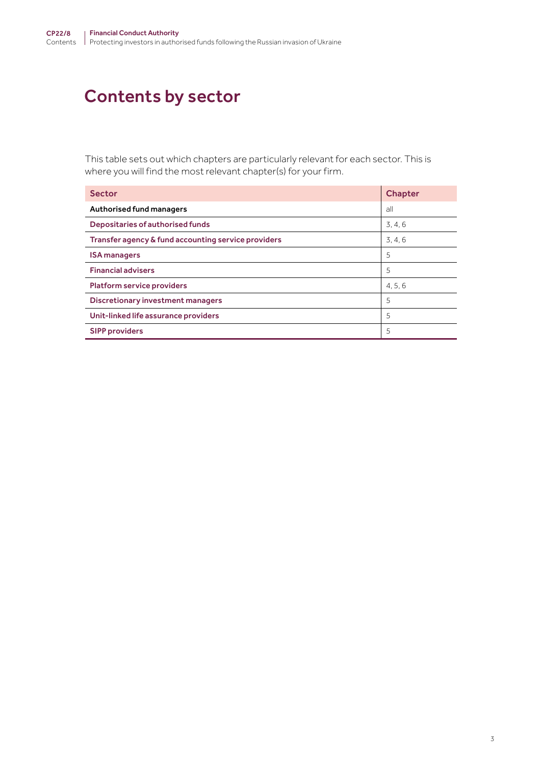# Contents by sector

This table sets out which chapters are particularly relevant for each sector. This is where you will find the most relevant chapter(s) for your firm.

| <b>Sector</b>                                       | <b>Chapter</b> |
|-----------------------------------------------------|----------------|
| Authorised fund managers                            | all            |
| Depositaries of authorised funds                    | 3, 4, 6        |
| Transfer agency & fund accounting service providers | 3, 4, 6        |
| <b>ISA managers</b>                                 | 5              |
| <b>Financial advisers</b>                           | 5              |
| <b>Platform service providers</b>                   | 4, 5, 6        |
| Discretionary investment managers                   | 5              |
| Unit-linked life assurance providers                | 5              |
| <b>SIPP providers</b>                               | 5              |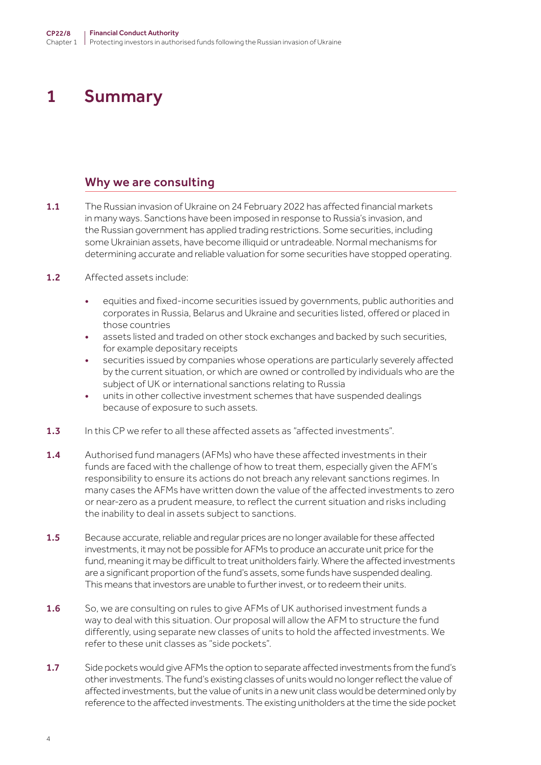# <span id="page-3-0"></span>1 Summary

#### Why we are consulting

- 1.1 The Russian invasion of Ukraine on 24 February 2022 has affected financial markets in many ways. Sanctions have been imposed in response to Russia's invasion, and the Russian government has applied trading restrictions. Some securities, including some Ukrainian assets, have become illiquid or untradeable. Normal mechanisms for determining accurate and reliable valuation for some securities have stopped operating.
- 1.2 Affected assets include:
	- equities and fixed-income securities issued by governments, public authorities and corporates in Russia, Belarus and Ukraine and securities listed, offered or placed in those countries
	- assets listed and traded on other stock exchanges and backed by such securities, for example depositary receipts
	- securities issued by companies whose operations are particularly severely affected by the current situation, or which are owned or controlled by individuals who are the subject of UK or international sanctions relating to Russia
	- units in other collective investment schemes that have suspended dealings because of exposure to such assets.
- **1.3** In this CP we refer to all these affected assets as "affected investments".
- 1.4 Authorised fund managers (AFMs) who have these affected investments in their funds are faced with the challenge of how to treat them, especially given the AFM's responsibility to ensure its actions do not breach any relevant sanctions regimes. In many cases the AFMs have written down the value of the affected investments to zero or near-zero as a prudent measure, to reflect the current situation and risks including the inability to deal in assets subject to sanctions.
- 1.5 Because accurate, reliable and regular prices are no longer available for these affected investments, it may not be possible for AFMs to produce an accurate unit price for the fund, meaning it may be difficult to treat unitholders fairly. Where the affected investments are a significant proportion of the fund's assets, some funds have suspended dealing. This means that investors are unable to further invest, or to redeem their units.
- 1.6 So, we are consulting on rules to give AFMs of UK authorised investment funds a way to deal with this situation. Our proposal will allow the AFM to structure the fund differently, using separate new classes of units to hold the affected investments. We refer to these unit classes as "side pockets".
- 1.7 Side pockets would give AFMs the option to separate affected investments from the fund's other investments. The fund's existing classes of units would no longer reflect the value of affected investments, but the value of units in a new unit class would be determined only by reference to the affected investments. The existing unitholders at the time the side pocket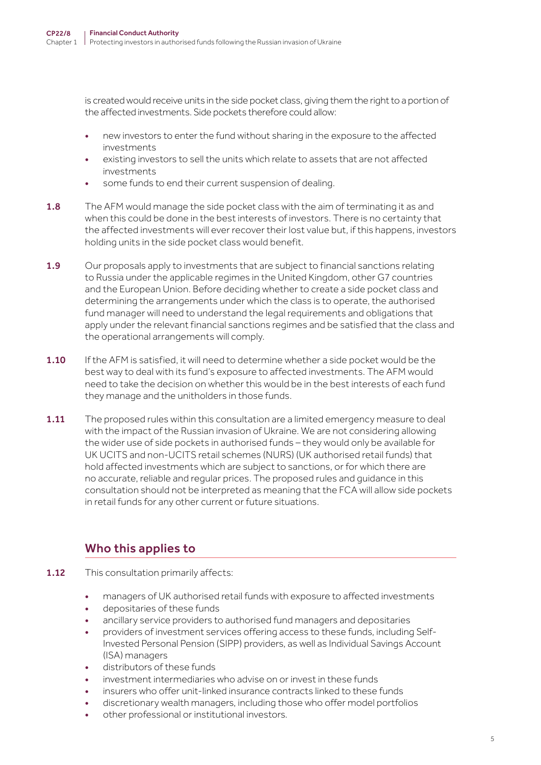is created would receive units in the side pocket class, giving them the right to a portion of the affected investments. Side pockets therefore could allow:

- new investors to enter the fund without sharing in the exposure to the affected investments
- existing investors to sell the units which relate to assets that are not affected investments
- some funds to end their current suspension of dealing.
- 1.8 The AFM would manage the side pocket class with the aim of terminating it as and when this could be done in the best interests of investors. There is no certainty that the affected investments will ever recover their lost value but, if this happens, investors holding units in the side pocket class would benefit.
- 1.9 Our proposals apply to investments that are subject to financial sanctions relating to Russia under the applicable regimes in the United Kingdom, other G7 countries and the European Union. Before deciding whether to create a side pocket class and determining the arrangements under which the class is to operate, the authorised fund manager will need to understand the legal requirements and obligations that apply under the relevant financial sanctions regimes and be satisfied that the class and the operational arrangements will comply.
- **1.10** If the AFM is satisfied, it will need to determine whether a side pocket would be the best way to deal with its fund's exposure to affected investments. The AFM would need to take the decision on whether this would be in the best interests of each fund they manage and the unitholders in those funds.
- 1.11 The proposed rules within this consultation are a limited emergency measure to deal with the impact of the Russian invasion of Ukraine. We are not considering allowing the wider use of side pockets in authorised funds – they would only be available for UK UCITS and non-UCITS retail schemes (NURS) (UK authorised retail funds) that hold affected investments which are subject to sanctions, or for which there are no accurate, reliable and regular prices. The proposed rules and guidance in this consultation should not be interpreted as meaning that the FCA will allow side pockets in retail funds for any other current or future situations.

# Who this applies to

- **1.12** This consultation primarily affects:
	- managers of UK authorised retail funds with exposure to affected investments
	- depositaries of these funds
	- ancillary service providers to authorised fund managers and depositaries
	- providers of investment services offering access to these funds, including Self-Invested Personal Pension (SIPP) providers, as well as Individual Savings Account (ISA) managers
	- distributors of these funds
	- investment intermediaries who advise on or invest in these funds
	- insurers who offer unit-linked insurance contracts linked to these funds
	- discretionary wealth managers, including those who offer model portfolios
	- other professional or institutional investors.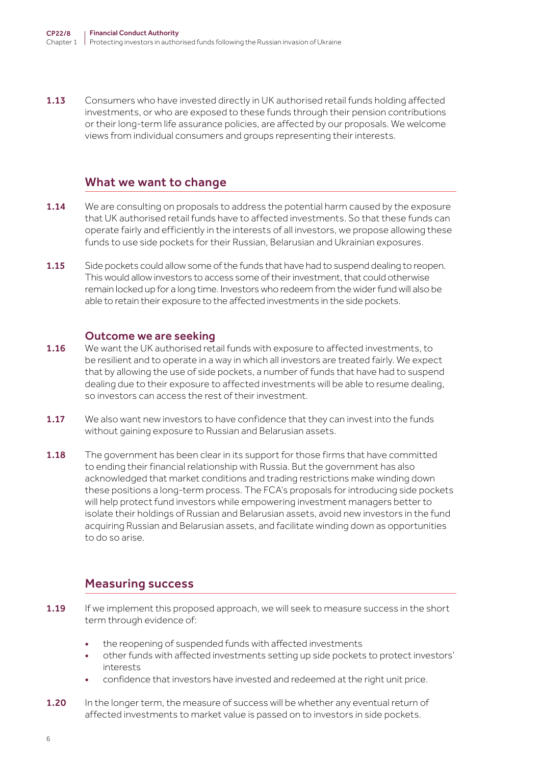**1.13** Consumers who have invested directly in UK authorised retail funds holding affected investments, or who are exposed to these funds through their pension contributions or their long-term life assurance policies, are affected by our proposals. We welcome views from individual consumers and groups representing their interests.

#### What we want to change

- **1.14** We are consulting on proposals to address the potential harm caused by the exposure that UK authorised retail funds have to affected investments. So that these funds can operate fairly and efficiently in the interests of all investors, we propose allowing these funds to use side pockets for their Russian, Belarusian and Ukrainian exposures.
- 1.15 Side pockets could allow some of the funds that have had to suspend dealing to reopen. This would allow investors to access some of their investment, that could otherwise remain locked up for a long time. Investors who redeem from the wider fund will also be able to retain their exposure to the affected investments in the side pockets.

#### Outcome we are seeking

- 1.16 We want the UK authorised retail funds with exposure to affected investments, to be resilient and to operate in a way in which all investors are treated fairly. We expect that by allowing the use of side pockets, a number of funds that have had to suspend dealing due to their exposure to affected investments will be able to resume dealing, so investors can access the rest of their investment.
- 1.17 We also want new investors to have confidence that they can invest into the funds without gaining exposure to Russian and Belarusian assets.
- 1.18 The government has been clear in its support for those firms that have committed to ending their financial relationship with Russia. But the government has also acknowledged that market conditions and trading restrictions make winding down these positions a long-term process. The FCA's proposals for introducing side pockets will help protect fund investors while empowering investment managers better to isolate their holdings of Russian and Belarusian assets, avoid new investors in the fund acquiring Russian and Belarusian assets, and facilitate winding down as opportunities to do so arise.

### Measuring success

- 1.19 If we implement this proposed approach, we will seek to measure success in the short term through evidence of:
	- the reopening of suspended funds with affected investments
	- other funds with affected investments setting up side pockets to protect investors' interests
	- confidence that investors have invested and redeemed at the right unit price.
- 1.20 In the longer term, the measure of success will be whether any eventual return of affected investments to market value is passed on to investors in side pockets.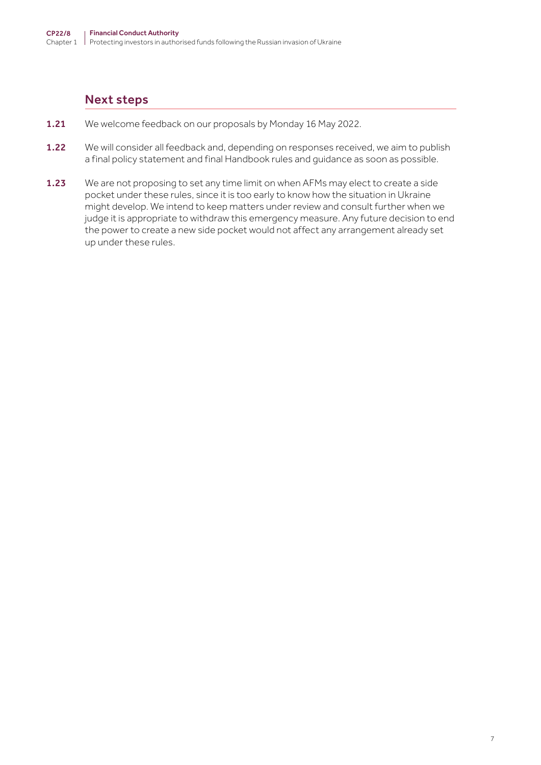### Next steps

- 1.21 We welcome feedback on our proposals by Monday 16 May 2022.
- 1.22 We will consider all feedback and, depending on responses received, we aim to publish a final policy statement and final Handbook rules and guidance as soon as possible.
- 1.23 We are not proposing to set any time limit on when AFMs may elect to create a side pocket under these rules, since it is too early to know how the situation in Ukraine might develop. We intend to keep matters under review and consult further when we judge it is appropriate to withdraw this emergency measure. Any future decision to end the power to create a new side pocket would not affect any arrangement already set up under these rules.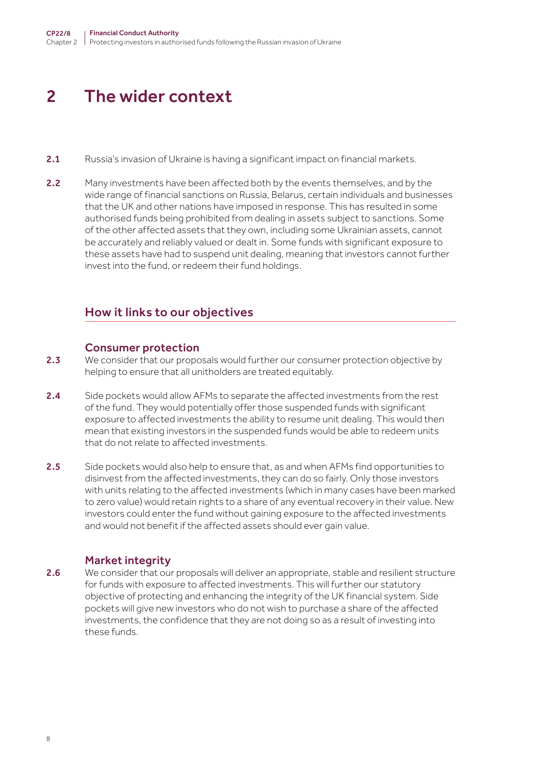# <span id="page-7-0"></span>2 The wider context

- 2.1 Russia's invasion of Ukraine is having a significant impact on financial markets.
- 2.2 Many investments have been affected both by the events themselves, and by the wide range of financial sanctions on Russia, Belarus, certain individuals and businesses that the UK and other nations have imposed in response. This has resulted in some authorised funds being prohibited from dealing in assets subject to sanctions. Some of the other affected assets that they own, including some Ukrainian assets, cannot be accurately and reliably valued or dealt in. Some funds with significant exposure to these assets have had to suspend unit dealing, meaning that investors cannot further invest into the fund, or redeem their fund holdings.

#### How it links to our objectives

#### Consumer protection

- 2.3 We consider that our proposals would further our consumer protection objective by helping to ensure that all unitholders are treated equitably.
- 2.4 Side pockets would allow AFMs to separate the affected investments from the rest of the fund. They would potentially offer those suspended funds with significant exposure to affected investments the ability to resume unit dealing. This would then mean that existing investors in the suspended funds would be able to redeem units that do not relate to affected investments.
- 2.5 Side pockets would also help to ensure that, as and when AFMs find opportunities to disinvest from the affected investments, they can do so fairly. Only those investors with units relating to the affected investments (which in many cases have been marked to zero value) would retain rights to a share of any eventual recovery in their value. New investors could enter the fund without gaining exposure to the affected investments and would not benefit if the affected assets should ever gain value.

#### Market integrity

2.6 We consider that our proposals will deliver an appropriate, stable and resilient structure for funds with exposure to affected investments. This will further our statutory objective of protecting and enhancing the integrity of the UK financial system. Side pockets will give new investors who do not wish to purchase a share of the affected investments, the confidence that they are not doing so as a result of investing into these funds.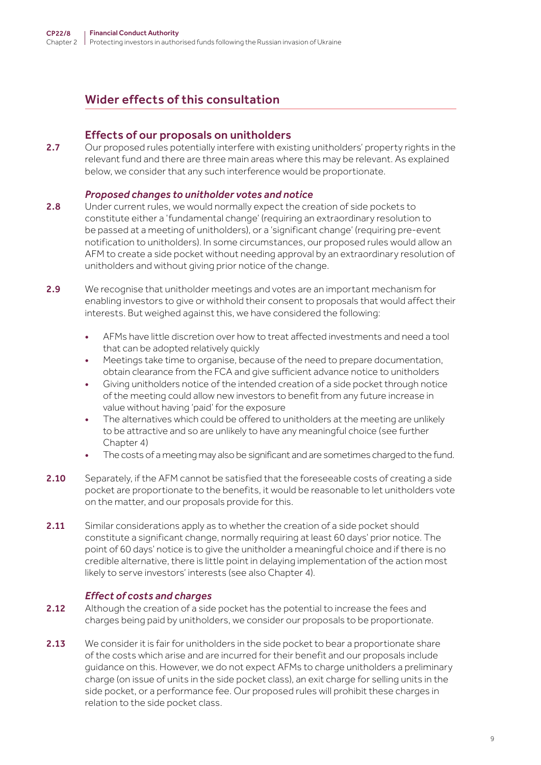# Wider effects of this consultation

#### Effects of our proposals on unitholders

2.7 Our proposed rules potentially interfere with existing unitholders' property rights in the relevant fund and there are three main areas where this may be relevant. As explained below, we consider that any such interference would be proportionate.

#### *Proposed changes to unitholder votes and notice*

- 2.8 Under current rules, we would normally expect the creation of side pockets to constitute either a 'fundamental change' (requiring an extraordinary resolution to be passed at a meeting of unitholders), or a 'significant change' (requiring pre-event notification to unitholders). In some circumstances, our proposed rules would allow an AFM to create a side pocket without needing approval by an extraordinary resolution of unitholders and without giving prior notice of the change.
- 2.9 We recognise that unitholder meetings and votes are an important mechanism for enabling investors to give or withhold their consent to proposals that would affect their interests. But weighed against this, we have considered the following:
	- AFMs have little discretion over how to treat affected investments and need a tool that can be adopted relatively quickly
	- Meetings take time to organise, because of the need to prepare documentation, obtain clearance from the FCA and give sufficient advance notice to unitholders
	- Giving unitholders notice of the intended creation of a side pocket through notice of the meeting could allow new investors to benefit from any future increase in value without having 'paid' for the exposure
	- The alternatives which could be offered to unitholders at the meeting are unlikely to be attractive and so are unlikely to have any meaningful choice (see further Chapter 4)
	- The costs of a meeting may also be significant and are sometimes charged to the fund.
- 2.10 Separately, if the AFM cannot be satisfied that the foreseeable costs of creating a side pocket are proportionate to the benefits, it would be reasonable to let unitholders vote on the matter, and our proposals provide for this.
- 2.11 Similar considerations apply as to whether the creation of a side pocket should constitute a significant change, normally requiring at least 60 days' prior notice. The point of 60 days' notice is to give the unitholder a meaningful choice and if there is no credible alternative, there is little point in delaying implementation of the action most likely to serve investors' interests (see also Chapter 4).

#### *Effect of costs and charges*

- 2.12 Although the creation of a side pocket has the potential to increase the fees and charges being paid by unitholders, we consider our proposals to be proportionate.
- 2.13 We consider it is fair for unitholders in the side pocket to bear a proportionate share of the costs which arise and are incurred for their benefit and our proposals include guidance on this. However, we do not expect AFMs to charge unitholders a preliminary charge (on issue of units in the side pocket class), an exit charge for selling units in the side pocket, or a performance fee. Our proposed rules will prohibit these charges in relation to the side pocket class.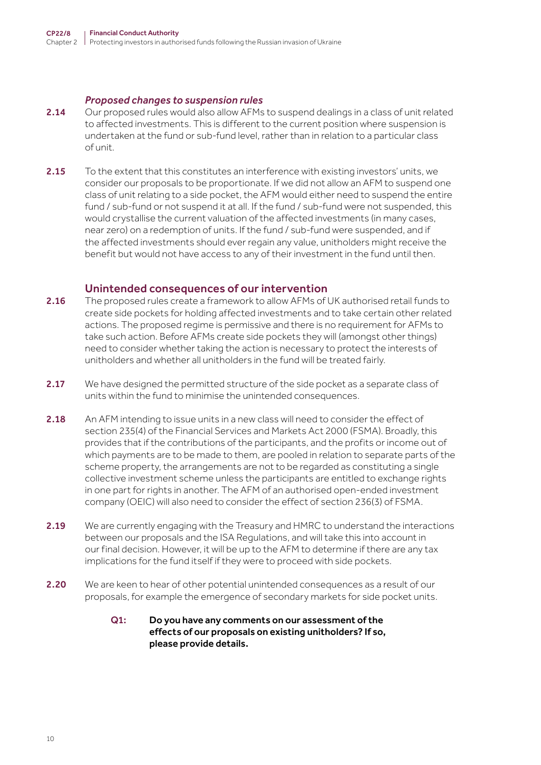#### *Proposed changes to suspension rules*

- 2.14 Our proposed rules would also allow AFMs to suspend dealings in a class of unit related to affected investments. This is different to the current position where suspension is undertaken at the fund or sub-fund level, rather than in relation to a particular class of unit.
- 2.15 To the extent that this constitutes an interference with existing investors' units, we consider our proposals to be proportionate. If we did not allow an AFM to suspend one class of unit relating to a side pocket, the AFM would either need to suspend the entire fund / sub-fund or not suspend it at all. If the fund / sub-fund were not suspended, this would crystallise the current valuation of the affected investments (in many cases, near zero) on a redemption of units. If the fund / sub-fund were suspended, and if the affected investments should ever regain any value, unitholders might receive the benefit but would not have access to any of their investment in the fund until then.

#### Unintended consequences of our intervention

- 2.16 The proposed rules create a framework to allow AFMs of UK authorised retail funds to create side pockets for holding affected investments and to take certain other related actions. The proposed regime is permissive and there is no requirement for AFMs to take such action. Before AFMs create side pockets they will (amongst other things) need to consider whether taking the action is necessary to protect the interests of unitholders and whether all unitholders in the fund will be treated fairly.
- 2.17 We have designed the permitted structure of the side pocket as a separate class of units within the fund to minimise the unintended consequences.
- 2.18 An AFM intending to issue units in a new class will need to consider the effect of section 235(4) of the Financial Services and Markets Act 2000 (FSMA). Broadly, this provides that if the contributions of the participants, and the profits or income out of which payments are to be made to them, are pooled in relation to separate parts of the scheme property, the arrangements are not to be regarded as constituting a single collective investment scheme unless the participants are entitled to exchange rights in one part for rights in another. The AFM of an authorised open-ended investment company (OEIC) will also need to consider the effect of section 236(3) of FSMA.
- 2.19 We are currently engaging with the Treasury and HMRC to understand the interactions between our proposals and the ISA Regulations, and will take this into account in our final decision. However, it will be up to the AFM to determine if there are any tax implications for the fund itself if they were to proceed with side pockets.
- 2.20 We are keen to hear of other potential unintended consequences as a result of our proposals, for example the emergence of secondary markets for side pocket units.

#### Q1: Do you have any comments on our assessment of the effects of our proposals on existing unitholders? If so, please provide details.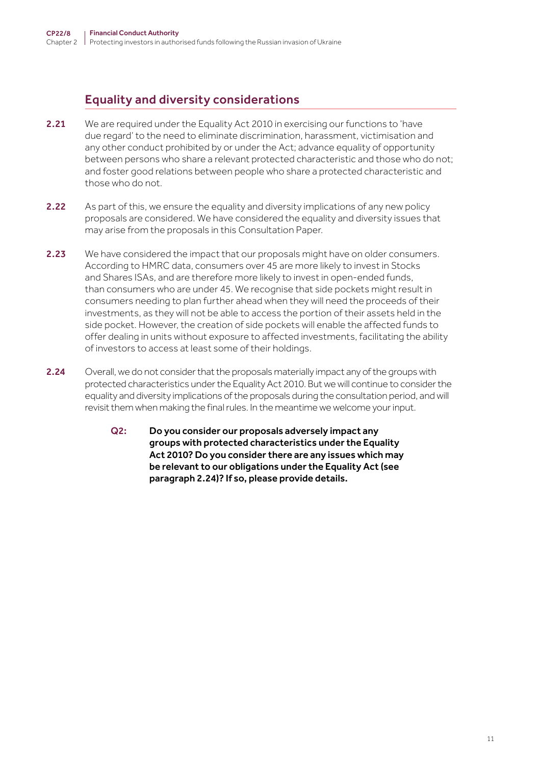# Equality and diversity considerations

- 2.21 We are required under the Equality Act 2010 in exercising our functions to 'have due regard' to the need to eliminate discrimination, harassment, victimisation and any other conduct prohibited by or under the Act; advance equality of opportunity between persons who share a relevant protected characteristic and those who do not; and foster good relations between people who share a protected characteristic and those who do not.
- 2.22 As part of this, we ensure the equality and diversity implications of any new policy proposals are considered. We have considered the equality and diversity issues that may arise from the proposals in this Consultation Paper.
- 2.23 We have considered the impact that our proposals might have on older consumers. According to HMRC data, consumers over 45 are more likely to invest in Stocks and Shares ISAs, and are therefore more likely to invest in open-ended funds, than consumers who are under 45. We recognise that side pockets might result in consumers needing to plan further ahead when they will need the proceeds of their investments, as they will not be able to access the portion of their assets held in the side pocket. However, the creation of side pockets will enable the affected funds to offer dealing in units without exposure to affected investments, facilitating the ability of investors to access at least some of their holdings.
- 2.24 Overall, we do not consider that the proposals materially impact any of the groups with protected characteristics under the Equality Act 2010. But we will continue to consider the equality and diversity implications of the proposals during the consultation period, and will revisit them when making the final rules. In the meantime we welcome your input.
	- Q2: Do you consider our proposals adversely impact any groups with protected characteristics under the Equality Act 2010? Do you consider there are any issues which may be relevant to our obligations under the Equality Act (see paragraph 2.24)? If so, please provide details.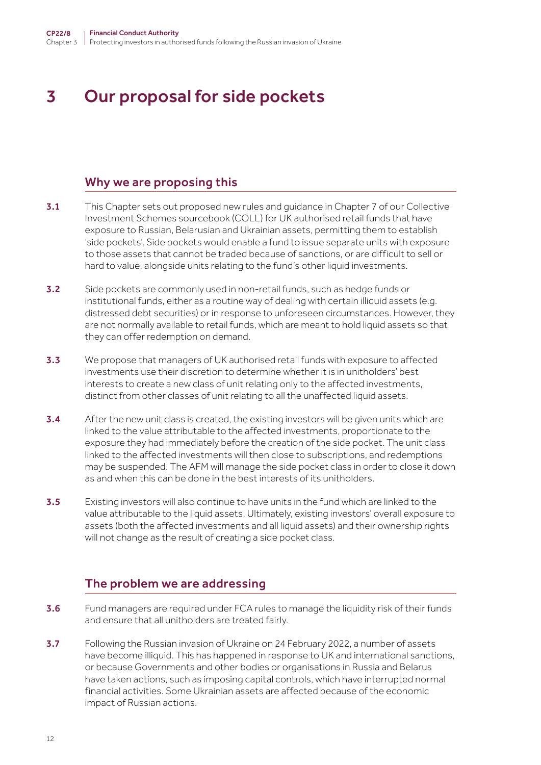# <span id="page-11-0"></span>3 Our proposal for side pockets

#### Why we are proposing this

- 3.1 This Chapter sets out proposed new rules and quidance in Chapter 7 of our Collective Investment Schemes sourcebook (COLL) for UK authorised retail funds that have exposure to Russian, Belarusian and Ukrainian assets, permitting them to establish 'side pockets'. Side pockets would enable a fund to issue separate units with exposure to those assets that cannot be traded because of sanctions, or are difficult to sell or hard to value, alongside units relating to the fund's other liquid investments.
- 3.2 Side pockets are commonly used in non-retail funds, such as hedge funds or institutional funds, either as a routine way of dealing with certain illiquid assets (e.g. distressed debt securities) or in response to unforeseen circumstances. However, they are not normally available to retail funds, which are meant to hold liquid assets so that they can offer redemption on demand.
- **3.3** We propose that managers of UK authorised retail funds with exposure to affected investments use their discretion to determine whether it is in unitholders' best interests to create a new class of unit relating only to the affected investments, distinct from other classes of unit relating to all the unaffected liquid assets.
- 3.4 After the new unit class is created, the existing investors will be given units which are linked to the value attributable to the affected investments, proportionate to the exposure they had immediately before the creation of the side pocket. The unit class linked to the affected investments will then close to subscriptions, and redemptions may be suspended. The AFM will manage the side pocket class in order to close it down as and when this can be done in the best interests of its unitholders.
- **3.5** Existing investors will also continue to have units in the fund which are linked to the value attributable to the liquid assets. Ultimately, existing investors' overall exposure to assets (both the affected investments and all liquid assets) and their ownership rights will not change as the result of creating a side pocket class.

### The problem we are addressing

- **3.6** Fund managers are required under FCA rules to manage the liquidity risk of their funds and ensure that all unitholders are treated fairly.
- 3.7 Following the Russian invasion of Ukraine on 24 February 2022, a number of assets have become illiquid. This has happened in response to UK and international sanctions, or because Governments and other bodies or organisations in Russia and Belarus have taken actions, such as imposing capital controls, which have interrupted normal financial activities. Some Ukrainian assets are affected because of the economic impact of Russian actions.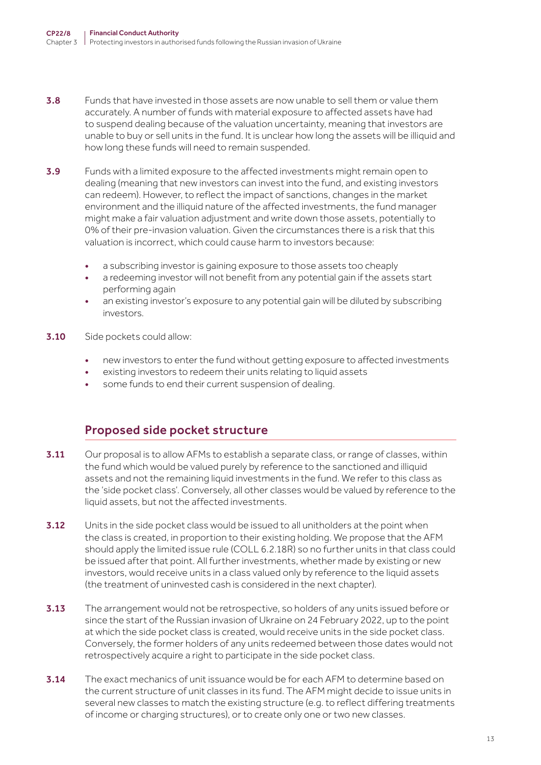- 3.8 Funds that have invested in those assets are now unable to sell them or value them accurately. A number of funds with material exposure to affected assets have had to suspend dealing because of the valuation uncertainty, meaning that investors are unable to buy or sell units in the fund. It is unclear how long the assets will be illiquid and how long these funds will need to remain suspended.
- 3.9 Funds with a limited exposure to the affected investments might remain open to dealing (meaning that new investors can invest into the fund, and existing investors can redeem). However, to reflect the impact of sanctions, changes in the market environment and the illiquid nature of the affected investments, the fund manager might make a fair valuation adjustment and write down those assets, potentially to 0% of their pre-invasion valuation. Given the circumstances there is a risk that this valuation is incorrect, which could cause harm to investors because:
	- a subscribing investor is gaining exposure to those assets too cheaply
	- a redeeming investor will not benefit from any potential gain if the assets start performing again
	- an existing investor's exposure to any potential gain will be diluted by subscribing investors.
- **3.10** Side pockets could allow:
	- new investors to enter the fund without getting exposure to affected investments
	- existing investors to redeem their units relating to liquid assets
	- some funds to end their current suspension of dealing.

#### Proposed side pocket structure

- 3.11 Our proposal is to allow AFMs to establish a separate class, or range of classes, within the fund which would be valued purely by reference to the sanctioned and illiquid assets and not the remaining liquid investments in the fund. We refer to this class as the 'side pocket class'. Conversely, all other classes would be valued by reference to the liquid assets, but not the affected investments.
- **3.12** Units in the side pocket class would be issued to all unitholders at the point when the class is created, in proportion to their existing holding. We propose that the AFM should apply the limited issue rule (COLL 6.2.18R) so no further units in that class could be issued after that point. All further investments, whether made by existing or new investors, would receive units in a class valued only by reference to the liquid assets (the treatment of uninvested cash is considered in the next chapter).
- **3.13** The arrangement would not be retrospective, so holders of any units issued before or since the start of the Russian invasion of Ukraine on 24 February 2022, up to the point at which the side pocket class is created, would receive units in the side pocket class. Conversely, the former holders of any units redeemed between those dates would not retrospectively acquire a right to participate in the side pocket class.
- 3.14 The exact mechanics of unit issuance would be for each AFM to determine based on the current structure of unit classes in its fund. The AFM might decide to issue units in several new classes to match the existing structure (e.g. to reflect differing treatments of income or charging structures), or to create only one or two new classes.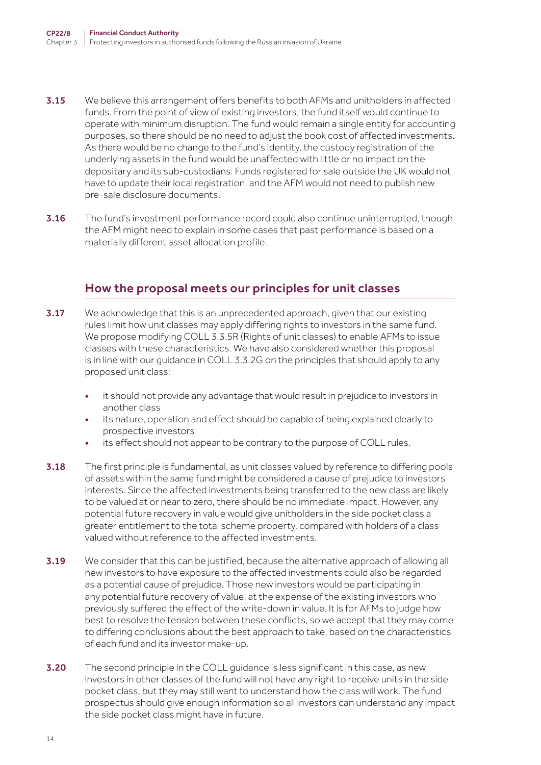- 3.15 We believe this arrangement offers benefits to both AFMs and unitholders in affected funds. From the point of view of existing investors, the fund itself would continue to operate with minimum disruption. The fund would remain a single entity for accounting purposes, so there should be no need to adjust the book cost of affected investments. As there would be no change to the fund's identity, the custody registration of the underlying assets in the fund would be unaffected with little or no impact on the depositary and its sub-custodians. Funds registered for sale outside the UK would not have to update their local registration, and the AFM would not need to publish new pre-sale disclosure documents.
- 3.16 The fund's investment performance record could also continue uninterrupted, though the AFM might need to explain in some cases that past performance is based on a materially different asset allocation profile.

# How the proposal meets our principles for unit classes

- **3.17** We acknowledge that this is an unprecedented approach, given that our existing rules limit how unit classes may apply differing rights to investors in the same fund. We propose modifying COLL 3.3.5R (Rights of unit classes) to enable AFMs to issue classes with these characteristics. We have also considered whether this proposal is in line with our guidance in COLL 3.3.2G on the principles that should apply to any proposed unit class:
	- it should not provide any advantage that would result in prejudice to investors in another class
	- its nature, operation and effect should be capable of being explained clearly to prospective investors
	- its effect should not appear to be contrary to the purpose of COLL rules.
- **3.18** The first principle is fundamental, as unit classes valued by reference to differing pools of assets within the same fund might be considered a cause of prejudice to investors' interests. Since the affected investments being transferred to the new class are likely to be valued at or near to zero, there should be no immediate impact. However, any potential future recovery in value would give unitholders in the side pocket class a greater entitlement to the total scheme property, compared with holders of a class valued without reference to the affected investments.
- 3.19 We consider that this can be justified, because the alternative approach of allowing all new investors to have exposure to the affected investments could also be regarded as a potential cause of prejudice. Those new investors would be participating in any potential future recovery of value, at the expense of the existing investors who previously suffered the effect of the write-down in value. It is for AFMs to judge how best to resolve the tension between these conflicts, so we accept that they may come to differing conclusions about the best approach to take, based on the characteristics of each fund and its investor make-up.
- **3.20** The second principle in the COLL quidance is less significant in this case, as new investors in other classes of the fund will not have any right to receive units in the side pocket class, but they may still want to understand how the class will work. The fund prospectus should give enough information so all investors can understand any impact the side pocket class might have in future.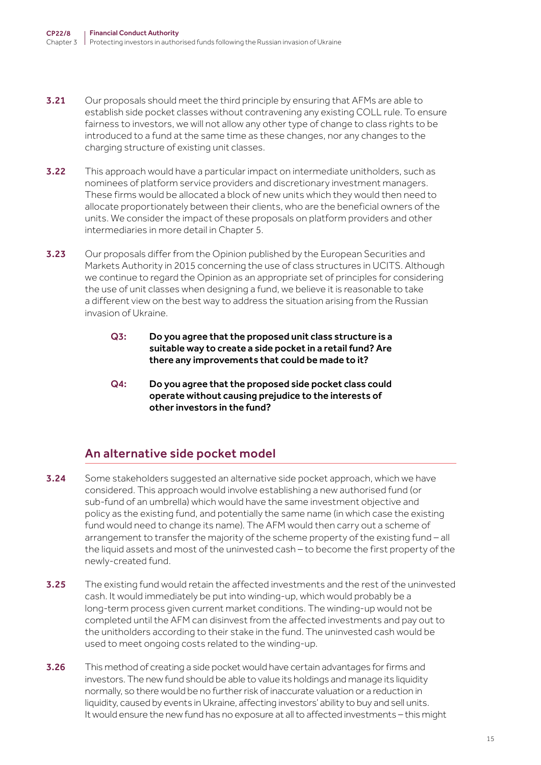- **3.21** Our proposals should meet the third principle by ensuring that AFMs are able to establish side pocket classes without contravening any existing COLL rule. To ensure fairness to investors, we will not allow any other type of change to class rights to be introduced to a fund at the same time as these changes, nor any changes to the charging structure of existing unit classes.
- **3.22** This approach would have a particular impact on intermediate unitholders, such as nominees of platform service providers and discretionary investment managers. These firms would be allocated a block of new units which they would then need to allocate proportionately between their clients, who are the beneficial owners of the units. We consider the impact of these proposals on platform providers and other intermediaries in more detail in Chapter 5.
- **3.23** Our proposals differ from the Opinion published by the European Securities and Markets Authority in 2015 concerning the use of class structures in UCITS. Although we continue to regard the Opinion as an appropriate set of principles for considering the use of unit classes when designing a fund, we believe it is reasonable to take a different view on the best way to address the situation arising from the Russian invasion of Ukraine.
	- Q3: Do you agree that the proposed unit class structure is a suitable way to create a side pocket in a retail fund? Are there any improvements that could be made to it?
	- Q4: Do you agree that the proposed side pocket class could operate without causing prejudice to the interests of other investors in the fund?

# An alternative side pocket model

- **3.24** Some stakeholders suggested an alternative side pocket approach, which we have considered. This approach would involve establishing a new authorised fund (or sub-fund of an umbrella) which would have the same investment objective and policy as the existing fund, and potentially the same name (in which case the existing fund would need to change its name). The AFM would then carry out a scheme of arrangement to transfer the majority of the scheme property of the existing fund – all the liquid assets and most of the uninvested cash – to become the first property of the newly-created fund.
- 3.25 The existing fund would retain the affected investments and the rest of the uninvested cash. It would immediately be put into winding-up, which would probably be a long-term process given current market conditions. The winding-up would not be completed until the AFM can disinvest from the affected investments and pay out to the unitholders according to their stake in the fund. The uninvested cash would be used to meet ongoing costs related to the winding-up.
- 3.26 This method of creating a side pocket would have certain advantages for firms and investors. The new fund should be able to value its holdings and manage its liquidity normally, so there would be no further risk of inaccurate valuation or a reduction in liquidity, caused by events in Ukraine, affecting investors' ability to buy and sell units. It would ensure the new fund has no exposure at all to affected investments – this might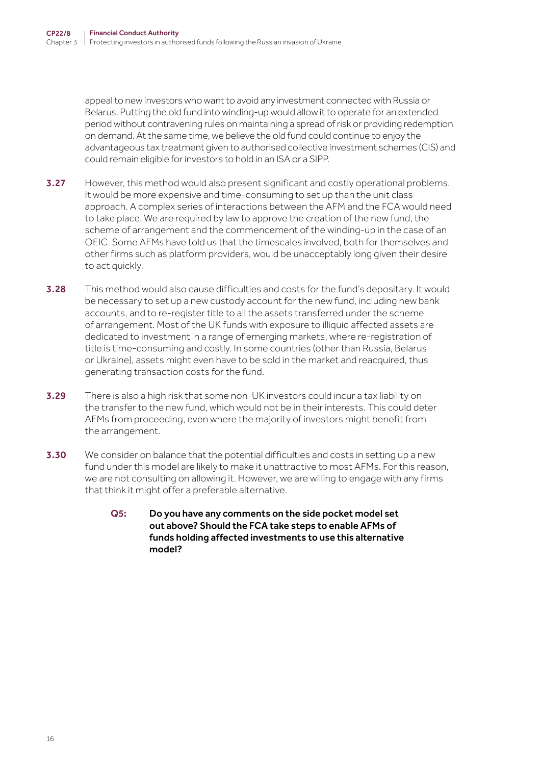appeal to new investors who want to avoid any investment connected with Russia or Belarus. Putting the old fund into winding-up would allow it to operate for an extended period without contravening rules on maintaining a spread of risk or providing redemption on demand. At the same time, we believe the old fund could continue to enjoy the advantageous tax treatment given to authorised collective investment schemes (CIS) and could remain eligible for investors to hold in an ISA or a SIPP.

- **3.27** However, this method would also present significant and costly operational problems. It would be more expensive and time-consuming to set up than the unit class approach. A complex series of interactions between the AFM and the FCA would need to take place. We are required by law to approve the creation of the new fund, the scheme of arrangement and the commencement of the winding-up in the case of an OEIC. Some AFMs have told us that the timescales involved, both for themselves and other firms such as platform providers, would be unacceptably long given their desire to act quickly.
- **3.28** This method would also cause difficulties and costs for the fund's depositary. It would be necessary to set up a new custody account for the new fund, including new bank accounts, and to re-register title to all the assets transferred under the scheme of arrangement. Most of the UK funds with exposure to illiquid affected assets are dedicated to investment in a range of emerging markets, where re-registration of title is time-consuming and costly. In some countries (other than Russia, Belarus or Ukraine), assets might even have to be sold in the market and reacquired, thus generating transaction costs for the fund.
- 3.29 There is also a high risk that some non-UK investors could incur a tax liability on the transfer to the new fund, which would not be in their interests. This could deter AFMs from proceeding, even where the majority of investors might benefit from the arrangement.
- 3.30 We consider on balance that the potential difficulties and costs in setting up a new fund under this model are likely to make it unattractive to most AFMs. For this reason, we are not consulting on allowing it. However, we are willing to engage with any firms that think it might offer a preferable alternative.
	- Q5: Do you have any comments on the side pocket model set out above? Should the FCA take steps to enable AFMs of funds holding affected investments to use this alternative model?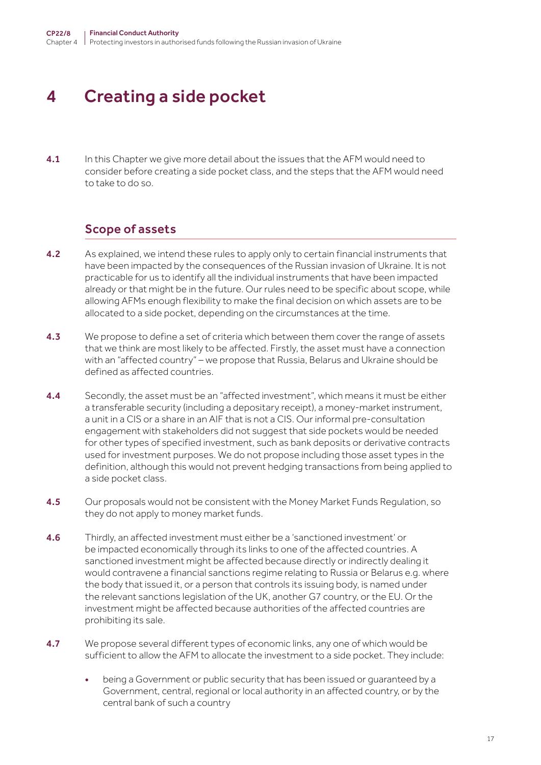# <span id="page-16-0"></span>4 Creating a side pocket

**4.1** In this Chapter we give more detail about the issues that the AFM would need to consider before creating a side pocket class, and the steps that the AFM would need to take to do so.

#### Scope of assets

- 4.2 As explained, we intend these rules to apply only to certain financial instruments that have been impacted by the consequences of the Russian invasion of Ukraine. It is not practicable for us to identify all the individual instruments that have been impacted already or that might be in the future. Our rules need to be specific about scope, while allowing AFMs enough flexibility to make the final decision on which assets are to be allocated to a side pocket, depending on the circumstances at the time.
- **4.3** We propose to define a set of criteria which between them cover the range of assets that we think are most likely to be affected. Firstly, the asset must have a connection with an "affected country" – we propose that Russia, Belarus and Ukraine should be defined as affected countries.
- **4.4** Secondly, the asset must be an "affected investment", which means it must be either a transferable security (including a depositary receipt), a money-market instrument, a unit in a CIS or a share in an AIF that is not a CIS. Our informal pre-consultation engagement with stakeholders did not suggest that side pockets would be needed for other types of specified investment, such as bank deposits or derivative contracts used for investment purposes. We do not propose including those asset types in the definition, although this would not prevent hedging transactions from being applied to a side pocket class.
- **4.5** Our proposals would not be consistent with the Money Market Funds Regulation, so they do not apply to money market funds.
- 4.6 Thirdly, an affected investment must either be a 'sanctioned investment' or be impacted economically through its links to one of the affected countries. A sanctioned investment might be affected because directly or indirectly dealing it would contravene a financial sanctions regime relating to Russia or Belarus e.g. where the body that issued it, or a person that controls its issuing body, is named under the relevant sanctions legislation of the UK, another G7 country, or the EU. Or the investment might be affected because authorities of the affected countries are prohibiting its sale.
- 4.7 We propose several different types of economic links, any one of which would be sufficient to allow the AFM to allocate the investment to a side pocket. They include:
	- being a Government or public security that has been issued or guaranteed by a Government, central, regional or local authority in an affected country, or by the central bank of such a country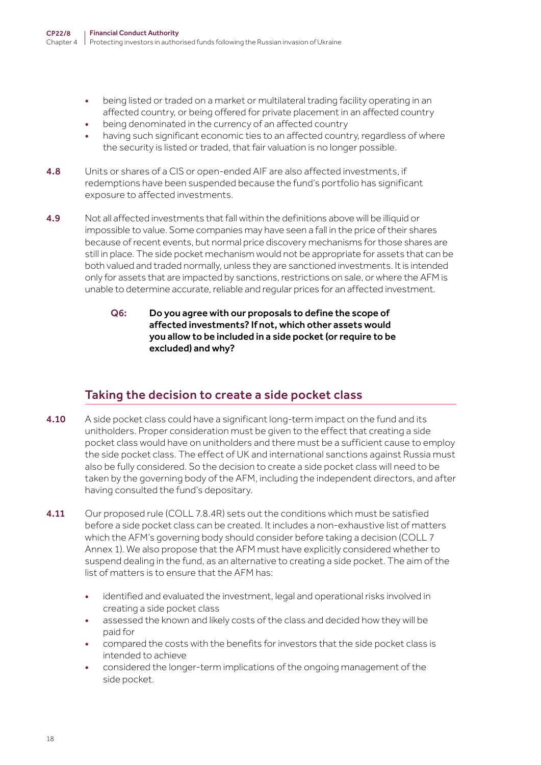- being listed or traded on a market or multilateral trading facility operating in an affected country, or being offered for private placement in an affected country
- being denominated in the currency of an affected country
- having such significant economic ties to an affected country, regardless of where the security is listed or traded, that fair valuation is no longer possible.
- 4.8 Units or shares of a CIS or open-ended AIF are also affected investments, if redemptions have been suspended because the fund's portfolio has significant exposure to affected investments.
- 4.9 Not all affected investments that fall within the definitions above will be illiquid or impossible to value. Some companies may have seen a fall in the price of their shares because of recent events, but normal price discovery mechanisms for those shares are still in place. The side pocket mechanism would not be appropriate for assets that can be both valued and traded normally, unless they are sanctioned investments. It is intended only for assets that are impacted by sanctions, restrictions on sale, or where the AFM is unable to determine accurate, reliable and regular prices for an affected investment.
	- Q6: Do you agree with our proposals to define the scope of affected investments? If not, which other assets would you allow to be included in a side pocket (or require to be excluded) and why?

### Taking the decision to create a side pocket class

- 4.10 A side pocket class could have a significant long-term impact on the fund and its unitholders. Proper consideration must be given to the effect that creating a side pocket class would have on unitholders and there must be a sufficient cause to employ the side pocket class. The effect of UK and international sanctions against Russia must also be fully considered. So the decision to create a side pocket class will need to be taken by the governing body of the AFM, including the independent directors, and after having consulted the fund's depositary.
- **4.11** Our proposed rule (COLL 7.8.4R) sets out the conditions which must be satisfied before a side pocket class can be created. It includes a non-exhaustive list of matters which the AFM's governing body should consider before taking a decision (COLL 7 Annex 1). We also propose that the AFM must have explicitly considered whether to suspend dealing in the fund, as an alternative to creating a side pocket. The aim of the list of matters is to ensure that the AFM has:
	- identified and evaluated the investment, legal and operational risks involved in creating a side pocket class
	- assessed the known and likely costs of the class and decided how they will be paid for
	- compared the costs with the benefits for investors that the side pocket class is intended to achieve
	- considered the longer-term implications of the ongoing management of the side pocket.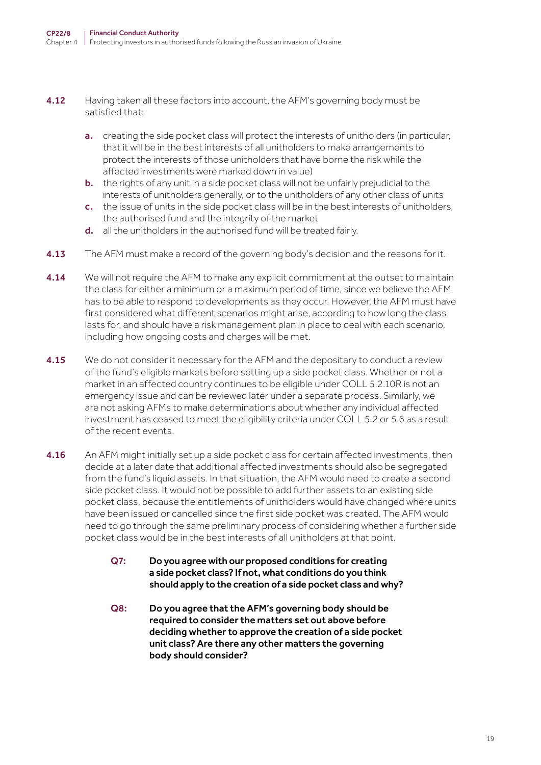- 4.12 Having taken all these factors into account, the AFM's governing body must be satisfied that:
	- a. creating the side pocket class will protect the interests of unitholders (in particular, that it will be in the best interests of all unitholders to make arrangements to protect the interests of those unitholders that have borne the risk while the affected investments were marked down in value)
	- b. the rights of any unit in a side pocket class will not be unfairly prejudicial to the interests of unitholders generally, or to the unitholders of any other class of units
	- c. the issue of units in the side pocket class will be in the best interests of unitholders, the authorised fund and the integrity of the market
	- d. all the unitholders in the authorised fund will be treated fairly.
- **4.13** The AFM must make a record of the governing body's decision and the reasons for it.
- **4.14** We will not require the AFM to make any explicit commitment at the outset to maintain the class for either a minimum or a maximum period of time, since we believe the AFM has to be able to respond to developments as they occur. However, the AFM must have first considered what different scenarios might arise, according to how long the class lasts for, and should have a risk management plan in place to deal with each scenario, including how ongoing costs and charges will be met.
- **4.15** We do not consider it necessary for the AFM and the depositary to conduct a review of the fund's eligible markets before setting up a side pocket class. Whether or not a market in an affected country continues to be eligible under COLL 5.2.10R is not an emergency issue and can be reviewed later under a separate process. Similarly, we are not asking AFMs to make determinations about whether any individual affected investment has ceased to meet the eligibility criteria under COLL 5.2 or 5.6 as a result of the recent events.
- 4.16 An AFM might initially set up a side pocket class for certain affected investments, then decide at a later date that additional affected investments should also be segregated from the fund's liquid assets. In that situation, the AFM would need to create a second side pocket class. It would not be possible to add further assets to an existing side pocket class, because the entitlements of unitholders would have changed where units have been issued or cancelled since the first side pocket was created. The AFM would need to go through the same preliminary process of considering whether a further side pocket class would be in the best interests of all unitholders at that point.
	- Q7: Do you agree with our proposed conditions for creating a side pocket class? If not, what conditions do you think should apply to the creation of a side pocket class and why?
	- Q8: Do you agree that the AFM's governing body should be required to consider the matters set out above before deciding whether to approve the creation of a side pocket unit class? Are there any other matters the governing body should consider?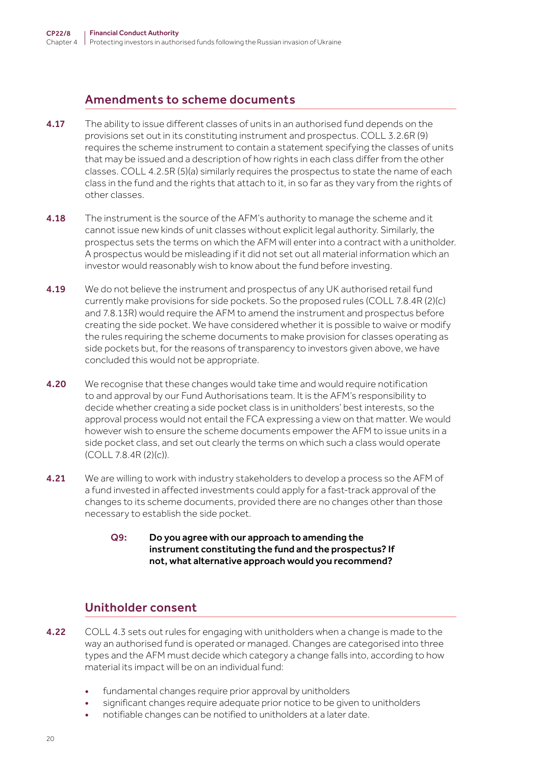### Amendments to scheme documents

- **4.17** The ability to issue different classes of units in an authorised fund depends on the provisions set out in its constituting instrument and prospectus. COLL 3.2.6R (9) requires the scheme instrument to contain a statement specifying the classes of units that may be issued and a description of how rights in each class differ from the other classes. COLL 4.2.5R (5)(a) similarly requires the prospectus to state the name of each class in the fund and the rights that attach to it, in so far as they vary from the rights of other classes.
- **4.18** The instrument is the source of the AFM's authority to manage the scheme and it cannot issue new kinds of unit classes without explicit legal authority. Similarly, the prospectus sets the terms on which the AFM will enter into a contract with a unitholder. A prospectus would be misleading if it did not set out all material information which an investor would reasonably wish to know about the fund before investing.
- **4.19** We do not believe the instrument and prospectus of any UK authorised retail fund currently make provisions for side pockets. So the proposed rules (COLL 7.8.4R (2)(c) and 7.8.13R) would require the AFM to amend the instrument and prospectus before creating the side pocket. We have considered whether it is possible to waive or modify the rules requiring the scheme documents to make provision for classes operating as side pockets but, for the reasons of transparency to investors given above, we have concluded this would not be appropriate.
- 4.20 We recognise that these changes would take time and would require notification to and approval by our Fund Authorisations team. It is the AFM's responsibility to decide whether creating a side pocket class is in unitholders' best interests, so the approval process would not entail the FCA expressing a view on that matter. We would however wish to ensure the scheme documents empower the AFM to issue units in a side pocket class, and set out clearly the terms on which such a class would operate (COLL 7.8.4R (2)(c)).
- 4.21 We are willing to work with industry stakeholders to develop a process so the AFM of a fund invested in affected investments could apply for a fast-track approval of the changes to its scheme documents, provided there are no changes other than those necessary to establish the side pocket.
	- Q9: Do you agree with our approach to amending the instrument constituting the fund and the prospectus? If not, what alternative approach would you recommend?

### Unitholder consent

- 4.22 COLL 4.3 sets out rules for engaging with unitholders when a change is made to the way an authorised fund is operated or managed. Changes are categorised into three types and the AFM must decide which category a change falls into, according to how material its impact will be on an individual fund:
	- fundamental changes require prior approval by unitholders
	- significant changes require adequate prior notice to be given to unitholders
	- notifiable changes can be notified to unitholders at a later date.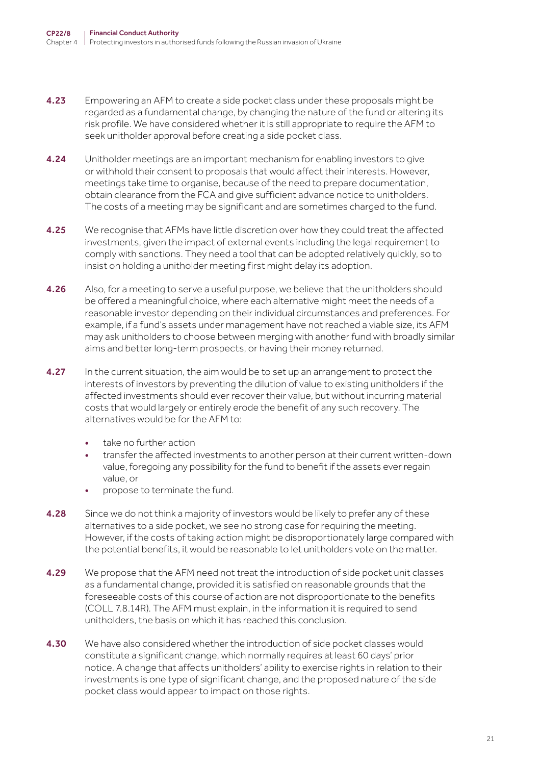- 4.23 Empowering an AFM to create a side pocket class under these proposals might be regarded as a fundamental change, by changing the nature of the fund or altering its risk profile. We have considered whether it is still appropriate to require the AFM to seek unitholder approval before creating a side pocket class.
- 4.24 Unitholder meetings are an important mechanism for enabling investors to give or withhold their consent to proposals that would affect their interests. However, meetings take time to organise, because of the need to prepare documentation, obtain clearance from the FCA and give sufficient advance notice to unitholders. The costs of a meeting may be significant and are sometimes charged to the fund.
- **4.25** We recognise that AFMs have little discretion over how they could treat the affected investments, given the impact of external events including the legal requirement to comply with sanctions. They need a tool that can be adopted relatively quickly, so to insist on holding a unitholder meeting first might delay its adoption.
- 4.26 Also, for a meeting to serve a useful purpose, we believe that the unitholders should be offered a meaningful choice, where each alternative might meet the needs of a reasonable investor depending on their individual circumstances and preferences. For example, if a fund's assets under management have not reached a viable size, its AFM may ask unitholders to choose between merging with another fund with broadly similar aims and better long-term prospects, or having their money returned.
- 4.27 In the current situation, the aim would be to set up an arrangement to protect the interests of investors by preventing the dilution of value to existing unitholders if the affected investments should ever recover their value, but without incurring material costs that would largely or entirely erode the benefit of any such recovery. The alternatives would be for the AFM to:
	- take no further action
	- transfer the affected investments to another person at their current written-down value, foregoing any possibility for the fund to benefit if the assets ever regain value, or
	- propose to terminate the fund.
- 4.28 Since we do not think a majority of investors would be likely to prefer any of these alternatives to a side pocket, we see no strong case for requiring the meeting. However, if the costs of taking action might be disproportionately large compared with the potential benefits, it would be reasonable to let unitholders vote on the matter.
- 4.29 We propose that the AFM need not treat the introduction of side pocket unit classes as a fundamental change, provided it is satisfied on reasonable grounds that the foreseeable costs of this course of action are not disproportionate to the benefits (COLL 7.8.14R). The AFM must explain, in the information it is required to send unitholders, the basis on which it has reached this conclusion.
- 4.30 We have also considered whether the introduction of side pocket classes would constitute a significant change, which normally requires at least 60 days' prior notice. A change that affects unitholders' ability to exercise rights in relation to their investments is one type of significant change, and the proposed nature of the side pocket class would appear to impact on those rights.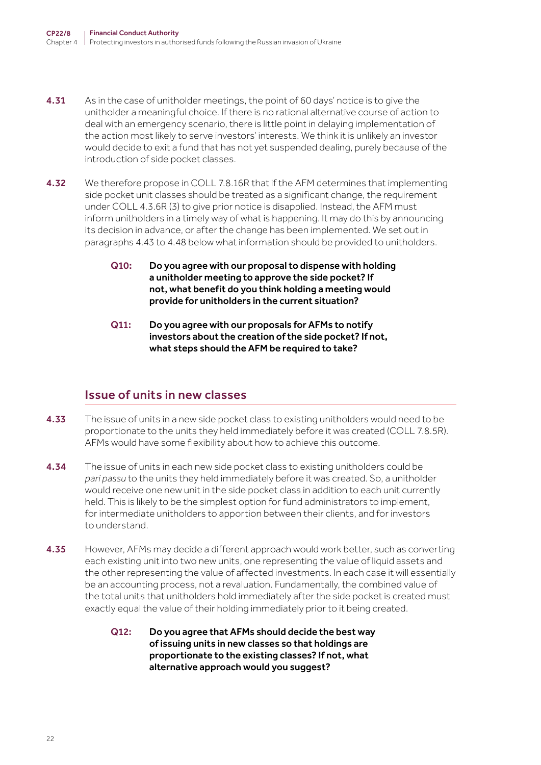- **4.31** As in the case of unitholder meetings, the point of 60 days' notice is to give the unitholder a meaningful choice. If there is no rational alternative course of action to deal with an emergency scenario, there is little point in delaying implementation of the action most likely to serve investors' interests. We think it is unlikely an investor would decide to exit a fund that has not yet suspended dealing, purely because of the introduction of side pocket classes.
- **4.32** We therefore propose in COLL 7.8.16R that if the AFM determines that implementing side pocket unit classes should be treated as a significant change, the requirement under COLL 4.3.6R (3) to give prior notice is disapplied. Instead, the AFM must inform unitholders in a timely way of what is happening. It may do this by announcing its decision in advance, or after the change has been implemented. We set out in paragraphs 4.43 to 4.48 below what information should be provided to unitholders.
	- Q10: Do you agree with our proposal to dispense with holding a unitholder meeting to approve the side pocket? If not, what benefit do you think holding a meeting would provide for unitholders in the current situation?
	- Q11: Do you agree with our proposals for AFMs to notify investors about the creation of the side pocket? If not, what steps should the AFM be required to take?

### Issue of units in new classes

- 4.33 The issue of units in a new side pocket class to existing unitholders would need to be proportionate to the units they held immediately before it was created (COLL 7.8.5R). AFMs would have some flexibility about how to achieve this outcome.
- 4.34 The issue of units in each new side pocket class to existing unitholders could be *pari passu* to the units they held immediately before it was created. So, a unitholder would receive one new unit in the side pocket class in addition to each unit currently held. This is likely to be the simplest option for fund administrators to implement, for intermediate unitholders to apportion between their clients, and for investors to understand.
- 4.35 However, AFMs may decide a different approach would work better, such as converting each existing unit into two new units, one representing the value of liquid assets and the other representing the value of affected investments. In each case it will essentially be an accounting process, not a revaluation. Fundamentally, the combined value of the total units that unitholders hold immediately after the side pocket is created must exactly equal the value of their holding immediately prior to it being created.
	- Q12: Do you agree that AFMs should decide the best way of issuing units in new classes so that holdings are proportionate to the existing classes? If not, what alternative approach would you suggest?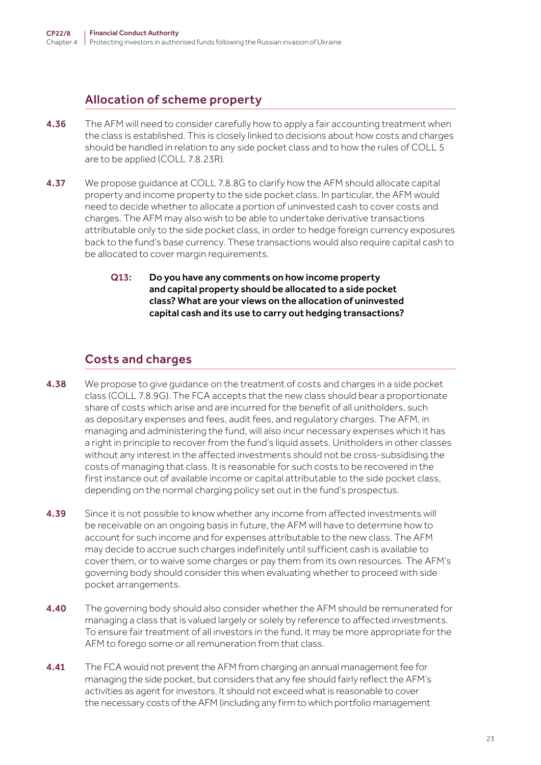# Allocation of scheme property

- 4.36 The AFM will need to consider carefully how to apply a fair accounting treatment when the class is established. This is closely linked to decisions about how costs and charges should be handled in relation to any side pocket class and to how the rules of COLL 5 are to be applied (COLL 7.8.23R).
- **4.37** We propose guidance at COLL 7.8.8G to clarify how the AFM should allocate capital property and income property to the side pocket class. In particular, the AFM would need to decide whether to allocate a portion of uninvested cash to cover costs and charges. The AFM may also wish to be able to undertake derivative transactions attributable only to the side pocket class, in order to hedge foreign currency exposures back to the fund's base currency. These transactions would also require capital cash to be allocated to cover margin requirements.
	- Q13: Do you have any comments on how income property and capital property should be allocated to a side pocket class? What are your views on the allocation of uninvested capital cash and its use to carry out hedging transactions?

# Costs and charges

- 4.38 We propose to give guidance on the treatment of costs and charges in a side pocket class (COLL 7.8.9G). The FCA accepts that the new class should bear a proportionate share of costs which arise and are incurred for the benefit of all unitholders, such as depositary expenses and fees, audit fees, and regulatory charges. The AFM, in managing and administering the fund, will also incur necessary expenses which it has a right in principle to recover from the fund's liquid assets. Unitholders in other classes without any interest in the affected investments should not be cross-subsidising the costs of managing that class. It is reasonable for such costs to be recovered in the first instance out of available income or capital attributable to the side pocket class, depending on the normal charging policy set out in the fund's prospectus.
- 4.39 Since it is not possible to know whether any income from affected investments will be receivable on an ongoing basis in future, the AFM will have to determine how to account for such income and for expenses attributable to the new class. The AFM may decide to accrue such charges indefinitely until sufficient cash is available to cover them, or to waive some charges or pay them from its own resources. The AFM's governing body should consider this when evaluating whether to proceed with side pocket arrangements.
- **4.40** The governing body should also consider whether the AFM should be remunerated for managing a class that is valued largely or solely by reference to affected investments. To ensure fair treatment of all investors in the fund, it may be more appropriate for the AFM to forego some or all remuneration from that class.
- **4.41** The FCA would not prevent the AFM from charging an annual management fee for managing the side pocket, but considers that any fee should fairly reflect the AFM's activities as agent for investors. It should not exceed what is reasonable to cover the necessary costs of the AFM (including any firm to which portfolio management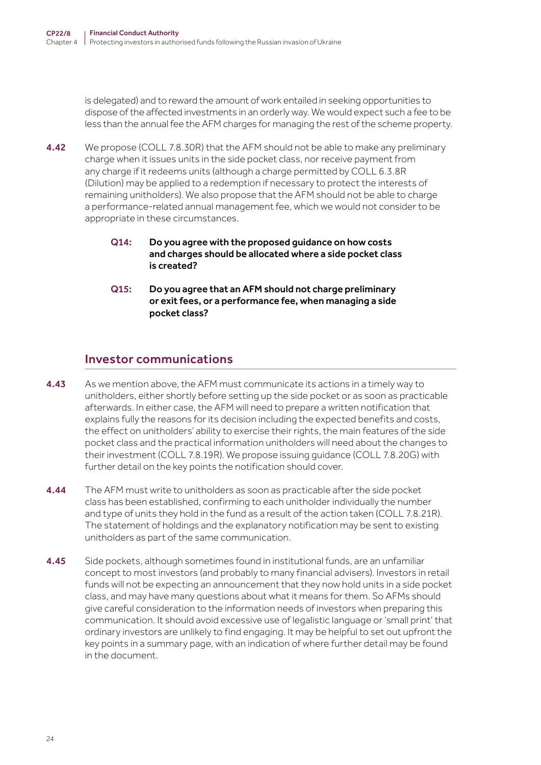is delegated) and to reward the amount of work entailed in seeking opportunities to dispose of the affected investments in an orderly way. We would expect such a fee to be less than the annual fee the AFM charges for managing the rest of the scheme property.

- 4.42 We propose (COLL 7.8.30R) that the AFM should not be able to make any preliminary charge when it issues units in the side pocket class, nor receive payment from any charge if it redeems units (although a charge permitted by COLL 6.3.8R (Dilution) may be applied to a redemption if necessary to protect the interests of remaining unitholders). We also propose that the AFM should not be able to charge a performance-related annual management fee, which we would not consider to be appropriate in these circumstances.
	- Q14: Do you agree with the proposed guidance on how costs and charges should be allocated where a side pocket class is created?
	- Q15: Do you agree that an AFM should not charge preliminary or exit fees, or a performance fee, when managing a side pocket class?

#### Investor communications

- 4.43 As we mention above, the AFM must communicate its actions in a timely way to unitholders, either shortly before setting up the side pocket or as soon as practicable afterwards. In either case, the AFM will need to prepare a written notification that explains fully the reasons for its decision including the expected benefits and costs, the effect on unitholders' ability to exercise their rights, the main features of the side pocket class and the practical information unitholders will need about the changes to their investment (COLL 7.8.19R). We propose issuing guidance (COLL 7.8.20G) with further detail on the key points the notification should cover.
- 4.44 The AFM must write to unitholders as soon as practicable after the side pocket class has been established, confirming to each unitholder individually the number and type of units they hold in the fund as a result of the action taken (COLL 7.8.21R). The statement of holdings and the explanatory notification may be sent to existing unitholders as part of the same communication.
- 4.45 Side pockets, although sometimes found in institutional funds, are an unfamiliar concept to most investors (and probably to many financial advisers). Investors in retail funds will not be expecting an announcement that they now hold units in a side pocket class, and may have many questions about what it means for them. So AFMs should give careful consideration to the information needs of investors when preparing this communication. It should avoid excessive use of legalistic language or 'small print' that ordinary investors are unlikely to find engaging. It may be helpful to set out upfront the key points in a summary page, with an indication of where further detail may be found in the document.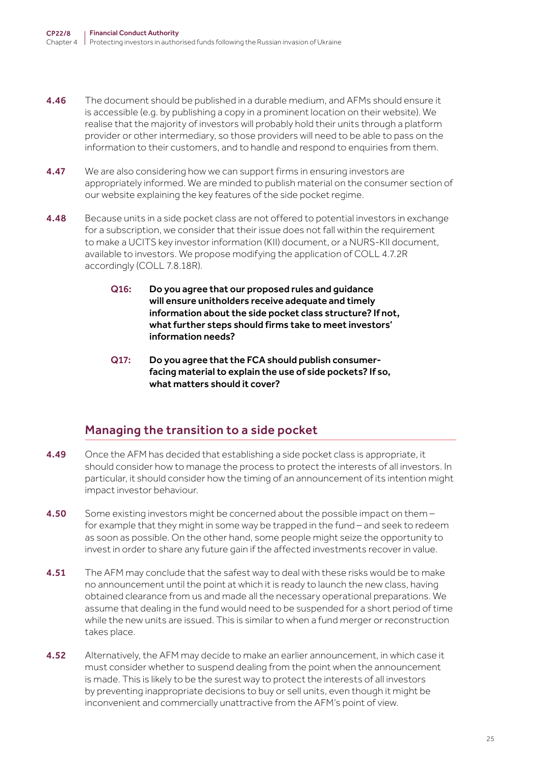- **4.46** The document should be published in a durable medium, and AFMs should ensure it is accessible (e.g. by publishing a copy in a prominent location on their website). We realise that the majority of investors will probably hold their units through a platform provider or other intermediary, so those providers will need to be able to pass on the information to their customers, and to handle and respond to enquiries from them.
- **4.47** We are also considering how we can support firms in ensuring investors are appropriately informed. We are minded to publish material on the consumer section of our website explaining the key features of the side pocket regime.
- 4.48 Because units in a side pocket class are not offered to potential investors in exchange for a subscription, we consider that their issue does not fall within the requirement to make a UCITS key investor information (KII) document, or a NURS-KII document, available to investors. We propose modifying the application of COLL 4.7.2R accordingly (COLL 7.8.18R).
	- Q16: Do you agree that our proposed rules and guidance will ensure unitholders receive adequate and timely information about the side pocket class structure? If not, what further steps should firms take to meet investors' information needs?
	- Q17: Do you agree that the FCA should publish consumerfacing material to explain the use of side pockets? If so, what matters should it cover?

### Managing the transition to a side pocket

- 4.49 Once the AFM has decided that establishing a side pocket class is appropriate, it should consider how to manage the process to protect the interests of all investors. In particular, it should consider how the timing of an announcement of its intention might impact investor behaviour.
- **4.50** Some existing investors might be concerned about the possible impact on them  $$ for example that they might in some way be trapped in the fund – and seek to redeem as soon as possible. On the other hand, some people might seize the opportunity to invest in order to share any future gain if the affected investments recover in value.
- **4.51** The AFM may conclude that the safest way to deal with these risks would be to make no announcement until the point at which it is ready to launch the new class, having obtained clearance from us and made all the necessary operational preparations. We assume that dealing in the fund would need to be suspended for a short period of time while the new units are issued. This is similar to when a fund merger or reconstruction takes place.
- 4.52 Alternatively, the AFM may decide to make an earlier announcement, in which case it must consider whether to suspend dealing from the point when the announcement is made. This is likely to be the surest way to protect the interests of all investors by preventing inappropriate decisions to buy or sell units, even though it might be inconvenient and commercially unattractive from the AFM's point of view.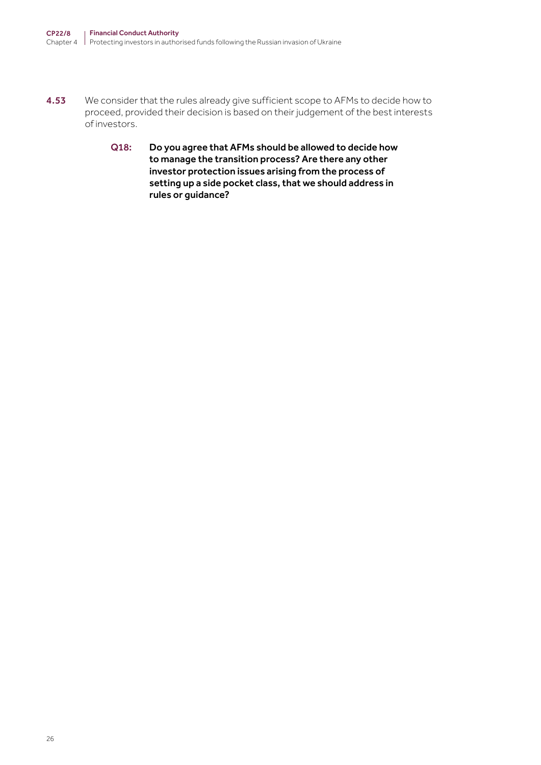- 4.53 We consider that the rules already give sufficient scope to AFMs to decide how to proceed, provided their decision is based on their judgement of the best interests of investors.
	- Q18: Do you agree that AFMs should be allowed to decide how to manage the transition process? Are there any other investor protection issues arising from the process of setting up a side pocket class, that we should address in rules or guidance?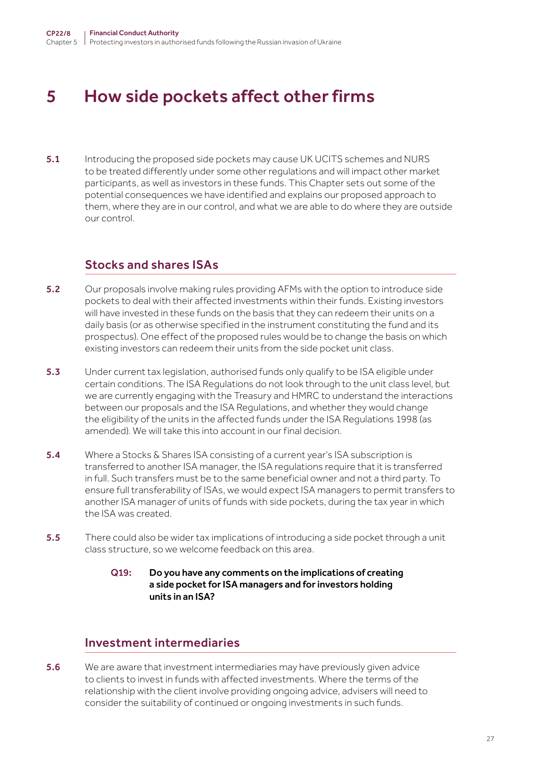# <span id="page-26-0"></span>5 How side pockets affect other firms

5.1 Introducing the proposed side pockets may cause UK UCITS schemes and NURS to be treated differently under some other regulations and will impact other market participants, as well as investors in these funds. This Chapter sets out some of the potential consequences we have identified and explains our proposed approach to them, where they are in our control, and what we are able to do where they are outside our control.

### Stocks and shares ISAs

- 5.2 Our proposals involve making rules providing AFMs with the option to introduce side pockets to deal with their affected investments within their funds. Existing investors will have invested in these funds on the basis that they can redeem their units on a daily basis (or as otherwise specified in the instrument constituting the fund and its prospectus). One effect of the proposed rules would be to change the basis on which existing investors can redeem their units from the side pocket unit class.
- 5.3 Under current tax legislation, authorised funds only qualify to be ISA eligible under certain conditions. The ISA Regulations do not look through to the unit class level, but we are currently engaging with the Treasury and HMRC to understand the interactions between our proposals and the ISA Regulations, and whether they would change the eligibility of the units in the affected funds under the ISA Regulations 1998 (as amended). We will take this into account in our final decision.
- 5.4 Where a Stocks & Shares ISA consisting of a current year's ISA subscription is transferred to another ISA manager, the ISA regulations require that it is transferred in full. Such transfers must be to the same beneficial owner and not a third party. To ensure full transferability of ISAs, we would expect ISA managers to permit transfers to another ISA manager of units of funds with side pockets, during the tax year in which the ISA was created.
- 5.5 There could also be wider tax implications of introducing a side pocket through a unit class structure, so we welcome feedback on this area.

#### Q19: Do you have any comments on the implications of creating a side pocket for ISA managers and for investors holding units in an ISA?

#### Investment intermediaries

**5.6** We are aware that investment intermediaries may have previously given advice to clients to invest in funds with affected investments. Where the terms of the relationship with the client involve providing ongoing advice, advisers will need to consider the suitability of continued or ongoing investments in such funds.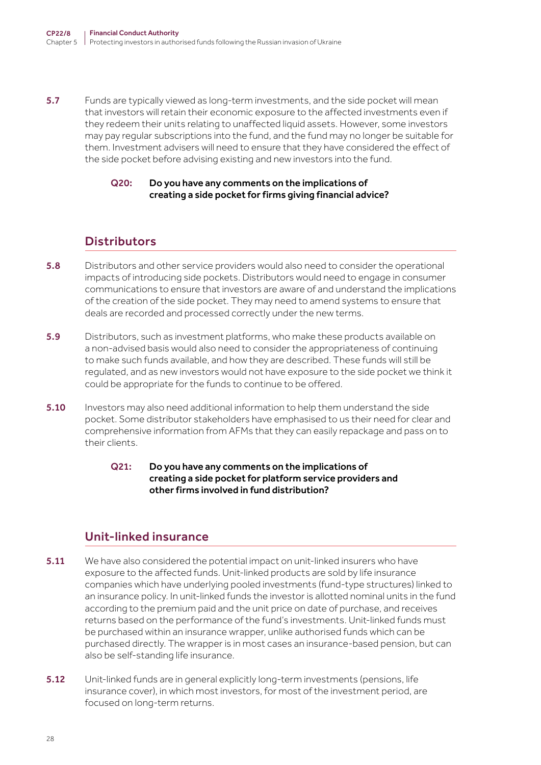5.7 Funds are typically viewed as long-term investments, and the side pocket will mean that investors will retain their economic exposure to the affected investments even if they redeem their units relating to unaffected liquid assets. However, some investors may pay regular subscriptions into the fund, and the fund may no longer be suitable for them. Investment advisers will need to ensure that they have considered the effect of the side pocket before advising existing and new investors into the fund.

#### Q20: Do you have any comments on the implications of creating a side pocket for firms giving financial advice?

### **Distributors**

- 5.8 Distributors and other service providers would also need to consider the operational impacts of introducing side pockets. Distributors would need to engage in consumer communications to ensure that investors are aware of and understand the implications of the creation of the side pocket. They may need to amend systems to ensure that deals are recorded and processed correctly under the new terms.
- 5.9 Distributors, such as investment platforms, who make these products available on a non-advised basis would also need to consider the appropriateness of continuing to make such funds available, and how they are described. These funds will still be regulated, and as new investors would not have exposure to the side pocket we think it could be appropriate for the funds to continue to be offered.
- **5.10** Investors may also need additional information to help them understand the side pocket. Some distributor stakeholders have emphasised to us their need for clear and comprehensive information from AFMs that they can easily repackage and pass on to their clients.
	- Q21: Do you have any comments on the implications of creating a side pocket for platform service providers and other firms involved in fund distribution?

### Unit-linked insurance

- 5.11 We have also considered the potential impact on unit-linked insurers who have exposure to the affected funds. Unit-linked products are sold by life insurance companies which have underlying pooled investments (fund-type structures) linked to an insurance policy. In unit-linked funds the investor is allotted nominal units in the fund according to the premium paid and the unit price on date of purchase, and receives returns based on the performance of the fund's investments. Unit-linked funds must be purchased within an insurance wrapper, unlike authorised funds which can be purchased directly. The wrapper is in most cases an insurance-based pension, but can also be self-standing life insurance.
- 5.12 Unit-linked funds are in general explicitly long-term investments (pensions, life insurance cover), in which most investors, for most of the investment period, are focused on long-term returns.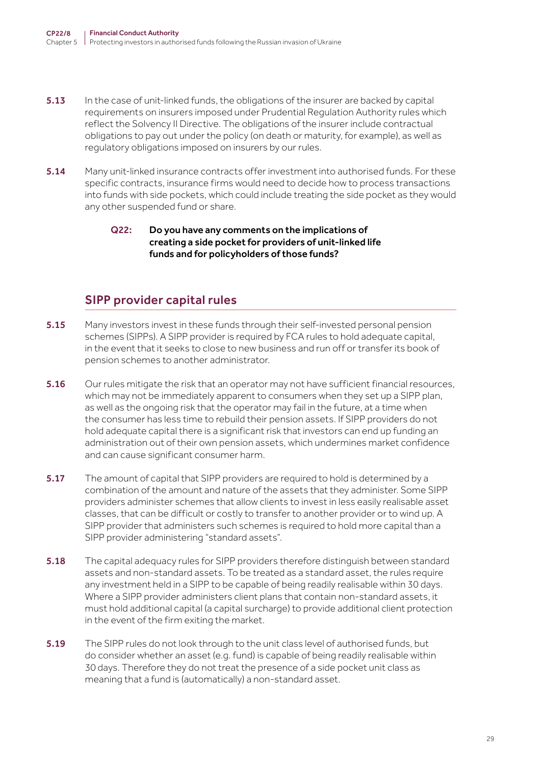- **5.13** In the case of unit-linked funds, the obligations of the insurer are backed by capital requirements on insurers imposed under Prudential Regulation Authority rules which reflect the Solvency II Directive. The obligations of the insurer include contractual obligations to pay out under the policy (on death or maturity, for example), as well as regulatory obligations imposed on insurers by our rules.
- **5.14** Many unit-linked insurance contracts offer investment into authorised funds. For these specific contracts, insurance firms would need to decide how to process transactions into funds with side pockets, which could include treating the side pocket as they would any other suspended fund or share.

#### Q22: Do you have any comments on the implications of creating a side pocket for providers of unit-linked life funds and for policyholders of those funds?

### SIPP provider capital rules

- 5.15 Many investors invest in these funds through their self-invested personal pension schemes (SIPPs). A SIPP provider is required by FCA rules to hold adequate capital, in the event that it seeks to close to new business and run off or transfer its book of pension schemes to another administrator.
- 5.16 Our rules mitigate the risk that an operator may not have sufficient financial resources, which may not be immediately apparent to consumers when they set up a SIPP plan, as well as the ongoing risk that the operator may fail in the future, at a time when the consumer has less time to rebuild their pension assets. If SIPP providers do not hold adequate capital there is a significant risk that investors can end up funding an administration out of their own pension assets, which undermines market confidence and can cause significant consumer harm.
- 5.17 The amount of capital that SIPP providers are required to hold is determined by a combination of the amount and nature of the assets that they administer. Some SIPP providers administer schemes that allow clients to invest in less easily realisable asset classes, that can be difficult or costly to transfer to another provider or to wind up. A SIPP provider that administers such schemes is required to hold more capital than a SIPP provider administering "standard assets".
- 5.18 The capital adequacy rules for SIPP providers therefore distinguish between standard assets and non-standard assets. To be treated as a standard asset, the rules require any investment held in a SIPP to be capable of being readily realisable within 30 days. Where a SIPP provider administers client plans that contain non-standard assets, it must hold additional capital (a capital surcharge) to provide additional client protection in the event of the firm exiting the market.
- 5.19 The SIPP rules do not look through to the unit class level of authorised funds, but do consider whether an asset (e.g. fund) is capable of being readily realisable within 30 days. Therefore they do not treat the presence of a side pocket unit class as meaning that a fund is (automatically) a non-standard asset.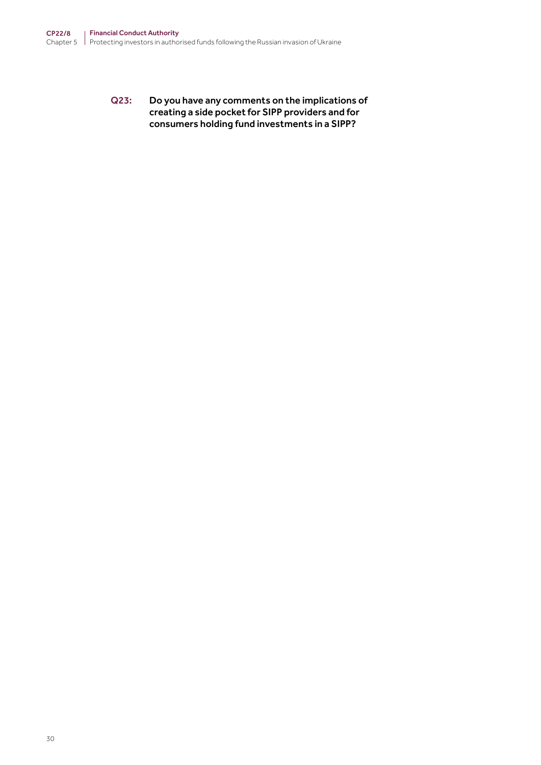Q23: Do you have any comments on the implications of creating a side pocket for SIPP providers and for consumers holding fund investments in a SIPP?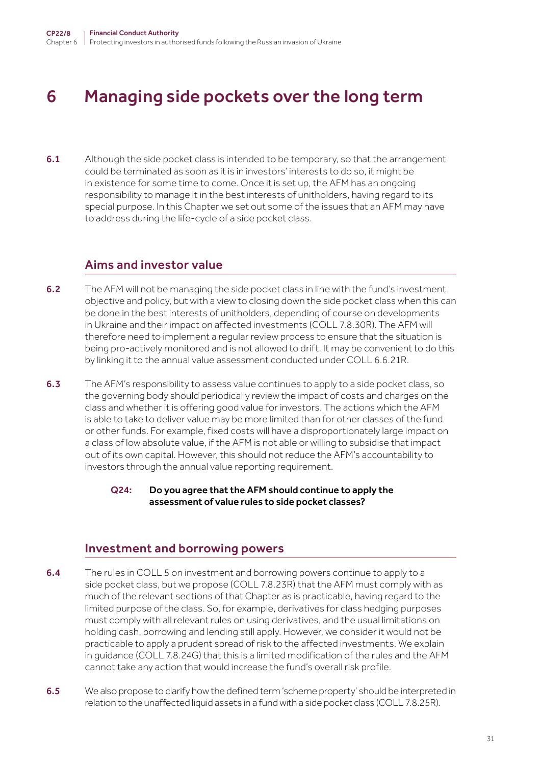# <span id="page-30-0"></span>6 Managing side pockets over the long term

6.1 Although the side pocket class is intended to be temporary, so that the arrangement could be terminated as soon as it is in investors' interests to do so, it might be in existence for some time to come. Once it is set up, the AFM has an ongoing responsibility to manage it in the best interests of unitholders, having regard to its special purpose. In this Chapter we set out some of the issues that an AFM may have to address during the life-cycle of a side pocket class.

#### Aims and investor value

- 6.2 The AFM will not be managing the side pocket class in line with the fund's investment objective and policy, but with a view to closing down the side pocket class when this can be done in the best interests of unitholders, depending of course on developments in Ukraine and their impact on affected investments (COLL 7.8.30R). The AFM will therefore need to implement a regular review process to ensure that the situation is being pro-actively monitored and is not allowed to drift. It may be convenient to do this by linking it to the annual value assessment conducted under COLL 6.6.21R.
- 6.3 The AFM's responsibility to assess value continues to apply to a side pocket class, so the governing body should periodically review the impact of costs and charges on the class and whether it is offering good value for investors. The actions which the AFM is able to take to deliver value may be more limited than for other classes of the fund or other funds. For example, fixed costs will have a disproportionately large impact on a class of low absolute value, if the AFM is not able or willing to subsidise that impact out of its own capital. However, this should not reduce the AFM's accountability to investors through the annual value reporting requirement.

#### Q24: Do you agree that the AFM should continue to apply the assessment of value rules to side pocket classes?

#### Investment and borrowing powers

- **6.4** The rules in COLL 5 on investment and borrowing powers continue to apply to a side pocket class, but we propose (COLL 7.8.23R) that the AFM must comply with as much of the relevant sections of that Chapter as is practicable, having regard to the limited purpose of the class. So, for example, derivatives for class hedging purposes must comply with all relevant rules on using derivatives, and the usual limitations on holding cash, borrowing and lending still apply. However, we consider it would not be practicable to apply a prudent spread of risk to the affected investments. We explain in guidance (COLL 7.8.24G) that this is a limited modification of the rules and the AFM cannot take any action that would increase the fund's overall risk profile.
- 6.5 We also propose to clarify how the defined term 'scheme property' should be interpreted in relation to the unaffected liquid assets in a fund with a side pocket class (COLL 7.8.25R).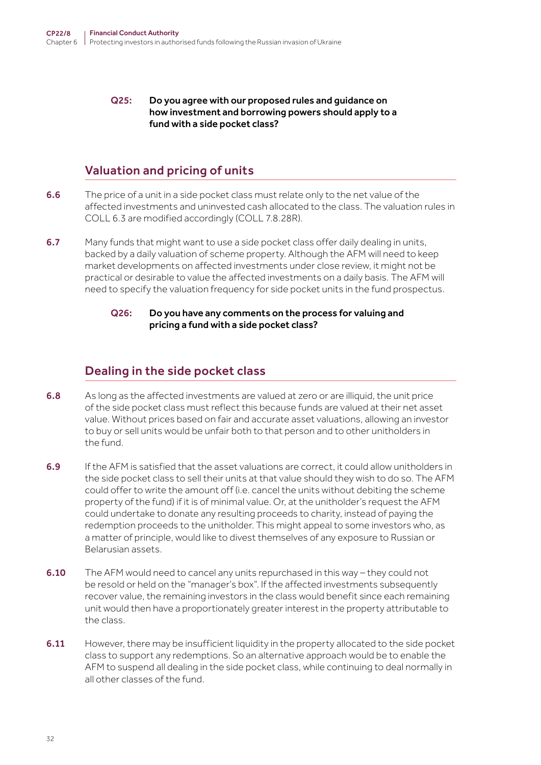#### Q25: Do you agree with our proposed rules and guidance on how investment and borrowing powers should apply to a fund with a side pocket class?

# Valuation and pricing of units

- 6.6 The price of a unit in a side pocket class must relate only to the net value of the affected investments and uninvested cash allocated to the class. The valuation rules in COLL 6.3 are modified accordingly (COLL 7.8.28R).
- 6.7 Many funds that might want to use a side pocket class offer daily dealing in units, backed by a daily valuation of scheme property. Although the AFM will need to keep market developments on affected investments under close review, it might not be practical or desirable to value the affected investments on a daily basis. The AFM will need to specify the valuation frequency for side pocket units in the fund prospectus.

#### Q26: Do you have any comments on the process for valuing and pricing a fund with a side pocket class?

# Dealing in the side pocket class

- 6.8 As long as the affected investments are valued at zero or are illiquid, the unit price of the side pocket class must reflect this because funds are valued at their net asset value. Without prices based on fair and accurate asset valuations, allowing an investor to buy or sell units would be unfair both to that person and to other unitholders in the fund.
- 6.9 If the AFM is satisfied that the asset valuations are correct, it could allow unitholders in the side pocket class to sell their units at that value should they wish to do so. The AFM could offer to write the amount off (i.e. cancel the units without debiting the scheme property of the fund) if it is of minimal value. Or, at the unitholder's request the AFM could undertake to donate any resulting proceeds to charity, instead of paying the redemption proceeds to the unitholder. This might appeal to some investors who, as a matter of principle, would like to divest themselves of any exposure to Russian or Belarusian assets.
- 6.10 The AFM would need to cancel any units repurchased in this way they could not be resold or held on the "manager's box". If the affected investments subsequently recover value, the remaining investors in the class would benefit since each remaining unit would then have a proportionately greater interest in the property attributable to the class.
- 6.11 However, there may be insufficient liquidity in the property allocated to the side pocket class to support any redemptions. So an alternative approach would be to enable the AFM to suspend all dealing in the side pocket class, while continuing to deal normally in all other classes of the fund.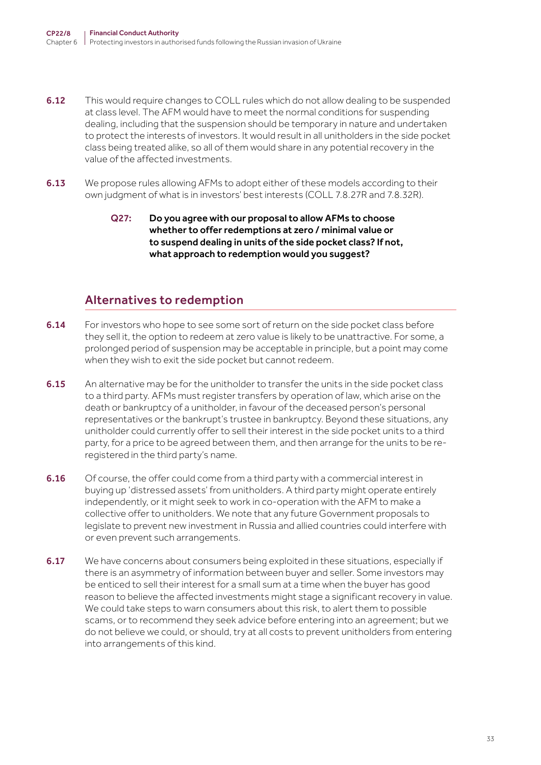- 6.12 This would require changes to COLL rules which do not allow dealing to be suspended at class level. The AFM would have to meet the normal conditions for suspending dealing, including that the suspension should be temporary in nature and undertaken to protect the interests of investors. It would result in all unitholders in the side pocket class being treated alike, so all of them would share in any potential recovery in the value of the affected investments.
- 6.13 We propose rules allowing AFMs to adopt either of these models according to their own judgment of what is in investors' best interests (COLL 7.8.27R and 7.8.32R).
	- Q27: Do you agree with our proposal to allow AFMs to choose whether to offer redemptions at zero / minimal value or to suspend dealing in units of the side pocket class? If not, what approach to redemption would you suggest?

### Alternatives to redemption

- 6.14 For investors who hope to see some sort of return on the side pocket class before they sell it, the option to redeem at zero value is likely to be unattractive. For some, a prolonged period of suspension may be acceptable in principle, but a point may come when they wish to exit the side pocket but cannot redeem.
- 6.15 An alternative may be for the unitholder to transfer the units in the side pocket class to a third party. AFMs must register transfers by operation of law, which arise on the death or bankruptcy of a unitholder, in favour of the deceased person's personal representatives or the bankrupt's trustee in bankruptcy. Beyond these situations, any unitholder could currently offer to sell their interest in the side pocket units to a third party, for a price to be agreed between them, and then arrange for the units to be reregistered in the third party's name.
- 6.16 Of course, the offer could come from a third party with a commercial interest in buying up 'distressed assets' from unitholders. A third party might operate entirely independently, or it might seek to work in co-operation with the AFM to make a collective offer to unitholders. We note that any future Government proposals to legislate to prevent new investment in Russia and allied countries could interfere with or even prevent such arrangements.
- 6.17 We have concerns about consumers being exploited in these situations, especially if there is an asymmetry of information between buyer and seller. Some investors may be enticed to sell their interest for a small sum at a time when the buyer has good reason to believe the affected investments might stage a significant recovery in value. We could take steps to warn consumers about this risk, to alert them to possible scams, or to recommend they seek advice before entering into an agreement; but we do not believe we could, or should, try at all costs to prevent unitholders from entering into arrangements of this kind.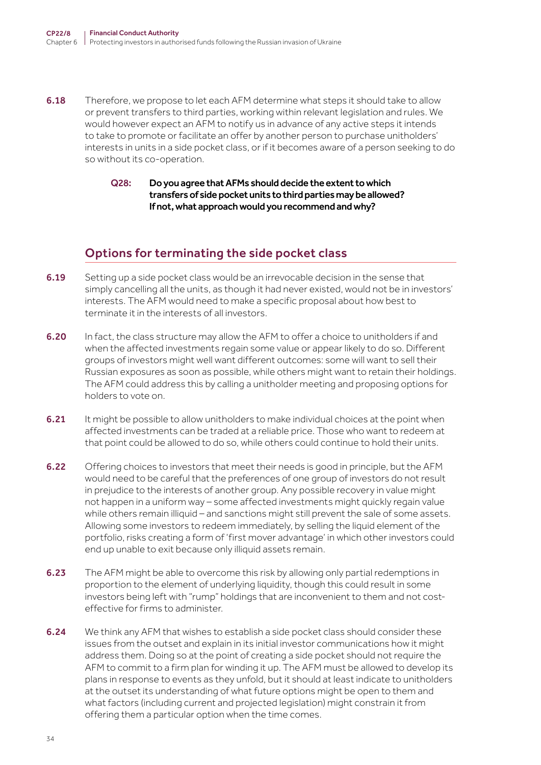- 6.18 Therefore, we propose to let each AFM determine what steps it should take to allow or prevent transfers to third parties, working within relevant legislation and rules. We would however expect an AFM to notify us in advance of any active steps it intends to take to promote or facilitate an offer by another person to purchase unitholders' interests in units in a side pocket class, or if it becomes aware of a person seeking to do so without its co-operation.
	- Q28: Do you agree that AFMs should decide the extent to which transfers of side pocket units to third parties may be allowed? If not, what approach would you recommend and why?

# Options for terminating the side pocket class

- 6.19 Setting up a side pocket class would be an irrevocable decision in the sense that simply cancelling all the units, as though it had never existed, would not be in investors' interests. The AFM would need to make a specific proposal about how best to terminate it in the interests of all investors.
- 6.20 In fact, the class structure may allow the AFM to offer a choice to unitholders if and when the affected investments regain some value or appear likely to do so. Different groups of investors might well want different outcomes: some will want to sell their Russian exposures as soon as possible, while others might want to retain their holdings. The AFM could address this by calling a unitholder meeting and proposing options for holders to vote on.
- 6.21 It might be possible to allow unitholders to make individual choices at the point when affected investments can be traded at a reliable price. Those who want to redeem at that point could be allowed to do so, while others could continue to hold their units.
- 6.22 Offering choices to investors that meet their needs is good in principle, but the AFM would need to be careful that the preferences of one group of investors do not result in prejudice to the interests of another group. Any possible recovery in value might not happen in a uniform way – some affected investments might quickly regain value while others remain illiquid – and sanctions might still prevent the sale of some assets. Allowing some investors to redeem immediately, by selling the liquid element of the portfolio, risks creating a form of 'first mover advantage' in which other investors could end up unable to exit because only illiquid assets remain.
- 6.23 The AFM might be able to overcome this risk by allowing only partial redemptions in proportion to the element of underlying liquidity, though this could result in some investors being left with "rump" holdings that are inconvenient to them and not costeffective for firms to administer.
- **6.24** We think any AFM that wishes to establish a side pocket class should consider these issues from the outset and explain in its initial investor communications how it might address them. Doing so at the point of creating a side pocket should not require the AFM to commit to a firm plan for winding it up. The AFM must be allowed to develop its plans in response to events as they unfold, but it should at least indicate to unitholders at the outset its understanding of what future options might be open to them and what factors (including current and projected legislation) might constrain it from offering them a particular option when the time comes.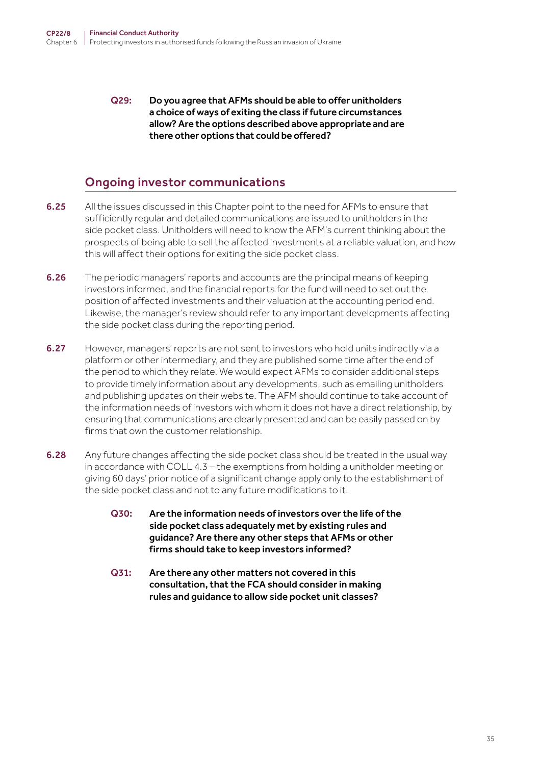Q29: Do you agree that AFMs should be able to offer unitholders a choice of ways of exiting the class if future circumstances allow? Are the options described above appropriate and are there other options that could be offered?

# Ongoing investor communications

- 6.25 All the issues discussed in this Chapter point to the need for AFMs to ensure that sufficiently regular and detailed communications are issued to unitholders in the side pocket class. Unitholders will need to know the AFM's current thinking about the prospects of being able to sell the affected investments at a reliable valuation, and how this will affect their options for exiting the side pocket class.
- **6.26** The periodic managers' reports and accounts are the principal means of keeping investors informed, and the financial reports for the fund will need to set out the position of affected investments and their valuation at the accounting period end. Likewise, the manager's review should refer to any important developments affecting the side pocket class during the reporting period.
- 6.27 However, managers' reports are not sent to investors who hold units indirectly via a platform or other intermediary, and they are published some time after the end of the period to which they relate. We would expect AFMs to consider additional steps to provide timely information about any developments, such as emailing unitholders and publishing updates on their website. The AFM should continue to take account of the information needs of investors with whom it does not have a direct relationship, by ensuring that communications are clearly presented and can be easily passed on by firms that own the customer relationship.
- 6.28 Any future changes affecting the side pocket class should be treated in the usual way in accordance with COLL 4.3 – the exemptions from holding a unitholder meeting or giving 60 days' prior notice of a significant change apply only to the establishment of the side pocket class and not to any future modifications to it.
	- Q30: Are the information needs of investors over the life of the side pocket class adequately met by existing rules and guidance? Are there any other steps that AFMs or other firms should take to keep investors informed?
	- Q31: Are there any other matters not covered in this consultation, that the FCA should consider in making rules and guidance to allow side pocket unit classes?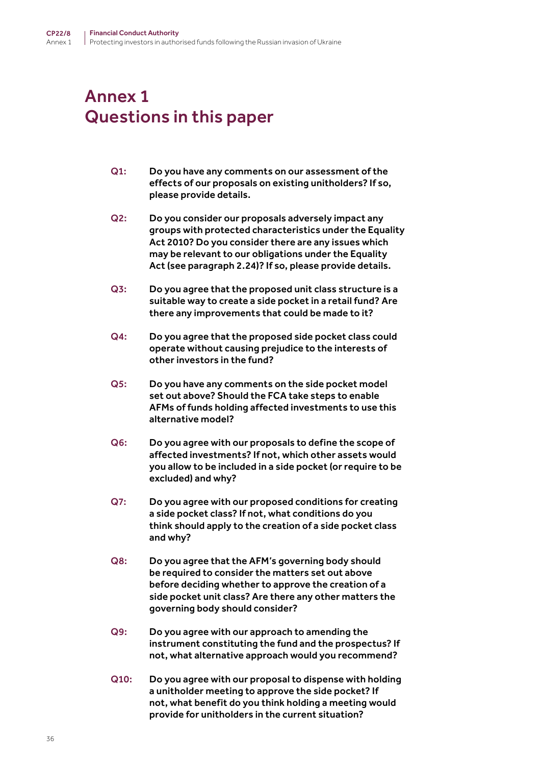# <span id="page-35-0"></span>Annex 1 Questions in this paper

- Q1: Do you have any comments on our assessment of the effects of our proposals on existing unitholders? If so, please provide details.
- Q2: Do you consider our proposals adversely impact any groups with protected characteristics under the Equality Act 2010? Do you consider there are any issues which may be relevant to our obligations under the Equality Act (see paragraph 2.24)? If so, please provide details.
- Q3: Do you agree that the proposed unit class structure is a suitable way to create a side pocket in a retail fund? Are there any improvements that could be made to it?
- Q4: Do you agree that the proposed side pocket class could operate without causing prejudice to the interests of other investors in the fund?
- Q5: Do you have any comments on the side pocket model set out above? Should the FCA take steps to enable AFMs of funds holding affected investments to use this alternative model?
- Q6: Do you agree with our proposals to define the scope of affected investments? If not, which other assets would you allow to be included in a side pocket (or require to be excluded) and why?
- Q7: Do you agree with our proposed conditions for creating a side pocket class? If not, what conditions do you think should apply to the creation of a side pocket class and why?
- Q8: Do you agree that the AFM's governing body should be required to consider the matters set out above before deciding whether to approve the creation of a side pocket unit class? Are there any other matters the governing body should consider?
- Q9: Do you agree with our approach to amending the instrument constituting the fund and the prospectus? If not, what alternative approach would you recommend?
- Q10: Do you agree with our proposal to dispense with holding a unitholder meeting to approve the side pocket? If not, what benefit do you think holding a meeting would provide for unitholders in the current situation?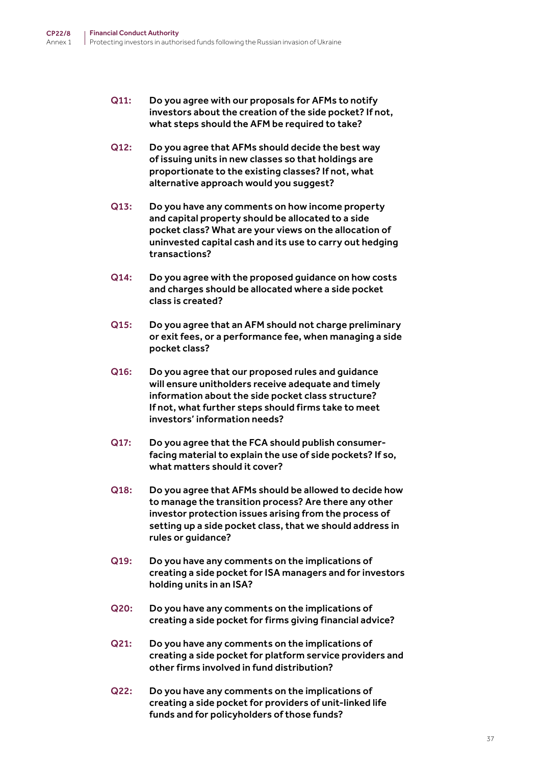- Q11: Do you agree with our proposals for AFMs to notify investors about the creation of the side pocket? If not, what steps should the AFM be required to take?
- Q12: Do you agree that AFMs should decide the best way of issuing units in new classes so that holdings are proportionate to the existing classes? If not, what alternative approach would you suggest?
- Q13: Do you have any comments on how income property and capital property should be allocated to a side pocket class? What are your views on the allocation of uninvested capital cash and its use to carry out hedging transactions?
- Q14: Do you agree with the proposed guidance on how costs and charges should be allocated where a side pocket class is created?
- Q15: Do you agree that an AFM should not charge preliminary or exit fees, or a performance fee, when managing a side pocket class?
- Q16: Do you agree that our proposed rules and guidance will ensure unitholders receive adequate and timely information about the side pocket class structure? If not, what further steps should firms take to meet investors' information needs?
- Q17: Do you agree that the FCA should publish consumerfacing material to explain the use of side pockets? If so, what matters should it cover?
- Q18: Do you agree that AFMs should be allowed to decide how to manage the transition process? Are there any other investor protection issues arising from the process of setting up a side pocket class, that we should address in rules or guidance?
- Q19: Do you have any comments on the implications of creating a side pocket for ISA managers and for investors holding units in an ISA?
- Q20: Do you have any comments on the implications of creating a side pocket for firms giving financial advice?
- Q21: Do you have any comments on the implications of creating a side pocket for platform service providers and other firms involved in fund distribution?
- Q22: Do you have any comments on the implications of creating a side pocket for providers of unit-linked life funds and for policyholders of those funds?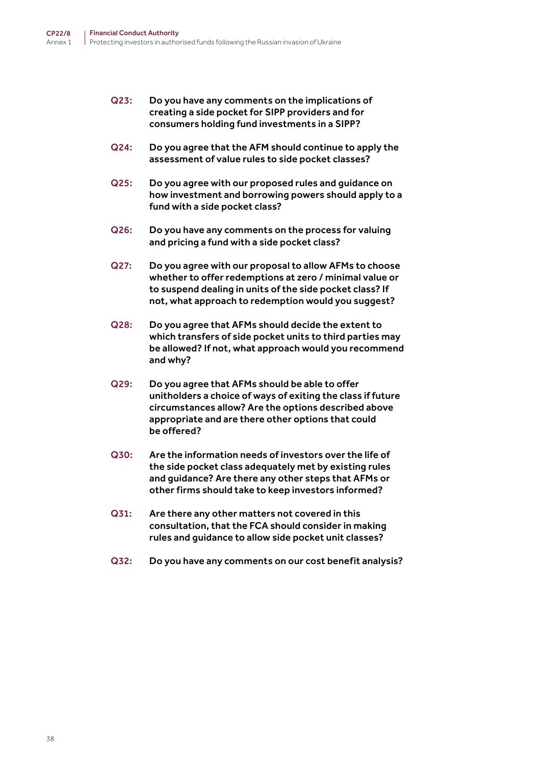- Q23: Do you have any comments on the implications of creating a side pocket for SIPP providers and for consumers holding fund investments in a SIPP?
- Q24: Do you agree that the AFM should continue to apply the assessment of value rules to side pocket classes?
- Q25: Do you agree with our proposed rules and guidance on how investment and borrowing powers should apply to a fund with a side pocket class?
- Q26: Do you have any comments on the process for valuing and pricing a fund with a side pocket class?
- Q27: Do you agree with our proposal to allow AFMs to choose whether to offer redemptions at zero / minimal value or to suspend dealing in units of the side pocket class? If not, what approach to redemption would you suggest?
- Q28: Do you agree that AFMs should decide the extent to which transfers of side pocket units to third parties may be allowed? If not, what approach would you recommend and why?
- Q29: Do you agree that AFMs should be able to offer unitholders a choice of ways of exiting the class if future circumstances allow? Are the options described above appropriate and are there other options that could be offered?
- Q30: Are the information needs of investors over the life of the side pocket class adequately met by existing rules and guidance? Are there any other steps that AFMs or other firms should take to keep investors informed?
- Q31: Are there any other matters not covered in this consultation, that the FCA should consider in making rules and guidance to allow side pocket unit classes?
- Q32: Do you have any comments on our cost benefit analysis?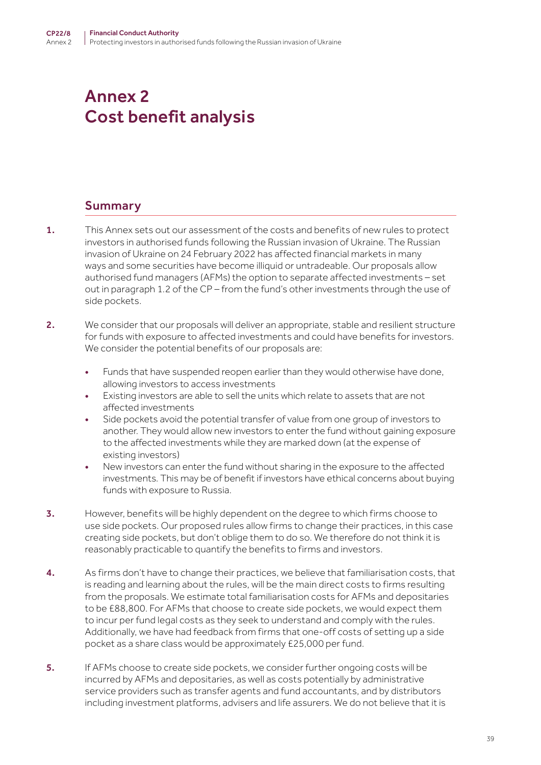# Annex 2 Cost benefit analysis

## Summary

- 1. This Annex sets out our assessment of the costs and benefits of new rules to protect investors in authorised funds following the Russian invasion of Ukraine. The Russian invasion of Ukraine on 24 February 2022 has affected financial markets in many ways and some securities have become illiquid or untradeable. Our proposals allow authorised fund managers (AFMs) the option to separate affected investments – set out in paragraph 1.2 of the CP – from the fund's other investments through the use of side pockets.
- 2. We consider that our proposals will deliver an appropriate, stable and resilient structure for funds with exposure to affected investments and could have benefits for investors. We consider the potential benefits of our proposals are:
	- Funds that have suspended reopen earlier than they would otherwise have done, allowing investors to access investments
	- Existing investors are able to sell the units which relate to assets that are not affected investments
	- Side pockets avoid the potential transfer of value from one group of investors to another. They would allow new investors to enter the fund without gaining exposure to the affected investments while they are marked down (at the expense of existing investors)
	- New investors can enter the fund without sharing in the exposure to the affected investments. This may be of benefit if investors have ethical concerns about buying funds with exposure to Russia.
- 3. However, benefits will be highly dependent on the degree to which firms choose to use side pockets. Our proposed rules allow firms to change their practices, in this case creating side pockets, but don't oblige them to do so. We therefore do not think it is reasonably practicable to quantify the benefits to firms and investors.
- 4. As firms don't have to change their practices, we believe that familiarisation costs, that is reading and learning about the rules, will be the main direct costs to firms resulting from the proposals. We estimate total familiarisation costs for AFMs and depositaries to be £88,800. For AFMs that choose to create side pockets, we would expect them to incur per fund legal costs as they seek to understand and comply with the rules. Additionally, we have had feedback from firms that one-off costs of setting up a side pocket as a share class would be approximately £25,000 per fund.
- 5. If AFMs choose to create side pockets, we consider further ongoing costs will be incurred by AFMs and depositaries, as well as costs potentially by administrative service providers such as transfer agents and fund accountants, and by distributors including investment platforms, advisers and life assurers. We do not believe that it is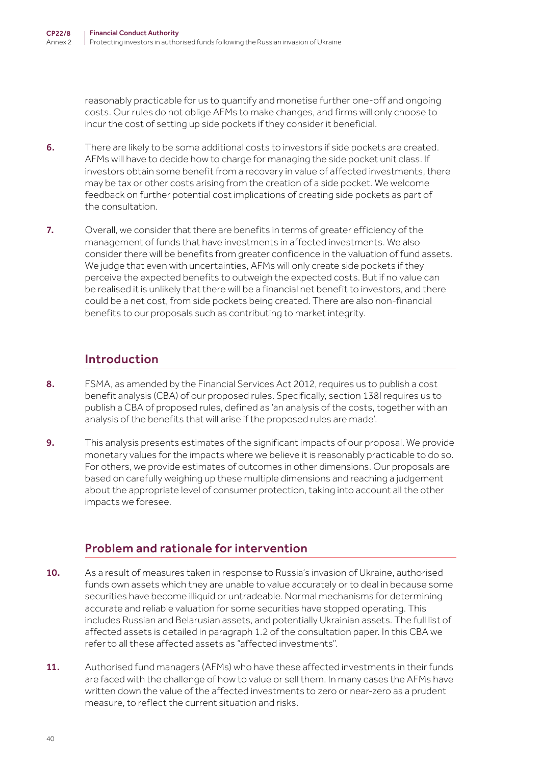reasonably practicable for us to quantify and monetise further one-off and ongoing costs. Our rules do not oblige AFMs to make changes, and firms will only choose to incur the cost of setting up side pockets if they consider it beneficial.

- 6. There are likely to be some additional costs to investors if side pockets are created. AFMs will have to decide how to charge for managing the side pocket unit class. If investors obtain some benefit from a recovery in value of affected investments, there may be tax or other costs arising from the creation of a side pocket. We welcome feedback on further potential cost implications of creating side pockets as part of the consultation.
- 7. Overall, we consider that there are benefits in terms of greater efficiency of the management of funds that have investments in affected investments. We also consider there will be benefits from greater confidence in the valuation of fund assets. We judge that even with uncertainties, AFMs will only create side pockets if they perceive the expected benefits to outweigh the expected costs. But if no value can be realised it is unlikely that there will be a financial net benefit to investors, and there could be a net cost, from side pockets being created. There are also non-financial benefits to our proposals such as contributing to market integrity.

## Introduction

- 8. FSMA, as amended by the Financial Services Act 2012, requires us to publish a cost benefit analysis (CBA) of our proposed rules. Specifically, section 138I requires us to publish a CBA of proposed rules, defined as 'an analysis of the costs, together with an analysis of the benefits that will arise if the proposed rules are made'.
- 9. This analysis presents estimates of the significant impacts of our proposal. We provide monetary values for the impacts where we believe it is reasonably practicable to do so. For others, we provide estimates of outcomes in other dimensions. Our proposals are based on carefully weighing up these multiple dimensions and reaching a judgement about the appropriate level of consumer protection, taking into account all the other impacts we foresee.

## Problem and rationale for intervention

- 10. As a result of measures taken in response to Russia's invasion of Ukraine, authorised funds own assets which they are unable to value accurately or to deal in because some securities have become illiquid or untradeable. Normal mechanisms for determining accurate and reliable valuation for some securities have stopped operating. This includes Russian and Belarusian assets, and potentially Ukrainian assets. The full list of affected assets is detailed in paragraph 1.2 of the consultation paper. In this CBA we refer to all these affected assets as "affected investments".
- 11. Authorised fund managers (AFMs) who have these affected investments in their funds are faced with the challenge of how to value or sell them. In many cases the AFMs have written down the value of the affected investments to zero or near-zero as a prudent measure, to reflect the current situation and risks.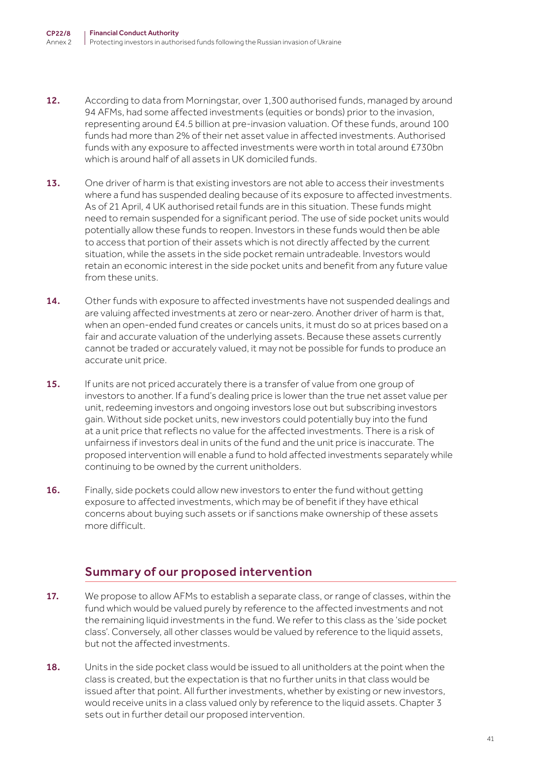- 12. According to data from Morningstar, over 1,300 authorised funds, managed by around 94 AFMs, had some affected investments (equities or bonds) prior to the invasion, representing around £4.5 billion at pre-invasion valuation. Of these funds, around 100 funds had more than 2% of their net asset value in affected investments. Authorised funds with any exposure to affected investments were worth in total around £730bn which is around half of all assets in UK domiciled funds.
- 13. One driver of harm is that existing investors are not able to access their investments where a fund has suspended dealing because of its exposure to affected investments. As of 21 April, 4 UK authorised retail funds are in this situation. These funds might need to remain suspended for a significant period. The use of side pocket units would potentially allow these funds to reopen. Investors in these funds would then be able to access that portion of their assets which is not directly affected by the current situation, while the assets in the side pocket remain untradeable. Investors would retain an economic interest in the side pocket units and benefit from any future value from these units.
- 14. Other funds with exposure to affected investments have not suspended dealings and are valuing affected investments at zero or near-zero. Another driver of harm is that, when an open-ended fund creates or cancels units, it must do so at prices based on a fair and accurate valuation of the underlying assets. Because these assets currently cannot be traded or accurately valued, it may not be possible for funds to produce an accurate unit price.
- 15. If units are not priced accurately there is a transfer of value from one group of investors to another. If a fund's dealing price is lower than the true net asset value per unit, redeeming investors and ongoing investors lose out but subscribing investors gain. Without side pocket units, new investors could potentially buy into the fund at a unit price that reflects no value for the affected investments. There is a risk of unfairness if investors deal in units of the fund and the unit price is inaccurate. The proposed intervention will enable a fund to hold affected investments separately while continuing to be owned by the current unitholders.
- 16. Finally, side pockets could allow new investors to enter the fund without getting exposure to affected investments, which may be of benefit if they have ethical concerns about buying such assets or if sanctions make ownership of these assets more difficult.

## Summary of our proposed intervention

- 17. We propose to allow AFMs to establish a separate class, or range of classes, within the fund which would be valued purely by reference to the affected investments and not the remaining liquid investments in the fund. We refer to this class as the 'side pocket class'. Conversely, all other classes would be valued by reference to the liquid assets, but not the affected investments.
- 18. Units in the side pocket class would be issued to all unitholders at the point when the class is created, but the expectation is that no further units in that class would be issued after that point. All further investments, whether by existing or new investors, would receive units in a class valued only by reference to the liquid assets. Chapter 3 sets out in further detail our proposed intervention.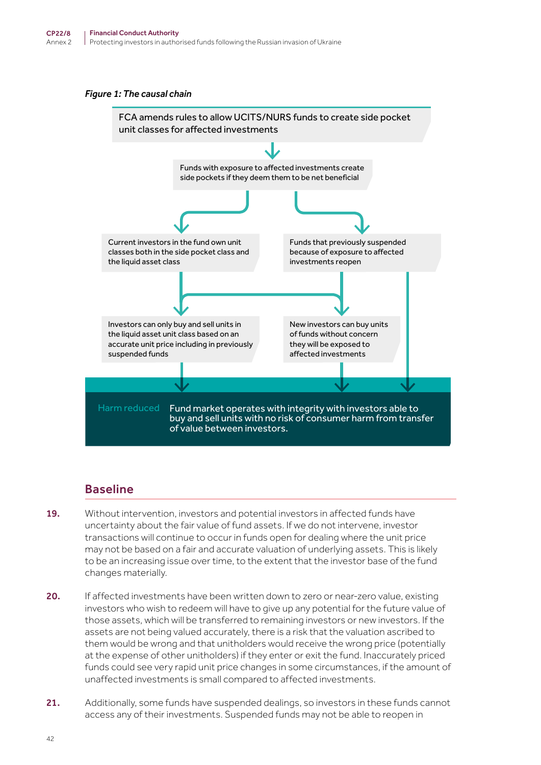#### *Figure 1: The causal chain*



## Baseline

- 19. Without intervention, investors and potential investors in affected funds have uncertainty about the fair value of fund assets. If we do not intervene, investor transactions will continue to occur in funds open for dealing where the unit price may not be based on a fair and accurate valuation of underlying assets. This is likely to be an increasing issue over time, to the extent that the investor base of the fund changes materially.
- 20. If affected investments have been written down to zero or near-zero value, existing investors who wish to redeem will have to give up any potential for the future value of those assets, which will be transferred to remaining investors or new investors. If the assets are not being valued accurately, there is a risk that the valuation ascribed to them would be wrong and that unitholders would receive the wrong price (potentially at the expense of other unitholders) if they enter or exit the fund. Inaccurately priced funds could see very rapid unit price changes in some circumstances, if the amount of unaffected investments is small compared to affected investments.
- 21. Additionally, some funds have suspended dealings, so investors in these funds cannot access any of their investments. Suspended funds may not be able to reopen in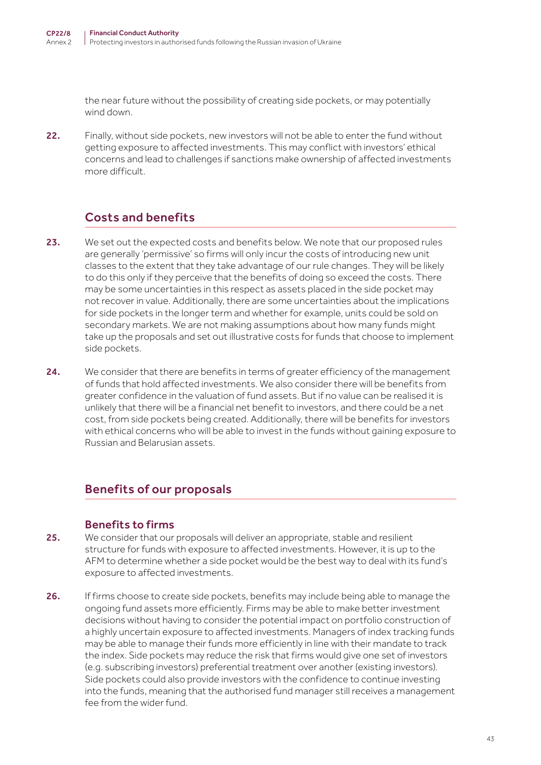the near future without the possibility of creating side pockets, or may potentially wind down.

22. Finally, without side pockets, new investors will not be able to enter the fund without getting exposure to affected investments. This may conflict with investors' ethical concerns and lead to challenges if sanctions make ownership of affected investments more difficult.

## Costs and benefits

- 23. We set out the expected costs and benefits below. We note that our proposed rules are generally 'permissive' so firms will only incur the costs of introducing new unit classes to the extent that they take advantage of our rule changes. They will be likely to do this only if they perceive that the benefits of doing so exceed the costs. There may be some uncertainties in this respect as assets placed in the side pocket may not recover in value. Additionally, there are some uncertainties about the implications for side pockets in the longer term and whether for example, units could be sold on secondary markets. We are not making assumptions about how many funds might take up the proposals and set out illustrative costs for funds that choose to implement side pockets.
- 24. We consider that there are benefits in terms of greater efficiency of the management of funds that hold affected investments. We also consider there will be benefits from greater confidence in the valuation of fund assets. But if no value can be realised it is unlikely that there will be a financial net benefit to investors, and there could be a net cost, from side pockets being created. Additionally, there will be benefits for investors with ethical concerns who will be able to invest in the funds without gaining exposure to Russian and Belarusian assets.

## Benefits of our proposals

### Benefits to firms

- 25. We consider that our proposals will deliver an appropriate, stable and resilient structure for funds with exposure to affected investments. However, it is up to the AFM to determine whether a side pocket would be the best way to deal with its fund's exposure to affected investments.
- 26. If firms choose to create side pockets, benefits may include being able to manage the ongoing fund assets more efficiently. Firms may be able to make better investment decisions without having to consider the potential impact on portfolio construction of a highly uncertain exposure to affected investments. Managers of index tracking funds may be able to manage their funds more efficiently in line with their mandate to track the index. Side pockets may reduce the risk that firms would give one set of investors (e.g. subscribing investors) preferential treatment over another (existing investors). Side pockets could also provide investors with the confidence to continue investing into the funds, meaning that the authorised fund manager still receives a management fee from the wider fund.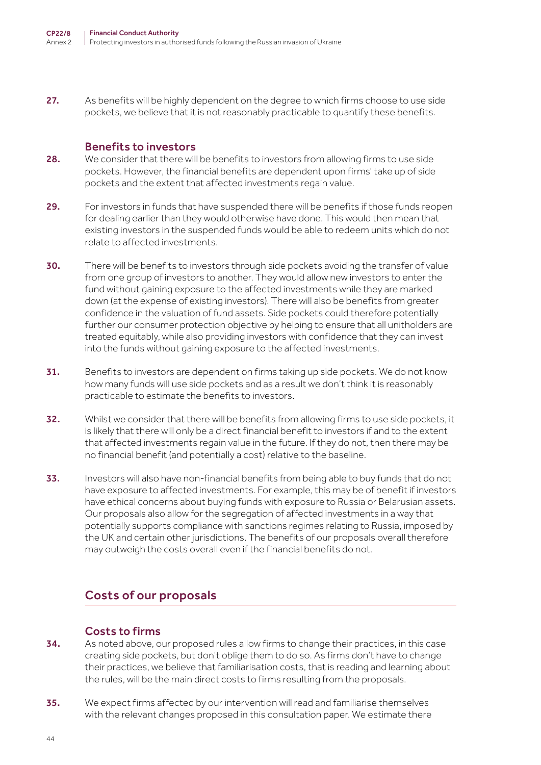27. As benefits will be highly dependent on the degree to which firms choose to use side pockets, we believe that it is not reasonably practicable to quantify these benefits.

#### Benefits to investors

- 28. We consider that there will be benefits to investors from allowing firms to use side pockets. However, the financial benefits are dependent upon firms' take up of side pockets and the extent that affected investments regain value.
- 29. For investors in funds that have suspended there will be benefits if those funds reopen for dealing earlier than they would otherwise have done. This would then mean that existing investors in the suspended funds would be able to redeem units which do not relate to affected investments.
- 30. There will be benefits to investors through side pockets avoiding the transfer of value from one group of investors to another. They would allow new investors to enter the fund without gaining exposure to the affected investments while they are marked down (at the expense of existing investors). There will also be benefits from greater confidence in the valuation of fund assets. Side pockets could therefore potentially further our consumer protection objective by helping to ensure that all unitholders are treated equitably, while also providing investors with confidence that they can invest into the funds without gaining exposure to the affected investments.
- 31. Benefits to investors are dependent on firms taking up side pockets. We do not know how many funds will use side pockets and as a result we don't think it is reasonably practicable to estimate the benefits to investors.
- 32. Whilst we consider that there will be benefits from allowing firms to use side pockets, it is likely that there will only be a direct financial benefit to investors if and to the extent that affected investments regain value in the future. If they do not, then there may be no financial benefit (and potentially a cost) relative to the baseline.
- 33. Investors will also have non-financial benefits from being able to buy funds that do not have exposure to affected investments. For example, this may be of benefit if investors have ethical concerns about buying funds with exposure to Russia or Belarusian assets. Our proposals also allow for the segregation of affected investments in a way that potentially supports compliance with sanctions regimes relating to Russia, imposed by the UK and certain other jurisdictions. The benefits of our proposals overall therefore may outweigh the costs overall even if the financial benefits do not.

## Costs of our proposals

### Costs to firms

- 34. As noted above, our proposed rules allow firms to change their practices, in this case creating side pockets, but don't oblige them to do so. As firms don't have to change their practices, we believe that familiarisation costs, that is reading and learning about the rules, will be the main direct costs to firms resulting from the proposals.
- 35. We expect firms affected by our intervention will read and familiarise themselves with the relevant changes proposed in this consultation paper. We estimate there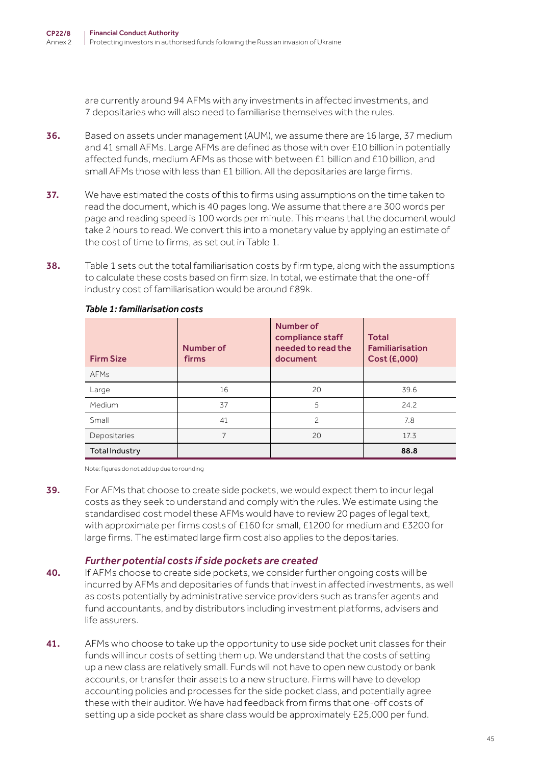are currently around 94 AFMs with any investments in affected investments, and 7 depositaries who will also need to familiarise themselves with the rules.

- 36. Based on assets under management (AUM), we assume there are 16 large, 37 medium and 41 small AFMs. Large AFMs are defined as those with over £10 billion in potentially affected funds, medium AFMs as those with between £1 billion and £10 billion, and small AFMs those with less than £1 billion. All the depositaries are large firms.
- 37. We have estimated the costs of this to firms using assumptions on the time taken to read the document, which is 40 pages long. We assume that there are 300 words per page and reading speed is 100 words per minute. This means that the document would take 2 hours to read. We convert this into a monetary value by applying an estimate of the cost of time to firms, as set out in Table 1.
- 38. Table 1 sets out the total familiarisation costs by firm type, along with the assumptions to calculate these costs based on firm size. In total, we estimate that the one-off industry cost of familiarisation would be around £89k.

| <b>Firm Size</b> | Number of<br>firms | Number of<br>compliance staff<br>needed to read the<br>document | <b>Total</b><br><b>Familiarisation</b><br>Cost (£,000) |
|------------------|--------------------|-----------------------------------------------------------------|--------------------------------------------------------|
| <b>AFMs</b>      |                    |                                                                 |                                                        |
| Large            | 16                 | 20                                                              | 39.6                                                   |
| Medium           | 37                 | 5                                                               | 24.2                                                   |
| Small            | 41                 | $\mathcal{P}$                                                   | 7.8                                                    |
| Depositaries     | 7                  | 20                                                              | 17.3                                                   |
| Total Industry   |                    |                                                                 | 88.8                                                   |

#### *Table 1: familiarisation costs*

Note: figures do not add up due to rounding

39. For AFMs that choose to create side pockets, we would expect them to incur legal costs as they seek to understand and comply with the rules. We estimate using the standardised cost model these AFMs would have to review 20 pages of legal text, with approximate per firms costs of £160 for small, £1200 for medium and £3200 for large firms. The estimated large firm cost also applies to the depositaries.

#### *Further potential costs if side pockets are created*

- 40. If AFMs choose to create side pockets, we consider further ongoing costs will be incurred by AFMs and depositaries of funds that invest in affected investments, as well as costs potentially by administrative service providers such as transfer agents and fund accountants, and by distributors including investment platforms, advisers and life assurers.
- 41. AFMs who choose to take up the opportunity to use side pocket unit classes for their funds will incur costs of setting them up. We understand that the costs of setting up a new class are relatively small. Funds will not have to open new custody or bank accounts, or transfer their assets to a new structure. Firms will have to develop accounting policies and processes for the side pocket class, and potentially agree these with their auditor. We have had feedback from firms that one-off costs of setting up a side pocket as share class would be approximately £25,000 per fund.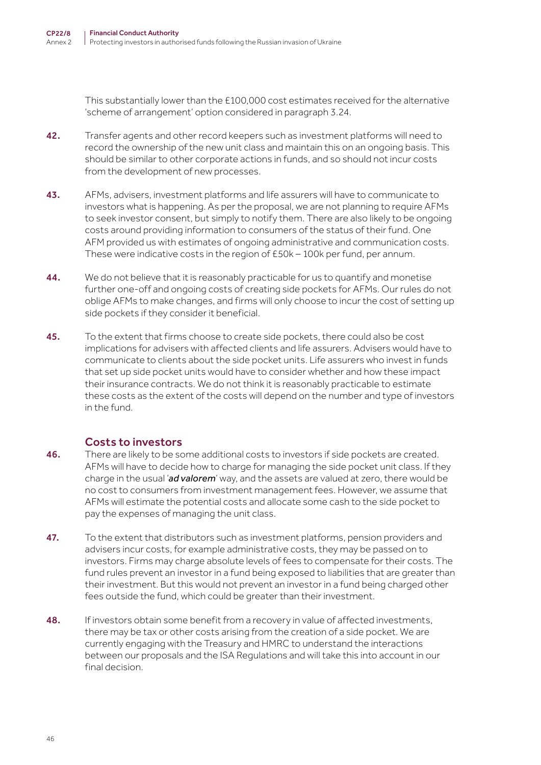This substantially lower than the £100,000 cost estimates received for the alternative 'scheme of arrangement' option considered in paragraph 3.24.

- 42. Transfer agents and other record keepers such as investment platforms will need to record the ownership of the new unit class and maintain this on an ongoing basis. This should be similar to other corporate actions in funds, and so should not incur costs from the development of new processes.
- 43. AFMs, advisers, investment platforms and life assurers will have to communicate to investors what is happening. As per the proposal, we are not planning to require AFMs to seek investor consent, but simply to notify them. There are also likely to be ongoing costs around providing information to consumers of the status of their fund. One AFM provided us with estimates of ongoing administrative and communication costs. These were indicative costs in the region of £50k – 100k per fund, per annum.
- 44. We do not believe that it is reasonably practicable for us to quantify and monetise further one-off and ongoing costs of creating side pockets for AFMs. Our rules do not oblige AFMs to make changes, and firms will only choose to incur the cost of setting up side pockets if they consider it beneficial.
- 45. To the extent that firms choose to create side pockets, there could also be cost implications for advisers with affected clients and life assurers. Advisers would have to communicate to clients about the side pocket units. Life assurers who invest in funds that set up side pocket units would have to consider whether and how these impact their insurance contracts. We do not think it is reasonably practicable to estimate these costs as the extent of the costs will depend on the number and type of investors in the fund.

### Costs to investors

- 46. There are likely to be some additional costs to investors if side pockets are created. AFMs will have to decide how to charge for managing the side pocket unit class. If they charge in the usual '*ad valorem*' way, and the assets are valued at zero, there would be no cost to consumers from investment management fees. However, we assume that AFMs will estimate the potential costs and allocate some cash to the side pocket to pay the expenses of managing the unit class.
- 47. To the extent that distributors such as investment platforms, pension providers and advisers incur costs, for example administrative costs, they may be passed on to investors. Firms may charge absolute levels of fees to compensate for their costs. The fund rules prevent an investor in a fund being exposed to liabilities that are greater than their investment. But this would not prevent an investor in a fund being charged other fees outside the fund, which could be greater than their investment.
- 48. If investors obtain some benefit from a recovery in value of affected investments, there may be tax or other costs arising from the creation of a side pocket. We are currently engaging with the Treasury and HMRC to understand the interactions between our proposals and the ISA Regulations and will take this into account in our final decision.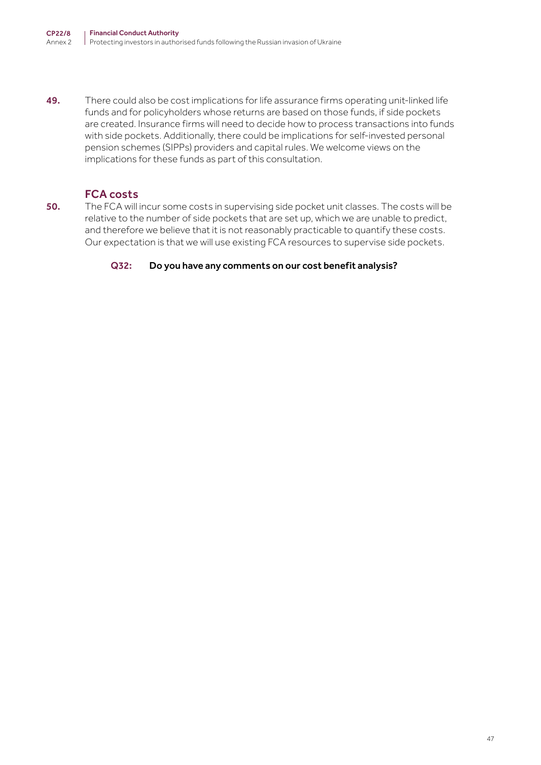49. There could also be cost implications for life assurance firms operating unit-linked life funds and for policyholders whose returns are based on those funds, if side pockets are created. Insurance firms will need to decide how to process transactions into funds with side pockets. Additionally, there could be implications for self-invested personal pension schemes (SIPPs) providers and capital rules. We welcome views on the implications for these funds as part of this consultation.

### FCA costs

50. The FCA will incur some costs in supervising side pocket unit classes. The costs will be relative to the number of side pockets that are set up, which we are unable to predict, and therefore we believe that it is not reasonably practicable to quantify these costs. Our expectation is that we will use existing FCA resources to supervise side pockets.

#### Q32: Do you have any comments on our cost benefit analysis?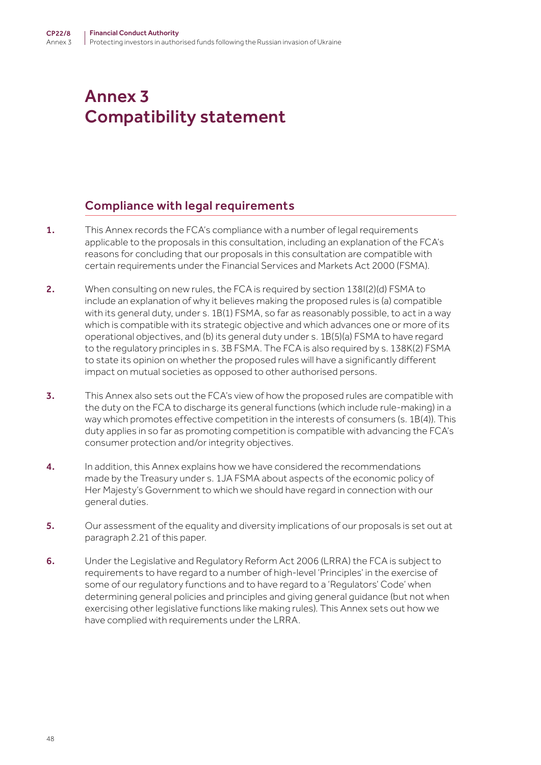# Annex 3 Compatibility statement

## Compliance with legal requirements

- 1. This Annex records the FCA's compliance with a number of legal requirements applicable to the proposals in this consultation, including an explanation of the FCA's reasons for concluding that our proposals in this consultation are compatible with certain requirements under the Financial Services and Markets Act 2000 (FSMA).
- 2. When consulting on new rules, the FCA is required by section 138I(2)(d) FSMA to include an explanation of why it believes making the proposed rules is (a) compatible with its general duty, under s. 1B(1) FSMA, so far as reasonably possible, to act in a way which is compatible with its strategic objective and which advances one or more of its operational objectives, and (b) its general duty under s. 1B(5)(a) FSMA to have regard to the regulatory principles in s. 3B FSMA. The FCA is also required by s. 138K(2) FSMA to state its opinion on whether the proposed rules will have a significantly different impact on mutual societies as opposed to other authorised persons.
- **3.** This Annex also sets out the FCA's view of how the proposed rules are compatible with the duty on the FCA to discharge its general functions (which include rule-making) in a way which promotes effective competition in the interests of consumers (s. 1B(4)). This duty applies in so far as promoting competition is compatible with advancing the FCA's consumer protection and/or integrity objectives.
- 4. In addition, this Annex explains how we have considered the recommendations made by the Treasury under s. 1JA FSMA about aspects of the economic policy of Her Majesty's Government to which we should have regard in connection with our general duties.
- 5. Our assessment of the equality and diversity implications of our proposals is set out at paragraph 2.21 of this paper.
- 6. Under the Legislative and Regulatory Reform Act 2006 (LRRA) the FCA is subject to requirements to have regard to a number of high-level 'Principles' in the exercise of some of our regulatory functions and to have regard to a 'Regulators' Code' when determining general policies and principles and giving general guidance (but not when exercising other legislative functions like making rules). This Annex sets out how we have complied with requirements under the LRRA.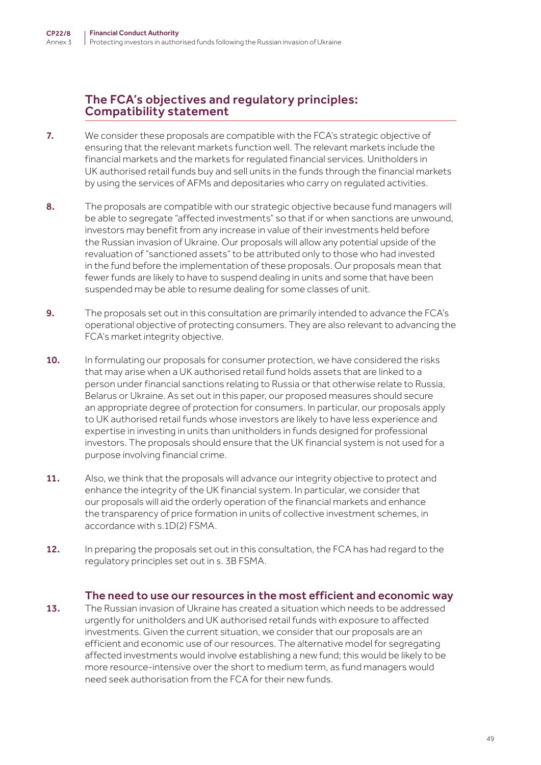## The FCA's objectives and regulatory principles: Compatibility statement

- 7. We consider these proposals are compatible with the FCA's strategic objective of ensuring that the relevant markets function well. The relevant markets include the financial markets and the markets for regulated financial services. Unitholders in UK authorised retail funds buy and sell units in the funds through the financial markets by using the services of AFMs and depositaries who carry on regulated activities.
- 8. The proposals are compatible with our strategic objective because fund managers will be able to segregate "affected investments" so that if or when sanctions are unwound, investors may benefit from any increase in value of their investments held before the Russian invasion of Ukraine. Our proposals will allow any potential upside of the revaluation of "sanctioned assets" to be attributed only to those who had invested in the fund before the implementation of these proposals. Our proposals mean that fewer funds are likely to have to suspend dealing in units and some that have been suspended may be able to resume dealing for some classes of unit.
- 9. The proposals set out in this consultation are primarily intended to advance the FCA's operational objective of protecting consumers. They are also relevant to advancing the FCA's market integrity objective.
- 10. In formulating our proposals for consumer protection, we have considered the risks that may arise when a UK authorised retail fund holds assets that are linked to a person under financial sanctions relating to Russia or that otherwise relate to Russia, Belarus or Ukraine. As set out in this paper, our proposed measures should secure an appropriate degree of protection for consumers. In particular, our proposals apply to UK authorised retail funds whose investors are likely to have less experience and expertise in investing in units than unitholders in funds designed for professional investors. The proposals should ensure that the UK financial system is not used for a purpose involving financial crime.
- 11. Also, we think that the proposals will advance our integrity objective to protect and enhance the integrity of the UK financial system. In particular, we consider that our proposals will aid the orderly operation of the financial markets and enhance the transparency of price formation in units of collective investment schemes, in accordance with s.1D(2) FSMA.
- 12. In preparing the proposals set out in this consultation, the FCA has had regard to the regulatory principles set out in s. 3B FSMA.

### The need to use our resources in the most efficient and economic way

13. The Russian invasion of Ukraine has created a situation which needs to be addressed urgently for unitholders and UK authorised retail funds with exposure to affected investments. Given the current situation, we consider that our proposals are an efficient and economic use of our resources. The alternative model for segregating affected investments would involve establishing a new fund; this would be likely to be more resource-intensive over the short to medium term, as fund managers would need seek authorisation from the FCA for their new funds.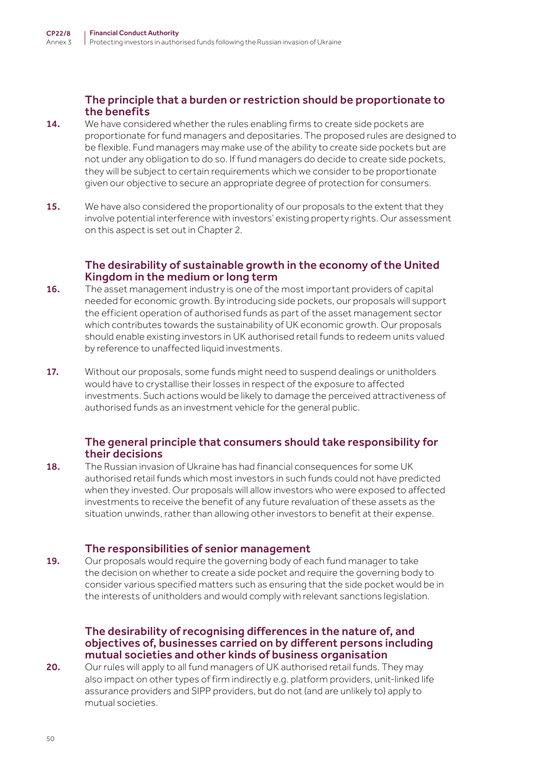### The principle that a burden or restriction should be proportionate to the benefits

- 14. We have considered whether the rules enabling firms to create side pockets are proportionate for fund managers and depositaries. The proposed rules are designed to be flexible. Fund managers may make use of the ability to create side pockets but are not under any obligation to do so. If fund managers do decide to create side pockets, they will be subject to certain requirements which we consider to be proportionate given our objective to secure an appropriate degree of protection for consumers.
- 15. We have also considered the proportionality of our proposals to the extent that they involve potential interference with investors' existing property rights. Our assessment on this aspect is set out in Chapter 2.

#### The desirability of sustainable growth in the economy of the United Kingdom in the medium or long term

- 16. The asset management industry is one of the most important providers of capital needed for economic growth. By introducing side pockets, our proposals will support the efficient operation of authorised funds as part of the asset management sector which contributes towards the sustainability of UK economic growth. Our proposals should enable existing investors in UK authorised retail funds to redeem units valued by reference to unaffected liquid investments.
- 17. Without our proposals, some funds might need to suspend dealings or unitholders would have to crystallise their losses in respect of the exposure to affected investments. Such actions would be likely to damage the perceived attractiveness of authorised funds as an investment vehicle for the general public.

### The general principle that consumers should take responsibility for their decisions

18. The Russian invasion of Ukraine has had financial consequences for some UK authorised retail funds which most investors in such funds could not have predicted when they invested. Our proposals will allow investors who were exposed to affected investments to receive the benefit of any future revaluation of these assets as the situation unwinds, rather than allowing other investors to benefit at their expense.

### The responsibilities of senior management

19. Our proposals would require the governing body of each fund manager to take the decision on whether to create a side pocket and require the governing body to consider various specified matters such as ensuring that the side pocket would be in the interests of unitholders and would comply with relevant sanctions legislation.

#### The desirability of recognising differences in the nature of, and objectives of, businesses carried on by different persons including mutual societies and other kinds of business organisation

20. Our rules will apply to all fund managers of UK authorised retail funds. They may also impact on other types of firm indirectly e.g. platform providers, unit-linked life assurance providers and SIPP providers, but do not (and are unlikely to) apply to mutual societies.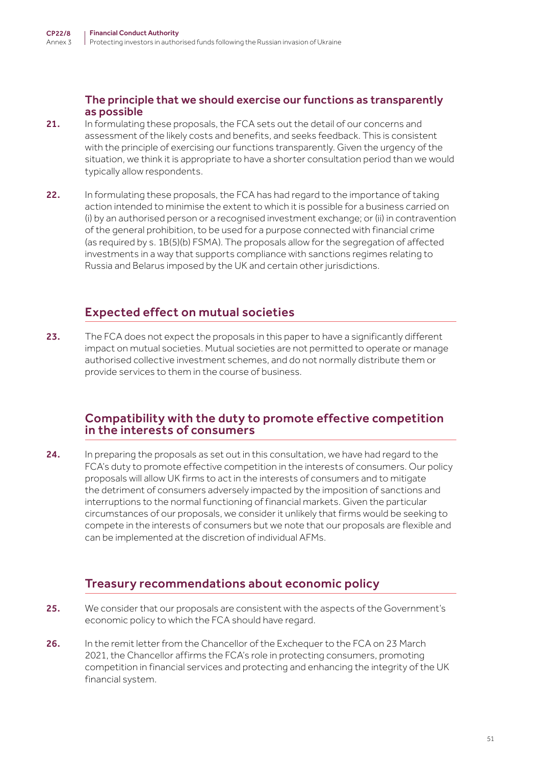The principle that we should exercise our functions as transparently as possible

- 21. In formulating these proposals, the FCA sets out the detail of our concerns and assessment of the likely costs and benefits, and seeks feedback. This is consistent with the principle of exercising our functions transparently. Given the urgency of the situation, we think it is appropriate to have a shorter consultation period than we would typically allow respondents.
- 22. In formulating these proposals, the FCA has had regard to the importance of taking action intended to minimise the extent to which it is possible for a business carried on (i) by an authorised person or a recognised investment exchange; or (ii) in contravention of the general prohibition, to be used for a purpose connected with financial crime (as required by s. 1B(5)(b) FSMA). The proposals allow for the segregation of affected investments in a way that supports compliance with sanctions regimes relating to Russia and Belarus imposed by the UK and certain other jurisdictions.

## Expected effect on mutual societies

23. The FCA does not expect the proposals in this paper to have a significantly different impact on mutual societies. Mutual societies are not permitted to operate or manage authorised collective investment schemes, and do not normally distribute them or provide services to them in the course of business.

## Compatibility with the duty to promote effective competition in the interests of consumers

24. In preparing the proposals as set out in this consultation, we have had regard to the FCA's duty to promote effective competition in the interests of consumers. Our policy proposals will allow UK firms to act in the interests of consumers and to mitigate the detriment of consumers adversely impacted by the imposition of sanctions and interruptions to the normal functioning of financial markets. Given the particular circumstances of our proposals, we consider it unlikely that firms would be seeking to compete in the interests of consumers but we note that our proposals are flexible and can be implemented at the discretion of individual AFMs.

## Treasury recommendations about economic policy

- 25. We consider that our proposals are consistent with the aspects of the Government's economic policy to which the FCA should have regard.
- 26. In the remit letter from the Chancellor of the Exchequer to the FCA on 23 March 2021, the Chancellor affirms the FCA's role in protecting consumers, promoting competition in financial services and protecting and enhancing the integrity of the UK financial system.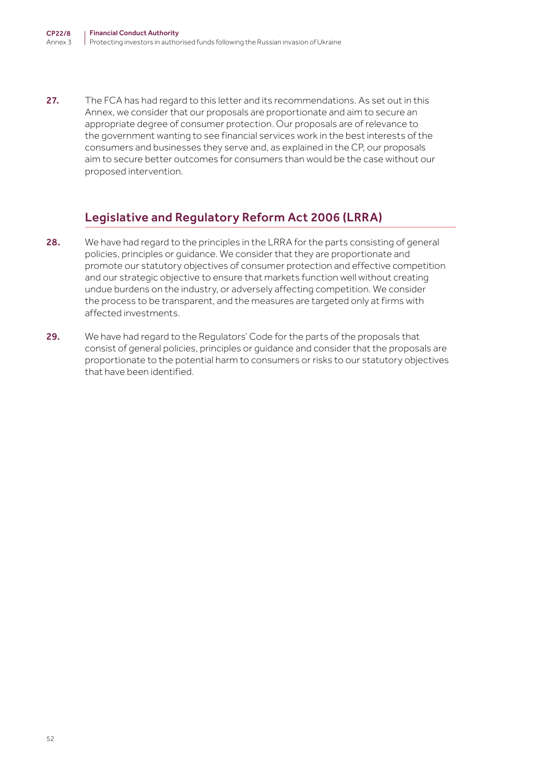27. The FCA has had regard to this letter and its recommendations. As set out in this Annex, we consider that our proposals are proportionate and aim to secure an appropriate degree of consumer protection. Our proposals are of relevance to the government wanting to see financial services work in the best interests of the consumers and businesses they serve and, as explained in the CP, our proposals aim to secure better outcomes for consumers than would be the case without our proposed intervention.

# Legislative and Regulatory Reform Act 2006 (LRRA)

- 28. We have had regard to the principles in the LRRA for the parts consisting of general policies, principles or guidance. We consider that they are proportionate and promote our statutory objectives of consumer protection and effective competition and our strategic objective to ensure that markets function well without creating undue burdens on the industry, or adversely affecting competition. We consider the process to be transparent, and the measures are targeted only at firms with affected investments.
- 29. We have had regard to the Regulators' Code for the parts of the proposals that consist of general policies, principles or guidance and consider that the proposals are proportionate to the potential harm to consumers or risks to our statutory objectives that have been identified.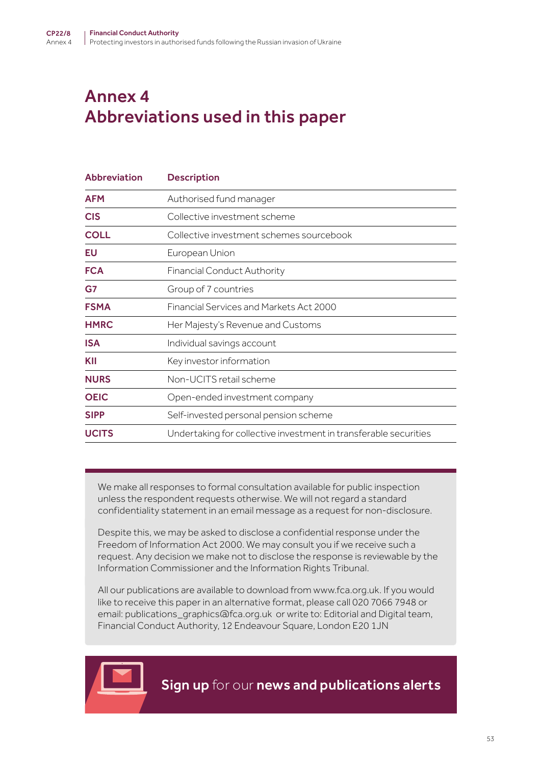# Annex 4 Abbreviations used in this paper

| <b>Abbreviation</b> | <b>Description</b>                                               |
|---------------------|------------------------------------------------------------------|
| <b>AFM</b>          | Authorised fund manager                                          |
| <b>CIS</b>          | Collective investment scheme                                     |
| <b>COLL</b>         | Collective investment schemes sourcebook                         |
| EU                  | European Union                                                   |
| <b>FCA</b>          | <b>Financial Conduct Authority</b>                               |
| G7                  | Group of 7 countries                                             |
| <b>FSMA</b>         | <b>Financial Services and Markets Act 2000</b>                   |
| <b>HMRC</b>         | Her Majesty's Revenue and Customs                                |
| <b>ISA</b>          | Individual savings account                                       |
| KII                 | Key investor information                                         |
| <b>NURS</b>         | Non-UCITS retail scheme                                          |
| <b>OEIC</b>         | Open-ended investment company                                    |
| <b>SIPP</b>         | Self-invested personal pension scheme                            |
| <b>UCITS</b>        | Undertaking for collective investment in transferable securities |

We make all responses to formal consultation available for public inspection unless the respondent requests otherwise. We will not regard a standard confidentiality statement in an email message as a request for non-disclosure.

Despite this, we may be asked to disclose a confidential response under the Freedom of Information Act 2000. We may consult you if we receive such a request. Any decision we make not to disclose the response is reviewable by the Information Commissioner and the Information Rights Tribunal.

All our publications are available to download from www.fca.org.uk. If you would like to receive this paper in an alternative format, please call 020 7066 7948 or email: publications\_graphics@fca.org.uk or write to: Editorial and Digital team, Financial Conduct Authority, 12 Endeavour Square, London E20 1JN

[Sign up](https://www.fca.org.uk/news-and-publications-email-alerts?doc=#utm_source=signup&utm_medium=document&utm_campaign=newsandpubs) for our news and publications alerts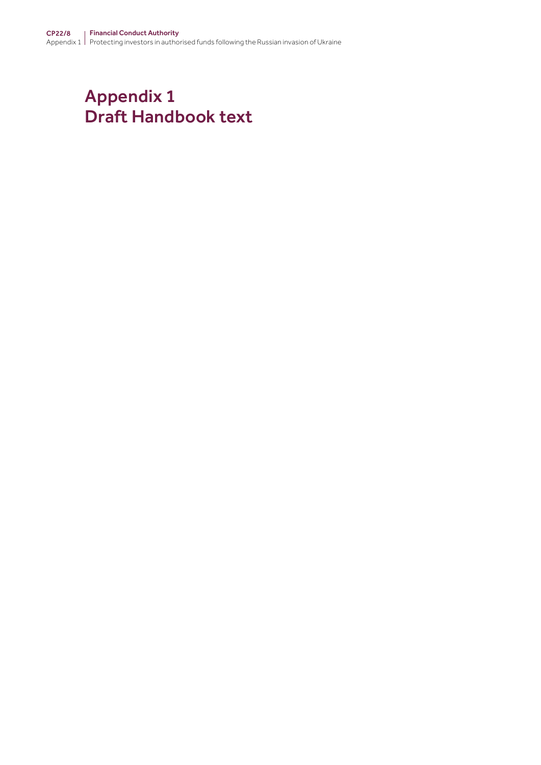# Appendix 1 Draft Handbook text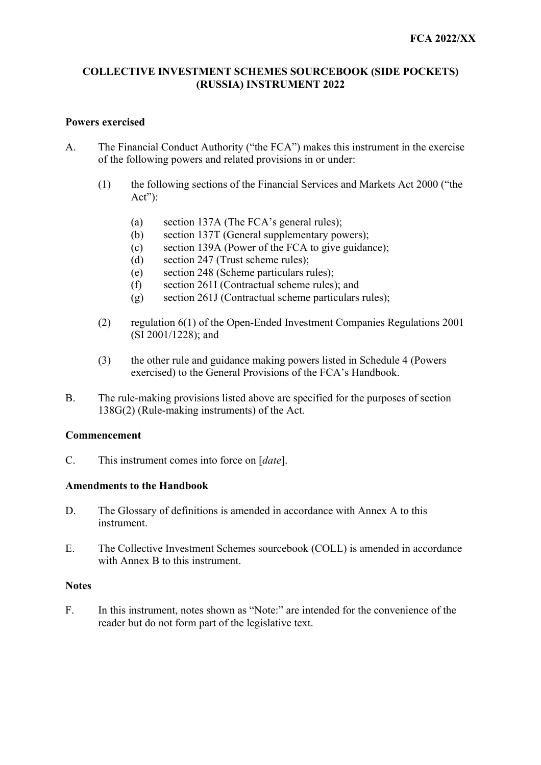#### **COLLECTIVE INVESTMENT SCHEMES SOURCEBOOK (SIDE POCKETS) (RUSSIA) INSTRUMENT 2022**

#### **Powers exercised**

- A. The Financial Conduct Authority ("the FCA") makes this instrument in the exercise of the following powers and related provisions in or under:
	- (1) the following sections of the Financial Services and Markets Act 2000 ("the Act"):
		- (a) section 137A (The FCA's general rules);
		- (b) section 137T (General supplementary powers);
		- (c) section 139A (Power of the FCA to give guidance);<br>
		(d) section 247 (Trust scheme rules);<br>
		(e) section 248 (Scheme particulars rules);
		- section 247 (Trust scheme rules);
		-
		- (f) section 261I (Contractual scheme rules); and
		- (g) section 261J (Contractual scheme particulars rules);
	- (2) regulation 6(1) of the Open-Ended Investment Companies Regulations 2001 (SI 2001/1228); and
	- (3) the other rule and guidance making powers listed in Schedule 4 (Powers exercised) to the General Provisions of the FCA's Handbook.
- B. The rule-making provisions listed above are specified for the purposes of section 138G(2) (Rule-making instruments) of the Act.

#### **Commencement**

C. This instrument comes into force on [*date*].

#### **Amendments to the Handbook**

- $D_{\cdot}$ The Glossary of definitions is amended in accordance with Annex A to this instrument.
- $E.$ The Collective Investment Schemes sourcebook (COLL) is amended in accordance with Annex B to this instrument.

#### **Notes**

F. In this instrument, notes shown as "Note:" are intended for the convenience of the reader but do not form part of the legislative text.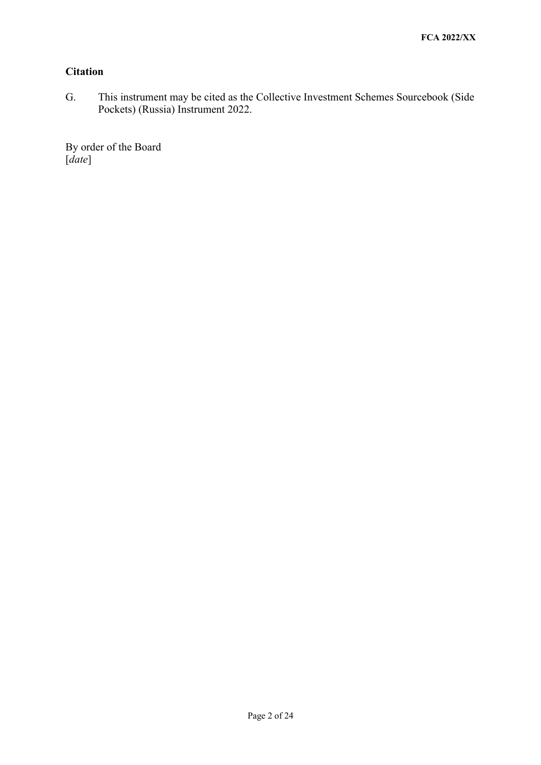### **Citation**

G. This instrument may be cited as the Collective Investment Schemes Sourcebook (Side Pockets) (Russia) Instrument 2022.

By order of the Board [*date*]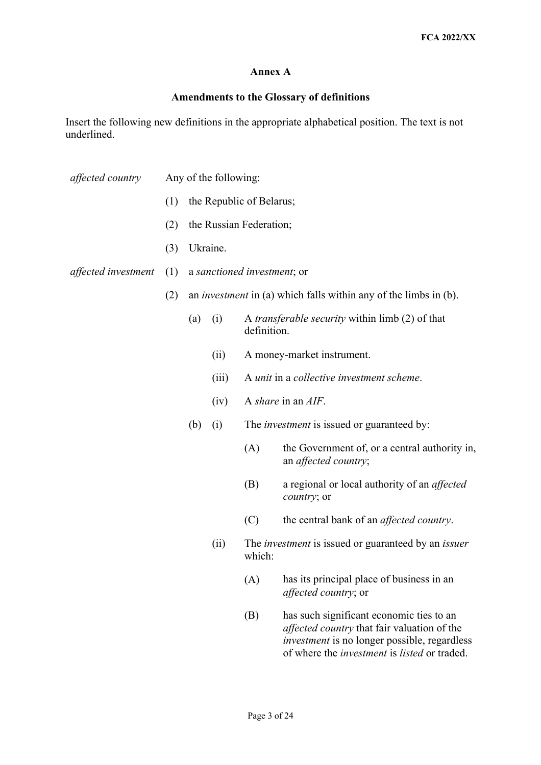#### **Annex A**

#### **Amendments to the Glossary of definitions**

Insert the following new definitions in the appropriate alphabetical position. The text is not underlined.

- *affected country* Any of the following:
	- (1) the Republic of Belarus;
	- (2) the Russian Federation;
	- (3) Ukraine.
- *affected investment* (1) a *sanctioned investment*; or
	- (2) an *investment* in (a) which falls within any of the limbs in (b).
		- (a) (i) A *transferable security* within limb (2) of that definition.
			- (ii) A money-market instrument.
			- (iii) A *unit* in a *collective investment scheme*.
			- (iv) A *share* in an *AIF*.
		- (b) (i) The *investment* is issued or guaranteed by:
			- (A) the Government of, or a central authority in, an *affected country*;
			- (B) a regional or local authority of an *affected country*; or
			- (C) the central bank of an *affected country*.
			- (ii) The *investment* is issued or guaranteed by an *issuer*  which:
				- (A) has its principal place of business in an *affected country*; or
				- of where the *investment* is *listed* or traded. (B) has such significant economic ties to an *affected country* that fair valuation of the *investment* is no longer possible, regardless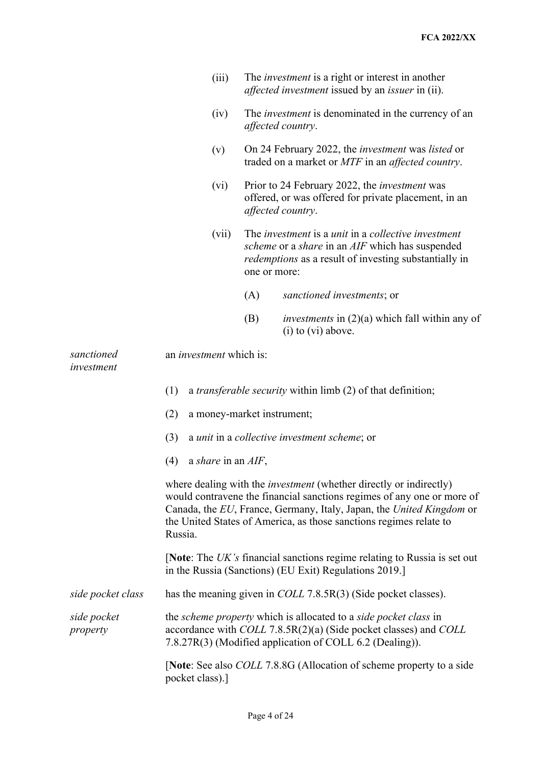|                          |                                                                                                                                                                                                                                                                                                                                                                                                                                                       | (iii)              | The <i>investment</i> is a right or interest in another<br><i>affected investment</i> issued by an <i>issuer</i> in (ii).                                                                                                                                                                                                                 |                                                                                   |  |
|--------------------------|-------------------------------------------------------------------------------------------------------------------------------------------------------------------------------------------------------------------------------------------------------------------------------------------------------------------------------------------------------------------------------------------------------------------------------------------------------|--------------------|-------------------------------------------------------------------------------------------------------------------------------------------------------------------------------------------------------------------------------------------------------------------------------------------------------------------------------------------|-----------------------------------------------------------------------------------|--|
|                          |                                                                                                                                                                                                                                                                                                                                                                                                                                                       | (iv)               | The <i>investment</i> is denominated in the currency of an<br>affected country.                                                                                                                                                                                                                                                           |                                                                                   |  |
|                          |                                                                                                                                                                                                                                                                                                                                                                                                                                                       | (v)                | On 24 February 2022, the <i>investment</i> was <i>listed</i> or<br>traded on a market or MTF in an affected country.                                                                                                                                                                                                                      |                                                                                   |  |
|                          |                                                                                                                                                                                                                                                                                                                                                                                                                                                       | (vi)               | Prior to 24 February 2022, the <i>investment</i> was<br>offered, or was offered for private placement, in an<br>affected country.<br>The <i>investment</i> is a <i>unit</i> in a <i>collective investment</i><br>scheme or a share in an AIF which has suspended<br>redemptions as a result of investing substantially in<br>one or more: |                                                                                   |  |
|                          |                                                                                                                                                                                                                                                                                                                                                                                                                                                       | (vii)              |                                                                                                                                                                                                                                                                                                                                           |                                                                                   |  |
|                          |                                                                                                                                                                                                                                                                                                                                                                                                                                                       |                    | (A)                                                                                                                                                                                                                                                                                                                                       | sanctioned investments; or                                                        |  |
|                          |                                                                                                                                                                                                                                                                                                                                                                                                                                                       |                    | (B)                                                                                                                                                                                                                                                                                                                                       | <i>investments</i> in $(2)(a)$ which fall within any of<br>$(i)$ to $(vi)$ above. |  |
| sanctioned<br>investment | an <i>investment</i> which is:                                                                                                                                                                                                                                                                                                                                                                                                                        |                    |                                                                                                                                                                                                                                                                                                                                           |                                                                                   |  |
|                          | (1)<br>a <i>transferable security</i> within limb (2) of that definition;                                                                                                                                                                                                                                                                                                                                                                             |                    |                                                                                                                                                                                                                                                                                                                                           |                                                                                   |  |
|                          | (2)<br>a money-market instrument;<br>(3)<br>a unit in a collective investment scheme; or                                                                                                                                                                                                                                                                                                                                                              |                    |                                                                                                                                                                                                                                                                                                                                           |                                                                                   |  |
|                          |                                                                                                                                                                                                                                                                                                                                                                                                                                                       |                    |                                                                                                                                                                                                                                                                                                                                           |                                                                                   |  |
|                          | (4)                                                                                                                                                                                                                                                                                                                                                                                                                                                   | a share in an AIF, |                                                                                                                                                                                                                                                                                                                                           |                                                                                   |  |
|                          | where dealing with the <i>investment</i> (whether directly or indirectly)<br>would contravene the financial sanctions regimes of any one or more of<br>Canada, the EU, France, Germany, Italy, Japan, the United Kingdom or<br>the United States of America, as those sanctions regimes relate to<br>Russia.<br>[Note: The $UK$ 's financial sanctions regime relating to Russia is set out<br>in the Russia (Sanctions) (EU Exit) Regulations 2019.] |                    |                                                                                                                                                                                                                                                                                                                                           |                                                                                   |  |
|                          |                                                                                                                                                                                                                                                                                                                                                                                                                                                       |                    |                                                                                                                                                                                                                                                                                                                                           |                                                                                   |  |
| side pocket class        | has the meaning given in <i>COLL</i> 7.8.5R(3) (Side pocket classes).                                                                                                                                                                                                                                                                                                                                                                                 |                    |                                                                                                                                                                                                                                                                                                                                           |                                                                                   |  |
| side pocket<br>property  | the scheme property which is allocated to a side pocket class in<br>accordance with COLL 7.8.5R(2)(a) (Side pocket classes) and COLL<br>7.8.27R(3) (Modified application of COLL 6.2 (Dealing)).                                                                                                                                                                                                                                                      |                    |                                                                                                                                                                                                                                                                                                                                           |                                                                                   |  |
|                          |                                                                                                                                                                                                                                                                                                                                                                                                                                                       | pocket class).]    |                                                                                                                                                                                                                                                                                                                                           | [Note: See also <i>COLL</i> 7.8.8G (Allocation of scheme property to a side       |  |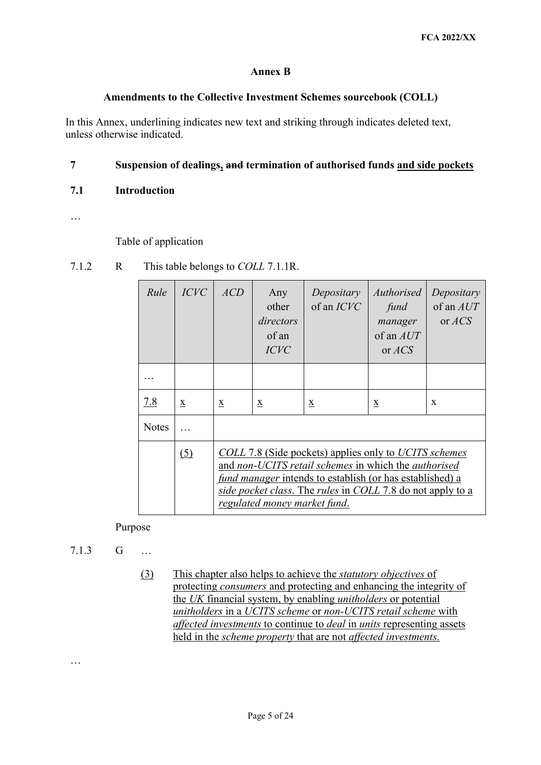#### **Annex B**

#### **Amendments to the Collective Investment Schemes sourcebook (COLL)**

In this Annex, underlining indicates new text and striking through indicates deleted text, unless otherwise indicated.

#### **7 Suspension of dealings, and termination of authorised funds and side pockets**

#### **7.1 Introduction**

…

#### Table of application

| Rule         | <i>ICVC</i> | ACD                                                                                                                                                                                                                                                                     | Any<br>other<br>directors<br>of an<br><b>ICVC</b> | Depositary<br>of an <i>ICVC</i> | Authorised<br>fund<br>manager<br>of an $AUT$<br>or $ACS$ | Depositary<br>of an $AUT$<br>or $ACS$ |  |
|--------------|-------------|-------------------------------------------------------------------------------------------------------------------------------------------------------------------------------------------------------------------------------------------------------------------------|---------------------------------------------------|---------------------------------|----------------------------------------------------------|---------------------------------------|--|
|              |             |                                                                                                                                                                                                                                                                         |                                                   |                                 |                                                          |                                       |  |
| <u>7.8</u>   | X           | $\underline{\mathbf{X}}$                                                                                                                                                                                                                                                | X                                                 | $\underline{\mathbf{X}}$        | $\underline{\mathbf{X}}$                                 | X                                     |  |
| <b>Notes</b> |             |                                                                                                                                                                                                                                                                         |                                                   |                                 |                                                          |                                       |  |
|              | (5)         | COLL 7.8 (Side pockets) applies only to UCITS schemes<br>and non-UCITS retail schemes in which the authorised<br>fund manager intends to establish (or has established) a<br>side pocket class. The rules in COLL 7.8 do not apply to a<br>regulated money market fund. |                                                   |                                 |                                                          |                                       |  |

7.1.2 R This table belongs to *COLL* 7.1.1R.

Purpose

7.1.3 G …

…

 the *UK* financial system, by enabling *unitholders* or potential (3) This chapter also helps to achieve the *statutory objectives* of protecting *consumers* and protecting and enhancing the integrity of *unitholders* in a *UCITS scheme* or *non-UCITS retail scheme* with *affected investments* to continue to *deal* in *units* representing assets held in the *scheme property* that are not *affected investments*.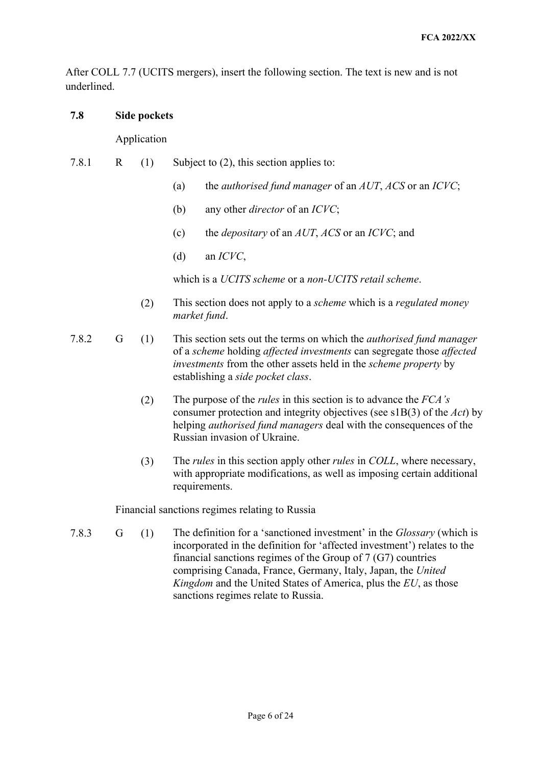After COLL 7.7 (UCITS mergers), insert the following section. The text is new and is not underlined.

### **7.8 Side pockets**

Application

- 7.8.1 R (1) Subject to (2), this section applies to:
	- (a) the *authorised fund manager* of an *AUT*, *ACS* or an *ICVC*;
	- (b) any other *director* of an *ICVC*;
	- (c) the *depositary* of an *AUT*, *ACS* or an *ICVC*; and
	- (d) an *ICVC*,

which is a *UCITS scheme* or a *non-UCITS retail scheme*.

- (2) This section does not apply to a *scheme* which is a *regulated money market fund*.
- establishing a *side pocket class*. 7.8.2 G (1) This section sets out the terms on which the *authorised fund manager*  of a *scheme* holding *affected investments* can segregate those *affected investments* from the other assets held in the *scheme property* by
	- (2) The purpose of the *rules* in this section is to advance the *FCA's*  consumer protection and integrity objectives (see s1B(3) of the *Act*) by helping *authorised fund managers* deal with the consequences of the Russian invasion of Ukraine.
	- (3) The *rules* in this section apply other *rules* in *COLL*, where necessary, with appropriate modifications, as well as imposing certain additional requirements.

Financial sanctions regimes relating to Russia

 7.8.3 G (1) The definition for a 'sanctioned investment' in the *Glossary* (which is incorporated in the definition for 'affected investment') relates to the *Kingdom* and the United States of America, plus the *EU*, as those sanctions regimes relate to Russia. financial sanctions regimes of the Group of 7 (G7) countries comprising Canada, France, Germany, Italy, Japan, the *United*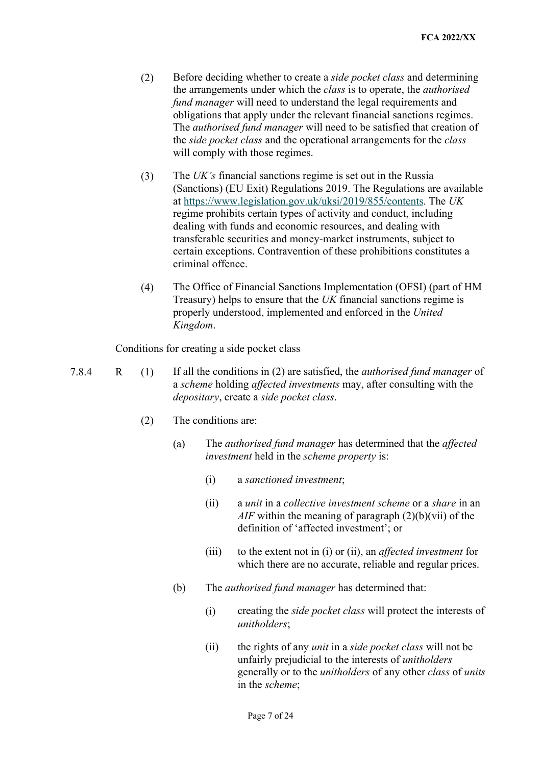- obligations that apply under the relevant financial sanctions regimes.  the *side pocket class* and the operational arrangements for the *class*  will comply with those regimes. (2) Before deciding whether to create a *side pocket class* and determining the arrangements under which the *class* is to operate, the *authorised fund manager* will need to understand the legal requirements and The *authorised fund manager* will need to be satisfied that creation of
- will comply with those regimes.<br>
(3) The *UK's* financial sanctions regime is set out in the Russia at [https://www.legislation.gov.uk/uksi/2019/855/contents.](https://www.legislation.gov.uk/uksi/2019/855/contents) The *UK*  (Sanctions) (EU Exit) Regulations 2019. The Regulations are available regime prohibits certain types of activity and conduct, including dealing with funds and economic resources, and dealing with transferable securities and money-market instruments, subject to certain exceptions. Contravention of these prohibitions constitutes a criminal offence.
- Treasury) helps to ensure that the *UK* financial sanctions regime is (4) The Office of Financial Sanctions Implementation (OFSI) (part of HM properly understood, implemented and enforced in the *United Kingdom*.

Conditions for creating a side pocket class

7.8.4 R (1) If all the conditions in (2) are satisfied, the *authorised fund manager* of a *scheme* holding *affected investments* may, after consulting with the *depositary*, create a *side pocket class*.

- (2) The conditions are:
	- (a) The *authorised fund manager* has determined that the *affected investment* held in the *scheme property* is:
		- a sanctioned investment:
		- (i) a *sanctioned investment*; (ii) a *unit* in a *collective investment scheme* or a *share* in an *AIF* within the meaning of paragraph (2)(b)(vii) of the definition of 'affected investment'; or
		- (iii) to the extent not in (i) or (ii), an *affected investment* for which there are no accurate, reliable and regular prices.
	- The *authorised fund manager* has determined that:
	- (b) The *authorised fund manager* has determined that: (i) creating the *side pocket class* will protect the interests of *unitholders*;
		- (ii) the rights of any *unit* in a *side pocket class* will not be in the *scheme*; unfairly prejudicial to the interests of *unitholders*  generally or to the *unitholders* of any other *class* of *units*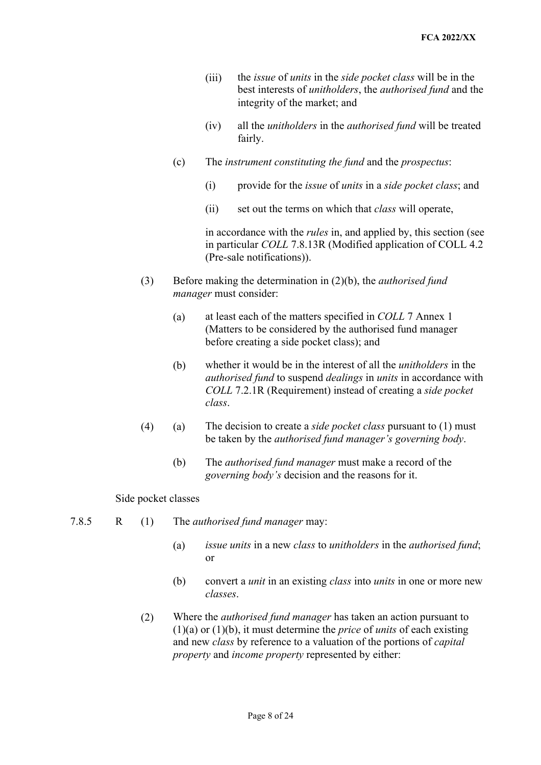- (iii) the *issue* of *units* in the *side pocket class* will be in the best interests of *unitholders*, the *authorised fund* and the integrity of the market; and
- (iv) all the *unitholders* in the *authorised fund* will be treated fairly.
- (c) The *instrument constituting the fund* and the *prospectus*:
	- (i) provide for the *issue* of *units* in a *side pocket class*; and
	- (ii) set out the terms on which that *class* will operate,

in accordance with the *rules* in, and applied by, this section (see in particular *COLL* 7.8.13R (Modified application of COLL 4.2 (Pre-sale notifications)).

- (3) Before making the determination in (2)(b), the *authorised fund manager* must consider:
	- (a) at least each of the matters specified in *COLL* 7 Annex 1 (Matters to be considered by the authorised fund manager before creating a side pocket class); and
	- (b) whether it would be in the interest of all the *unitholders* in the *authorised fund* to suspend *dealings* in *units* in accordance with *COLL* 7.2.1R (Requirement) instead of creating a *side pocket class*.
- (4) (a) The decision to create a *side pocket class* pursuant to (1) must be taken by the *authorised fund manager's governing body*.
	- (b) The *authorised fund manager* must make a record of the *governing body's* decision and the reasons for it.

#### Side pocket classes

- 7.8.5 R (1) The *authorised fund manager* may:
	- (a) *issue units* in a new *class* to *unitholders* in the *authorised fund*; or
	- (b) convert a *unit* in an existing *class* into *units* in one or more new *classes*.
	- (2) Where the *authorised fund manager* has taken an action pursuant to (1)(a) or (1)(b), it must determine the *price* of *units* of each existing and new *class* by reference to a valuation of the portions of *capital property* and *income property* represented by either:<br>Page 8 of 24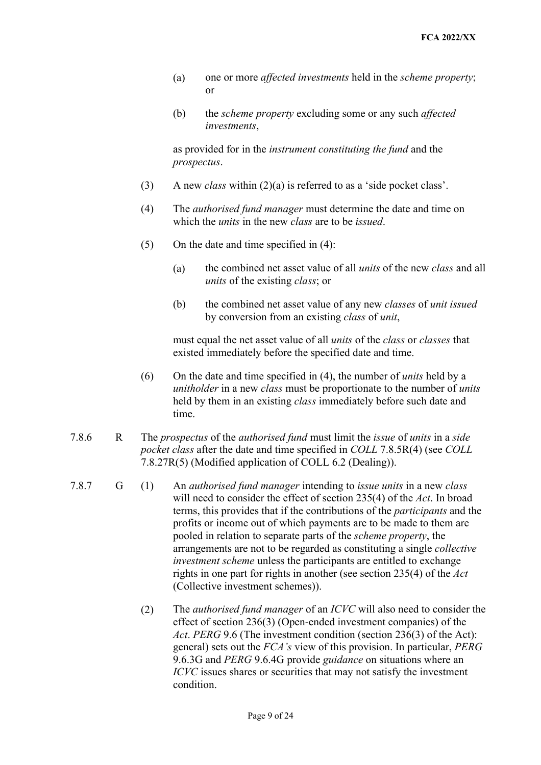- (a) one or more *affected investments* held in the *scheme property*; or
- (b) the *scheme property* excluding some or any such *affected investments*,

 as provided for in the *instrument constituting the fund* and the *prospectus*.

- (3) A new *class* within (2)(a) is referred to as a 'side pocket class'.
- which the *units* in the new *class* are to be *issued*. (4) The *authorised fund manager* must determine the date and time on
- (5) On the date and time specified in (4):
	- (a) the combined net asset value of all *units* of the new *class* and all *units* of the existing *class*; or
	- (b) the combined net asset value of any new *classes* of *unit issued*  by conversion from an existing *class* of *unit*,

 must equal the net asset value of all *units* of the *class* or *classes* that existed immediately before the specified date and time.

- (6) On the date and time specified in (4), the number of *units* held by a *unitholder* in a new *class* must be proportionate to the number of *units*  held by them in an existing *class* immediately before such date and time.
- 7.8.6 R The *prospectus* of the *authorised fund* must limit the *issue* of *units* in a *side pocket class* after the date and time specified in *COLL* 7.8.5R(4) (see *COLL*  7.8.27R(5) (Modified application of COLL 6.2 (Dealing)).
- 7.8.7 G (1) An *authorised fund manager* intending to *issue units* in a new *class*  terms, this provides that if the contributions of the *participants* and the will need to consider the effect of section 235(4) of the *Act*. In broad profits or income out of which payments are to be made to them are pooled in relation to separate parts of the *scheme property*, the arrangements are not to be regarded as constituting a single *collective investment scheme* unless the participants are entitled to exchange rights in one part for rights in another (see section 235(4) of the *Act*  (Collective investment schemes)).
	- general) sets out the *FCA's* view of this provision. In particular, *PERG*  9.6.3G and *PERG* 9.6.4G provide *guidance* on situations where an (2) The *authorised fund manager* of an *ICVC* will also need to consider the effect of section 236(3) (Open-ended investment companies) of the *Act*. *PERG* 9.6 (The investment condition (section 236(3) of the Act): *ICVC* issues shares or securities that may not satisfy the investment condition.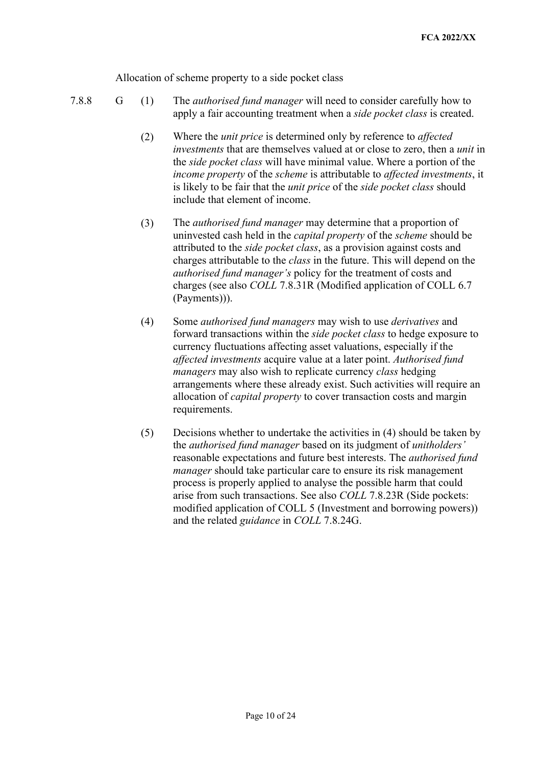Allocation of scheme property to a side pocket class

- 
- apply a fair accounting treatment when a *side pocket class* is created. 7.8.8 G (1) The *authorised fund manager* will need to consider carefully how to
	- (2) Where the *unit price* is determined only by reference to *affected investments* that are themselves valued at or close to zero, then a *unit* in *income property* of the *scheme* is attributable to *affected investments*, it is likely to be fair that the *unit price* of the *side pocket class* should the *side pocket class* will have minimal value. Where a portion of the include that element of income.
	- uninvested cash held in the *capital property* of the *scheme* should be charges attributable to the *class* in the future. This will depend on the (3) The *authorised fund manager* may determine that a proportion of attributed to the *side pocket class*, as a provision against costs and *authorised fund manager's* policy for the treatment of costs and charges (see also *COLL* 7.8.31R (Modified application of COLL 6.7 (Payments))).
	- (4) Some *authorised fund managers* may wish to use *derivatives* and forward transactions within the *side pocket class* to hedge exposure to currency fluctuations affecting asset valuations, especially if the *affected investments* acquire value at a later point. *Authorised fund managers* may also wish to replicate currency *class* hedging arrangements where these already exist. Such activities will require an allocation of *capital property* to cover transaction costs and margin requirements.
	- reasonable expectations and future best interests. The *authorised fund*  and the related *guidance* in *COLL* 7.8.24G. (5) Decisions whether to undertake the activities in (4) should be taken by the *authorised fund manager* based on its judgment of *unitholders' manager* should take particular care to ensure its risk management process is properly applied to analyse the possible harm that could arise from such transactions. See also *COLL* 7.8.23R (Side pockets: modified application of COLL 5 (Investment and borrowing powers))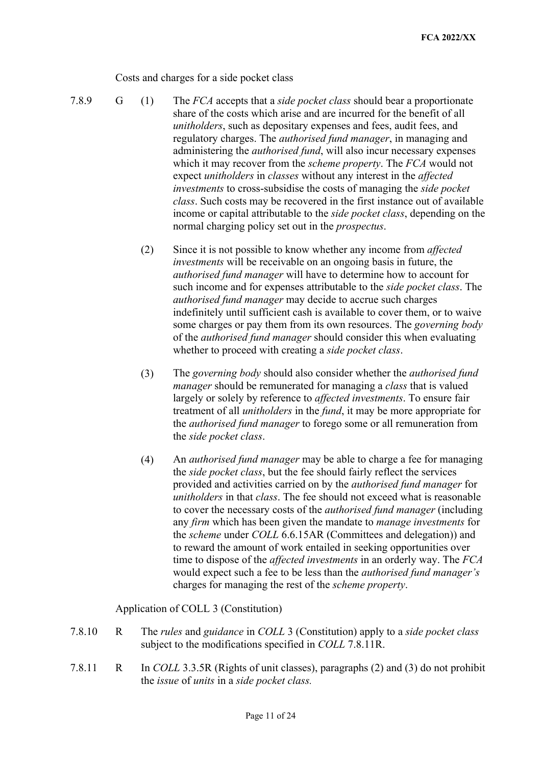Costs and charges for a side pocket class

- 
- 7.8.9 G (1) The *FCA* accepts that a *side pocket class* should bear a proportionate share of the costs which arise and are incurred for the benefit of all which it may recover from the *scheme property*. The *FCA* would not expect *unitholders* in *classes* without any interest in the *affected*  normal charging policy set out in the *prospectus*. *unitholders*, such as depositary expenses and fees, audit fees, and regulatory charges. The *authorised fund manager*, in managing and administering the *authorised fund*, will also incur necessary expenses *investments* to cross-subsidise the costs of managing the *side pocket class*. Such costs may be recovered in the first instance out of available income or capital attributable to the *side pocket class*, depending on the
	- (2) Since it is not possible to know whether any income from *affected investments* will be receivable on an ongoing basis in future, the *authorised fund manager* will have to determine how to account for such income and for expenses attributable to the *side pocket class*. The *authorised fund manager* may decide to accrue such charges indefinitely until sufficient cash is available to cover them, or to waive some charges or pay them from its own resources. The *governing body*  of the *authorised fund manager* should consider this when evaluating whether to proceed with creating a *side pocket class*.
	- (3) The *governing body* should also consider whether the *authorised fund manager* should be remunerated for managing a *class* that is valued largely or solely by reference to *affected investments*. To ensure fair treatment of all *unitholders* in the *fund*, it may be more appropriate for the *authorised fund manager* to forego some or all remuneration from the *side pocket class*.
	- the *side pocket class*, but the fee should fairly reflect the services *unitholders* in that *class*. The fee should not exceed what is reasonable time to dispose of the *affected investments* in an orderly way. The *FCA*  (4) An *authorised fund manager* may be able to charge a fee for managing provided and activities carried on by the *authorised fund manager* for to cover the necessary costs of the *authorised fund manager* (including any *firm* which has been given the mandate to *manage investments* for the *scheme* under *COLL* 6.6.15AR (Committees and delegation)) and to reward the amount of work entailed in seeking opportunities over would expect such a fee to be less than the *authorised fund manager's*  charges for managing the rest of the *scheme property*.

#### Application of COLL 3 (Constitution)

- 7.8.10 R The *rules* and *guidance* in *COLL* 3 (Constitution) apply to a *side pocket class*  subject to the modifications specified in *COLL* 7.8.11R.
- the *issue* of *units* in a *side pocket class.*  7.8.11 R In *COLL* 3.3.5R (Rights of unit classes), paragraphs (2) and (3) do not prohibit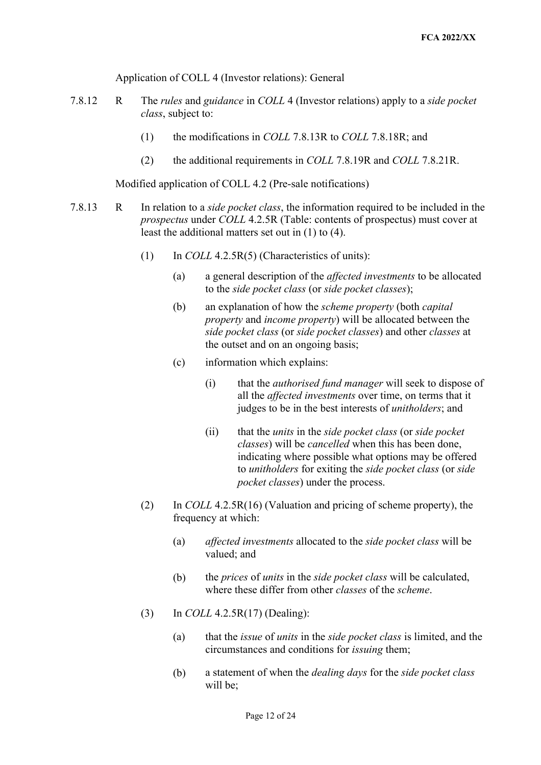Application of COLL 4 (Investor relations): General

- 7.8.12 R The *rules* and *guidance* in *COLL* 4 (Investor relations) apply to a *side pocket*  class, subject to:
	- *class*, the modifications in *COLL 7.8.13R* to *COLL 7.8.18R*; and
	- (2) the additional requirements in *COLL* 7.8.19R and *COLL* 7.8.21R.

Modified application of COLL 4.2 (Pre-sale notifications)

- *prospectus* under *COLL* 4.2.5R (Table: contents of prospectus) must cover at 7.8.13 R In relation to a *side pocket class*, the information required to be included in the least the additional matters set out in (1) to (4).
	- (1) In *COLL* 4.2.5R(5) (Characteristics of units):
		- (a) a general description of the *affected investments* to be allocated to the *side pocket class* (or *side pocket classes*);
		- (b) an explanation of how the *scheme property* (both *capital property* and *income property*) will be allocated between the *side pocket class* (or *side pocket classes*) and other *classes* at the outset and on an ongoing basis;
		- (c) information which explains:
			- (i) that the *authorised fund manager* will seek to dispose of all the *affected investments* over time, on terms that it judges to be in the best interests of *unitholders*; and
			- (ii) that the *units* in the *side pocket class* (or *side pocket classes*) will be *cancelled* when this has been done, indicating where possible what options may be offered to *unitholders* for exiting the *side pocket class* (or *side pocket classes*) under the process.
	- frequency at which: (2) In *COLL* 4.2.5R(16) (Valuation and pricing of scheme property), the
		- frequency at which: (a) *affected investments* allocated to the *side pocket class* will be valued; and
		- (b) the *prices* of *units* in the *side pocket class* will be calculated, where these differ from other *classes* of the *scheme*.
	- (3) In *COLL* 4.2.5R(17) (Dealing):
		- (a) that the *issue* of *units* in the *side pocket class* is limited, and the circumstances and conditions for *issuing* them;
		- (b) a statement of when the *dealing days* for the *side pocket class*  will be;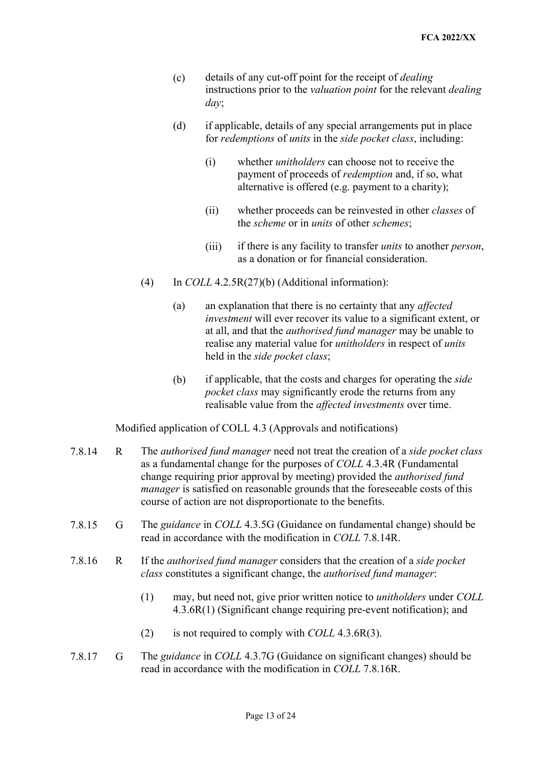- (c) details of any cut-off point for the receipt of *dealing*  instructions prior to the *valuation point* for the relevant *dealing day*;
- for *redemptions* of *units* in the *side pocket class*, including: (d) if applicable, details of any special arrangements put in place
	- (i) whether *unitholders* can choose not to receive the payment of proceeds of *redemption* and, if so, what alternative is offered (e.g. payment to a charity);
	- the *scheme* or in *units* of other *schemes*; (ii) whether proceeds can be reinvested in other *classes* of
	- (iii) if there is any facility to transfer *units* to another *person*, as a donation or for financial consideration.
- (4) In *COLL* 4.2.5R(27)(b) (Additional information):
	- held in the *side pocket class*; (a) an explanation that there is no certainty that any *affected investment* will ever recover its value to a significant extent, or at all, and that the *authorised fund manager* may be unable to realise any material value for *unitholders* in respect of *units*
	- realisable value from the *affected investments* over time. (b) if applicable, that the costs and charges for operating the *side pocket class* may significantly erode the returns from any

Modified application of COLL 4.3 (Approvals and notifications)

- *manager* is satisfied on reasonable grounds that the foreseeable costs of this 7.8.14 R The *authorised fund manager* need not treat the creation of a *side pocket class*  as a fundamental change for the purposes of *COLL* 4.3.4R (Fundamental change requiring prior approval by meeting) provided the *authorised fund*  course of action are not disproportionate to the benefits.
- 7.8.15 G The *guidance* in *COLL* 4.3.5G (Guidance on fundamental change) should be read in accordance with the modification in *COLL* 7.8.14R.
- 7.8.16 R If the *authorised fund manager* considers that the creation of a *side pocket class* constitutes a significant change, the *authorised fund manager*:
	- (1) may, but need not, give prior written notice to *unitholders* under *COLL*  4.3.6R(1) (Significant change requiring pre-event notification); and
	- (2) is not required to comply with *COLL* 4.3.6R(3).
- read in accordance with the modification in *COLL* 7.8.16R. 7.8.17 G The *guidance* in *COLL* 4.3.7G (Guidance on significant changes) should be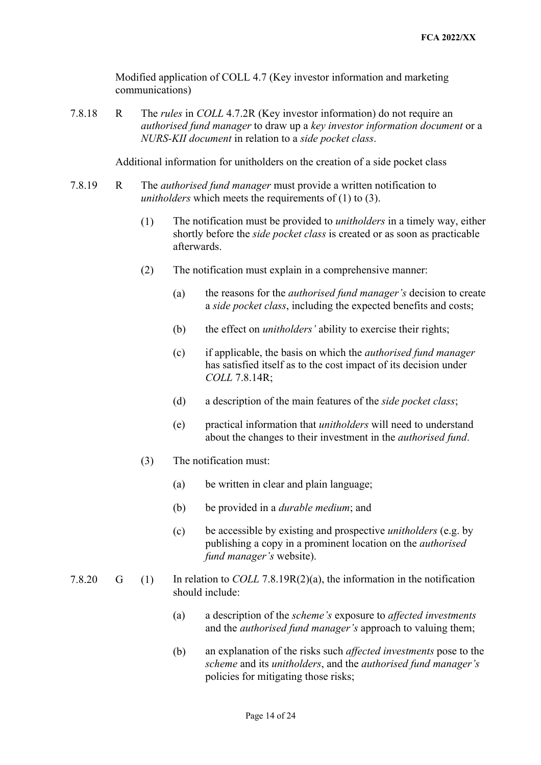Modified application of COLL 4.7 (Key investor information and marketing communications)

 *authorised fund manager* to draw up a *key investor information document* or a 7.8.18 R The *rules* in *COLL* 4.7.2R (Key investor information) do not require an *NURS-KII document* in relation to a *side pocket class*.

Additional information for unitholders on the creation of a side pocket class

- 7.8.19 R The *authorised fund manager* must provide a written notification to *unitholders* which meets the requirements of (1) to (3).
	- (1) The notification must be provided to *unitholders* in a timely way, either shortly before the *side pocket class* is created or as soon as practicable afterwards.
	- (2) The notification must explain in a comprehensive manner:
		- (a) the reasons for the *authorised fund manager's* decision to create a *side pocket class*, including the expected benefits and costs;
		- (b) the effect on *unitholders'* ability to exercise their rights;
		- (c) if applicable, the basis on which the *authorised fund manager*  has satisfied itself as to the cost impact of its decision under *COLL* 7.8.14R;
		- (d) a description of the main features of the *side pocket class*;
		- (e) practical information that *unitholders* will need to understand about the changes to their investment in the *authorised fund*.
	- (3) The notification must:
		- (a) be written in clear and plain language;
		- (b) be provided in a *durable medium*; and
		- *fund manager's* website). (c) be accessible by existing and prospective *unitholders* (e.g. by publishing a copy in a prominent location on the *authorised*
- 7.8.20 G (1) In relation to *COLL* 7.8.19R(2)(a), the information in the notification should include:
	- (a) a description of the *scheme's* exposure to *affected investments*  and the *authorised fund manager's* approach to valuing them;
	- (b) an explanation of the risks such *affected investments* pose to the *scheme* and its *unitholders*, and the *authorised fund manager's*  policies for mitigating those risks;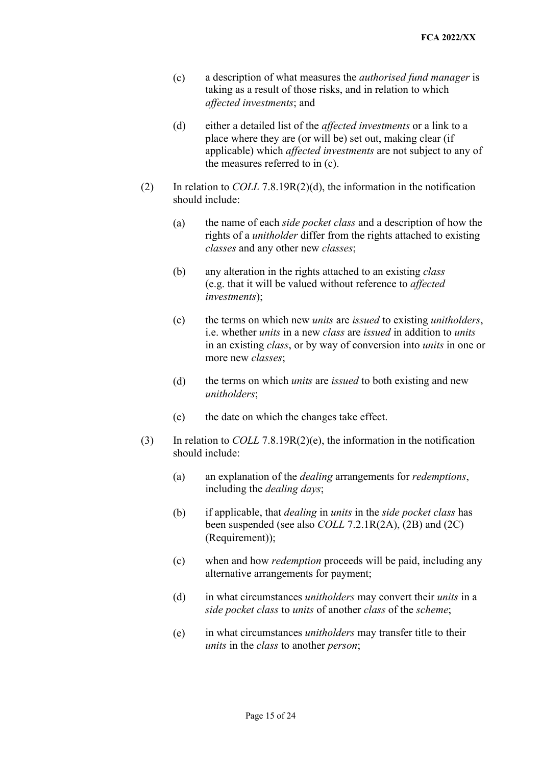- (c) a description of what measures the *authorised fund manager* is taking as a result of those risks, and in relation to which affected investments; and
- place where they are (or will be) set out, making clear (if *affected investments*; and (d) either a detailed list of the *affected investments* or a link to a applicable) which *affected investments* are not subject to any of the measures referred to in (c).
- (2) In relation to *COLL* 7.8.19R(2)(d), the information in the notification should include:
	- (a) the name of each *side pocket class* and a description of how the rights of a *unitholder* differ from the rights attached to existing *classes* and any other new *classes*;
	- (b) any alteration in the rights attached to an existing *class*  (e.g. that it will be valued without reference to *affected investments*);
	- (c) the terms on which new *units* are *issued* to existing *unitholders*, i.e. whether *units* in a new *class* are *issued* in addition to *units*  more new *classes*; in an existing *class*, or by way of conversion into *units* in one or
	- (d) the terms on which *units* are *issued* to both existing and new *unitholders*;
	- (e) the date on which the changes take effect.
- (3) In relation to *COLL* 7.8.19R(2)(e), the information in the notification should include:
	- (a) an explanation of the *dealing* arrangements for *redemptions*, including the *dealing days*;
	- (b) if applicable, that *dealing* in *units* in the *side pocket class* has been suspended (see also *COLL* 7.2.1R(2A), (2B) and (2C) (Requirement));
	- (c) when and how *redemption* proceeds will be paid, including any alternative arrangements for payment;
	- *side pocket class* to *units* of another *class* of the *scheme*; (d) in what circumstances *unitholders* may convert their *units* in a
	- (e) in what circumstances *unitholders* may transfer title to their *units* in the *class* to another *person*;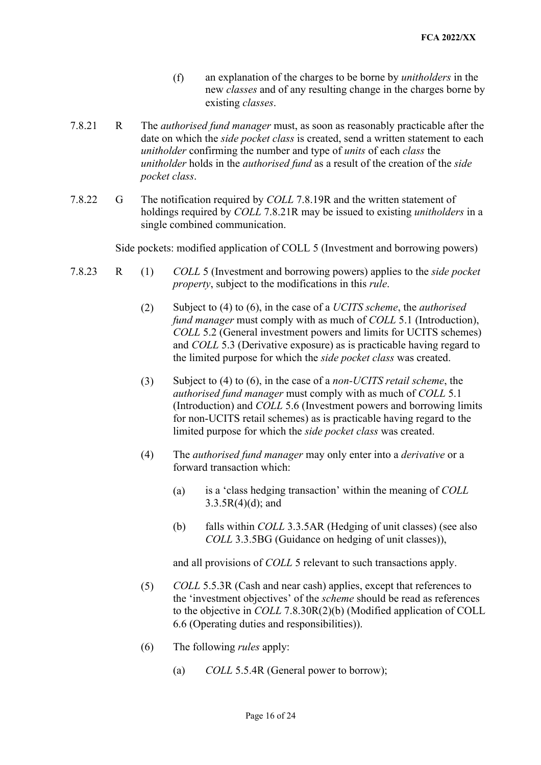- new *classes* and of any resulting change in the charges borne by (f) an explanation of the charges to be borne by *unitholders* in the existing *classes*.
- *unitholder* confirming the number and type of *units* of each *class* the *unitholder* holds in the *authorised fund* as a result of the creation of the *side*  7.8.21 R The *authorised fund manager* must, as soon as reasonably practicable after the date on which the *side pocket class* is created, send a written statement to each *pocket class*.
- holdings required by *COLL* 7.8.21R may be issued to existing *unitholders* in a 7.8.22 G The notification required by *COLL* 7.8.19R and the written statement of single combined communication.

Side pockets: modified application of COLL 5 (Investment and borrowing powers)

- *property*, subject to the modifications in this *rule*. 7.8.23 R (1) *COLL* 5 (Investment and borrowing powers) applies to the *side pocket* 
	- and *COLL* 5.3 (Derivative exposure) as is practicable having regard to (2) Subject to (4) to (6), in the case of a *UCITS scheme*, the *authorised fund manager* must comply with as much of *COLL* 5.1 (Introduction), *COLL* 5.2 (General investment powers and limits for UCITS schemes) the limited purpose for which the *side pocket class* was created.
	- (Introduction) and *COLL* 5.6 (Investment powers and borrowing limits (3) Subject to (4) to (6), in the case of a *non-UCITS retail scheme*, the *authorised fund manager* must comply with as much of *COLL* 5.1 for non-UCITS retail schemes) as is practicable having regard to the limited purpose for which the *side pocket class* was created.
	- (4) The *authorised fund manager* may only enter into a *derivative* or a forward transaction which:
		- (a) is a 'class hedging transaction' within the meaning of *COLL*   $3.3.5R(4)(d)$ ; and
		- (b) falls within *COLL* 3.3.5AR (Hedging of unit classes) (see also *COLL* 3.3.5BG (Guidance on hedging of unit classes)),

and all provisions of *COLL* 5 relevant to such transactions apply.

- the 'investment objectives' of the *scheme* should be read as references (5) *COLL* 5.5.3R (Cash and near cash) applies, except that references to to the objective in *COLL* 7.8.30R(2)(b) (Modified application of COLL 6.6 (Operating duties and responsibilities)).
- (6) The following *rules* apply:
	- (a) *COLL* 5.5.4R (General power to borrow);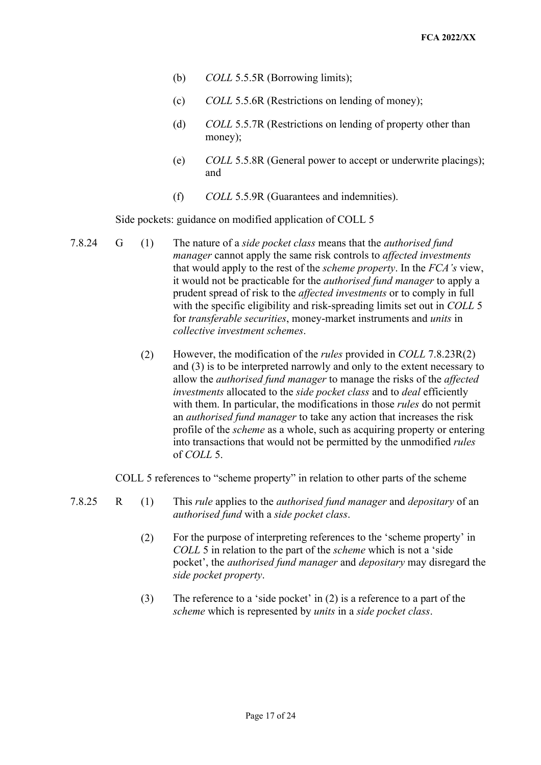- (b) *COLL* 5.5.5R (Borrowing limits);
- (c) *COLL* 5.5.6R (Restrictions on lending of money);
- (d) *COLL* 5.5.7R (Restrictions on lending of property other than money);
- (e) *COLL* 5.5.8R (General power to accept or underwrite placings); and
- (f) *COLL* 5.5.9R (Guarantees and indemnities).

Side pockets: guidance on modified application of COLL 5

- that would apply to the rest of the *scheme property*. In the *FCA's* view, 7.8.24 G (1) The nature of a *side pocket class* means that the *authorised fund manager* cannot apply the same risk controls to *affected investments*  it would not be practicable for the *authorised fund manager* to apply a prudent spread of risk to the *affected investments* or to comply in full with the specific eligibility and risk-spreading limits set out in *COLL* 5 for *transferable securities*, money-market instruments and *units* in *collective investment schemes*.
	- (2) However, the modification of the *rules* provided in *COLL* 7.8.23R(2) *investments* allocated to the *side pocket class* and to *deal* efficiently with them. In particular, the modifications in those *rules* do not permit profile of the *scheme* as a whole, such as acquiring property or entering of *COLL* 5. and (3) is to be interpreted narrowly and only to the extent necessary to allow the *authorised fund manager* to manage the risks of the *affected*  an *authorised fund manager* to take any action that increases the risk into transactions that would not be permitted by the unmodified *rules*

COLL 5 references to "scheme property" in relation to other parts of the scheme

- 7.8.25 R (1) This *rule* applies to the *authorised fund manager* and *depositary* of an *authorised fund* with a *side pocket class*.
	- *COLL* 5 in relation to the part of the *scheme* which is not a 'side pocket', the *authorised fund manager* and *depositary* may disregard the (2) For the purpose of interpreting references to the 'scheme property' in *side pocket property*.
	- (3) The reference to a 'side pocket' in (2) is a reference to a part of the *scheme* which is represented by *units* in a *side pocket class*.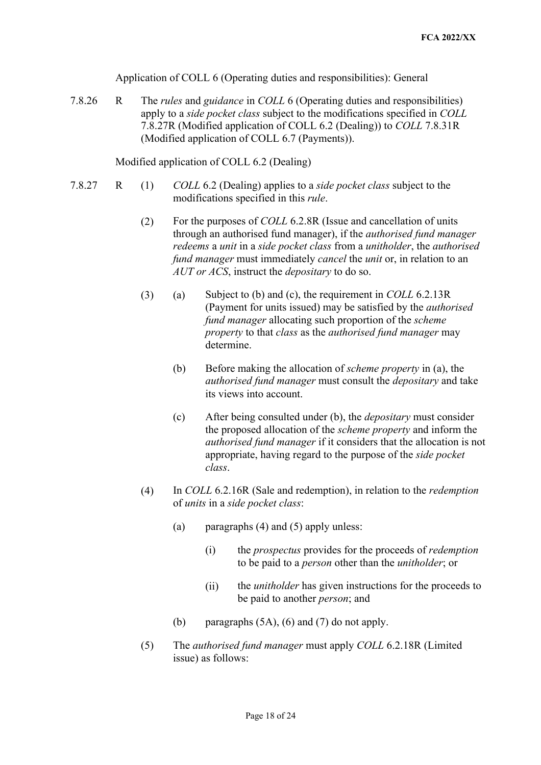Application of COLL 6 (Operating duties and responsibilities): General

 7.8.26 R The *rules* and *guidance* in *COLL* 6 (Operating duties and responsibilities) apply to a *side pocket class* subject to the modifications specified in *COLL*  7.8.27R (Modified application of COLL 6.2 (Dealing)) to *COLL* 7.8.31R (Modified application of COLL 6.7 (Payments)).

Modified application of COLL 6.2 (Dealing)

- modifications specified in this *rule*. 7.8.27 R (1) *COLL* 6.2 (Dealing) applies to a *side pocket class* subject to the
	- *redeems* a *unit* in a *side pocket class* from a *unitholder*, the *authorised fund manager* must immediately *cancel* the *unit* or, in relation to an *AUT or ACS*, instruct the *depositary* to do so. (2) For the purposes of *COLL* 6.2.8R (Issue and cancellation of units through an authorised fund manager), if the *authorised fund manager*
	- *property* to that *class* as the *authorised fund manager* may (3) (a) Subject to (b) and (c), the requirement in *COLL* 6.2.13R (Payment for units issued) may be satisfied by the *authorised fund manager* allocating such proportion of the *scheme*  determine.
		- (b) Before making the allocation of *scheme property* in (a), the *authorised fund manager* must consult the *depositary* and take its views into account.
		- (c) After being consulted under (b), the *depositary* must consider the proposed allocation of the *scheme property* and inform the *authorised fund manager* if it considers that the allocation is not appropriate, having regard to the purpose of the *side pocket class*.
	- (4) In *COLL* 6.2.16R (Sale and redemption), in relation to the *redemption*  of *units* in a *side pocket class*:
		- (a) paragraphs (4) and (5) apply unless:
			- (i) the *prospectus* provides for the proceeds of *redemption*  to be paid to a *person* other than the *unitholder*; or
			- (ii) the *unitholder* has given instructions for the proceeds to be paid to another *person*; and
		- (b) paragraphs  $(5A)$ ,  $(6)$  and  $(7)$  do not apply.
	- (5) The *authorised fund manager* must apply *COLL* 6.2.18R (Limited issue) as follows: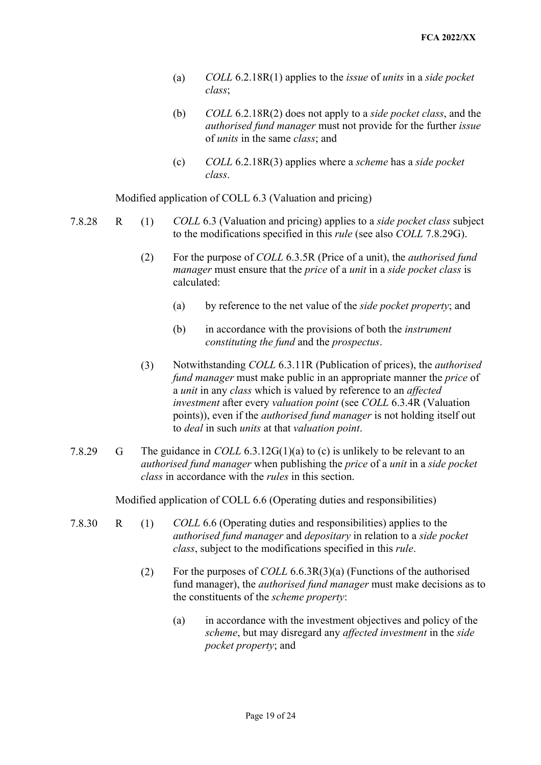- (a) *COLL* 6.2.18R(1) applies to the *issue* of *units* in a *side pocket class*;
- *authorised fund manager* must not provide for the further *issue*  of *units* in the same *class*; and (b) *COLL* 6.2.18R(2) does not apply to a *side pocket class*, and the
- (c) *COLL* 6.2.18R(3) applies where a *scheme* has a *side pocket class*.

Modified application of COLL 6.3 (Valuation and pricing)

- 7.8.28 R (1) *COLL* 6.3 (Valuation and pricing) applies to a *side pocket class* subject  to the modifications specified in this *rule* (see also *COLL* 7.8.29G).
	- (2) For the purpose of *COLL* 6.3.5R (Price of a unit), the *authorised fund manager* must ensure that the *price* of a *unit* in a *side pocket class* is calculated:
		- (a) by reference to the net value of the *side pocket property*; and
		- *constituting the fund* and the *prospectus*. (b) in accordance with the provisions of both the *instrument*
	- *fund manager* must make public in an appropriate manner the *price* of a *unit* in any *class* which is valued by reference to an *affected investment* after every *valuation point* (see *COLL* 6.3.4R (Valuation points)), even if the *authorised fund manager* is not holding itself out  to *deal* in such *units* at that *valuation point*. (3) Notwithstanding *COLL* 6.3.11R (Publication of prices), the *authorised*
- *authorised fund manager* when publishing the *price* of a *unit* in a *side pocket*  7.8.29 G The guidance in *COLL* 6.3.12G(1)(a) to (c) is unlikely to be relevant to an *class* in accordance with the *rules* in this section.

Modified application of COLL 6.6 (Operating duties and responsibilities)

- *class*, subject to the modifications specified in this *rule*. 7.8.30 R (1) *COLL* 6.6 (Operating duties and responsibilities) applies to the *authorised fund manager* and *depositary* in relation to a *side pocket* 
	- (2) For the purposes of *COLL* 6.6.3R(3)(a) (Functions of the authorised fund manager), the *authorised fund manager* must make decisions as to the constituents of the *scheme property*:
		- *scheme*, but may disregard any *affected investment* in the *side*  (a) in accordance with the investment objectives and policy of the *pocket property*; and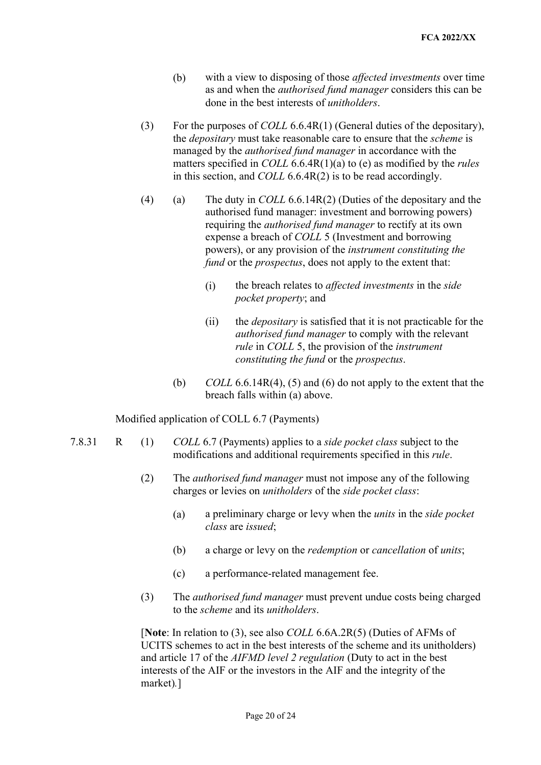- (b) with a view to disposing of those *affected investments* over time as and when the *authorised fund manager* considers this can be done in the best interests of *unitholders*.
- the *depositary* must take reasonable care to ensure that the *scheme* is (3) For the purposes of *COLL* 6.6.4R(1) (General duties of the depositary), managed by the *authorised fund manager* in accordance with the matters specified in *COLL* 6.6.4R(1)(a) to (e) as modified by the *rules*  in this section, and *COLL* 6.6.4R(2) is to be read accordingly.
- *fund* or the *prospectus*, does not apply to the extent that: (4) (a) The duty in *COLL* 6.6.14R(2) (Duties of the depositary and the authorised fund manager: investment and borrowing powers) requiring the *authorised fund manager* to rectify at its own expense a breach of *COLL* 5 (Investment and borrowing powers), or any provision of the *instrument constituting the* 
	- (i) the breach relates to *affected investments* in the *side pocket property*; and
	- (ii) the *depositary* is satisfied that it is not practicable for the *constituting the fund* or the *prospectus*. *authorised fund manager* to comply with the relevant *rule* in *COLL* 5, the provision of the *instrument*
	- (b) *COLL* 6.6.14R(4), (5) and (6) do not apply to the extent that the breach falls within (a) above.

Modified application of COLL 6.7 (Payments)

- modifications and additional requirements specified in this *rule*. 7.8.31 R (1) *COLL* 6.7 (Payments) applies to a *side pocket class* subject to the
	- charges or levies on *unitholders* of the *side pocket class*: (2) The *authorised fund manager* must not impose any of the following
		- *class* are *issued*; (a) a preliminary charge or levy when the *units* in the *side pocket*
		- (b) a charge or levy on the *redemption* or *cancellation* of *units*;
		- (c) a performance-related management fee.
	- to the *scheme* and its *unitholders*. (3) The *authorised fund manager* must prevent undue costs being charged

 interests of the AIF or the investors in the AIF and the integrity of the [**Note**: In relation to (3), see also *COLL* 6.6A.2R(5) (Duties of AFMs of UCITS schemes to act in the best interests of the scheme and its unitholders) and article 17 of the *AIFMD level 2 regulation* (Duty to act in the best market)*.*]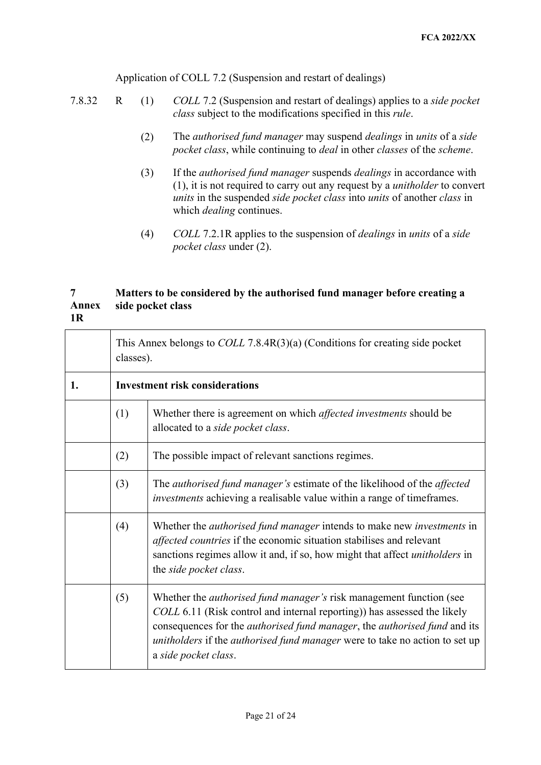Application of COLL 7.2 (Suspension and restart of dealings)

- *class* subject to the modifications specified in this *rule*. 7.8.32 R (1) *COLL* 7.2 (Suspension and restart of dealings) applies to a *side pocket* 
	- (2) The *authorised fund manager* may suspend *dealings* in *units* of a *side pocket class*, while continuing to *deal* in other *classes* of the *scheme*.
	- (1), it is not required to carry out any request by a *unitholder* to convert *units* in the suspended *side pocket class* into *units* of another *class* in which *dealing* continues. (3) If the *authorised fund manager* suspends *dealings* in accordance with
	- (4) *COLL* 7.2.1R applies to the suspension of *dealings* in *units* of a *side pocket class* under (2).

## **7 Matters to be considered by the authorised fund manager before creating a Annex side pocket class 1R**

|    | This Annex belongs to $COLL$ 7.8.4 $R(3)(a)$ (Conditions for creating side pocket<br>classes). |                                                                                                                                                                                                                                                                                                                                                           |  |  |
|----|------------------------------------------------------------------------------------------------|-----------------------------------------------------------------------------------------------------------------------------------------------------------------------------------------------------------------------------------------------------------------------------------------------------------------------------------------------------------|--|--|
| 1. | <b>Investment risk considerations</b>                                                          |                                                                                                                                                                                                                                                                                                                                                           |  |  |
|    | (1)                                                                                            | Whether there is agreement on which <i>affected investments</i> should be<br>allocated to a side pocket class.                                                                                                                                                                                                                                            |  |  |
|    | (2)                                                                                            | The possible impact of relevant sanctions regimes.                                                                                                                                                                                                                                                                                                        |  |  |
|    | (3)                                                                                            | The authorised fund manager's estimate of the likelihood of the affected<br>investments achieving a realisable value within a range of timeframes.                                                                                                                                                                                                        |  |  |
|    | (4)                                                                                            | Whether the <i>authorised fund manager</i> intends to make new <i>investments</i> in<br>affected countries if the economic situation stabilises and relevant<br>sanctions regimes allow it and, if so, how might that affect unitholders in<br>the side pocket class.                                                                                     |  |  |
|    | (5)                                                                                            | Whether the <i>authorised fund manager's</i> risk management function (see<br>COLL 6.11 (Risk control and internal reporting)) has assessed the likely<br>consequences for the <i>authorised fund manager</i> , the <i>authorised fund</i> and its<br>unitholders if the authorised fund manager were to take no action to set up<br>a side pocket class. |  |  |
|    |                                                                                                | Page 21 of 24                                                                                                                                                                                                                                                                                                                                             |  |  |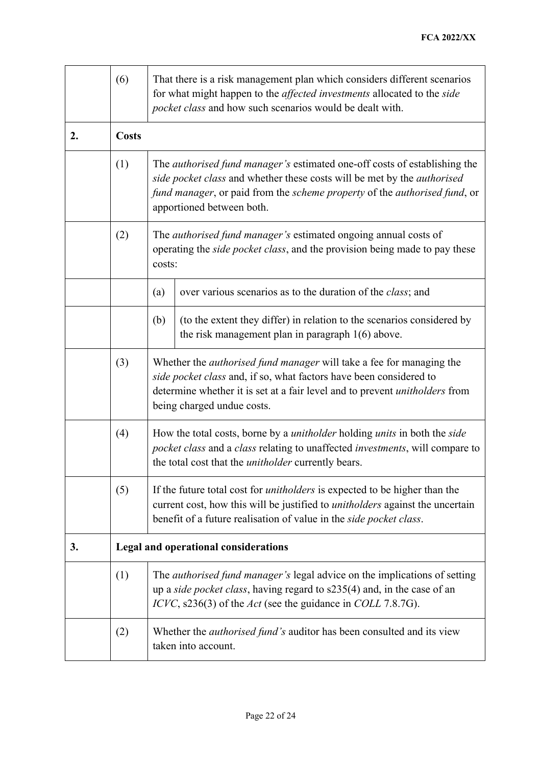|    | (6)          | That there is a risk management plan which considers different scenarios<br>for what might happen to the affected investments allocated to the side<br>pocket class and how such scenarios would be dealt with.                                                       |                                                                                                                               |  |  |  |
|----|--------------|-----------------------------------------------------------------------------------------------------------------------------------------------------------------------------------------------------------------------------------------------------------------------|-------------------------------------------------------------------------------------------------------------------------------|--|--|--|
| 2. | <b>Costs</b> |                                                                                                                                                                                                                                                                       |                                                                                                                               |  |  |  |
|    | (1)          | The <i>authorised fund manager's</i> estimated one-off costs of establishing the<br>side pocket class and whether these costs will be met by the authorised<br>fund manager, or paid from the scheme property of the authorised fund, or<br>apportioned between both. |                                                                                                                               |  |  |  |
|    | (2)          | The <i>authorised fund manager's</i> estimated ongoing annual costs of<br>operating the side pocket class, and the provision being made to pay these<br>costs:                                                                                                        |                                                                                                                               |  |  |  |
|    |              | (a)                                                                                                                                                                                                                                                                   | over various scenarios as to the duration of the <i>class</i> ; and                                                           |  |  |  |
|    |              | (b)                                                                                                                                                                                                                                                                   | (to the extent they differ) in relation to the scenarios considered by<br>the risk management plan in paragraph $1(6)$ above. |  |  |  |
|    | (3)          | Whether the <i>authorised fund manager</i> will take a fee for managing the<br>side pocket class and, if so, what factors have been considered to<br>determine whether it is set at a fair level and to prevent <i>unitholders</i> from<br>being charged undue costs. |                                                                                                                               |  |  |  |
|    | (4)          | How the total costs, borne by a <i>unitholder</i> holding <i>units</i> in both the <i>side</i><br>pocket class and a class relating to unaffected investments, will compare to<br>the total cost that the <i>unitholder</i> currently bears.                          |                                                                                                                               |  |  |  |
|    | (5)          | If the future total cost for <i>unitholders</i> is expected to be higher than the<br>current cost, how this will be justified to <i>unitholders</i> against the uncertain<br>benefit of a future realisation of value in the side pocket class.                       |                                                                                                                               |  |  |  |
| 3. |              | <b>Legal and operational considerations</b>                                                                                                                                                                                                                           |                                                                                                                               |  |  |  |
|    | (1)          | The <i>authorised fund manager's</i> legal advice on the implications of setting<br>up a side pocket class, having regard to s235(4) and, in the case of an<br>ICVC, s236(3) of the Act (see the guidance in COLL 7.8.7G).                                            |                                                                                                                               |  |  |  |
|    | (2)          | Whether the <i>authorised fund's</i> auditor has been consulted and its view<br>taken into account.                                                                                                                                                                   |                                                                                                                               |  |  |  |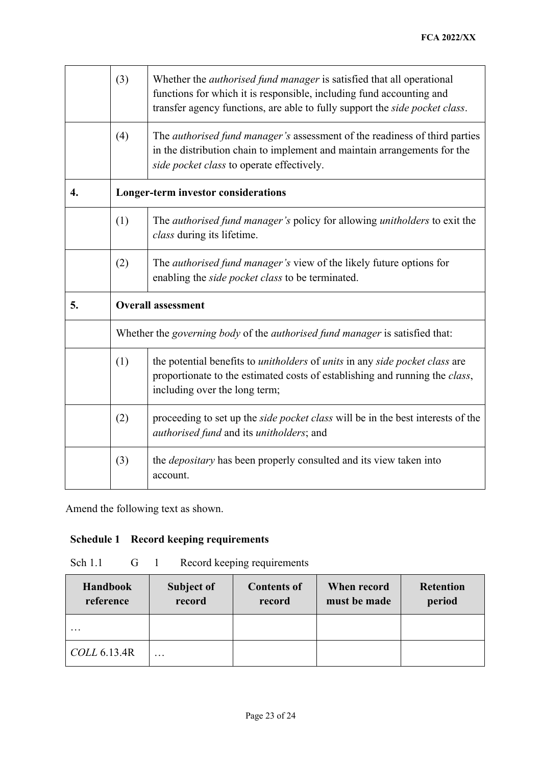|                  | (3)                                                                                                                                                                                                                     | Whether the <i>authorised fund manager</i> is satisfied that all operational<br>functions for which it is responsible, including fund accounting and<br>transfer agency functions, are able to fully support the side pocket class. |  |  |  |  |
|------------------|-------------------------------------------------------------------------------------------------------------------------------------------------------------------------------------------------------------------------|-------------------------------------------------------------------------------------------------------------------------------------------------------------------------------------------------------------------------------------|--|--|--|--|
|                  | (4)                                                                                                                                                                                                                     | The <i>authorised fund manager's</i> assessment of the readiness of third parties<br>in the distribution chain to implement and maintain arrangements for the<br>side pocket class to operate effectively.                          |  |  |  |  |
| $\overline{4}$ . |                                                                                                                                                                                                                         | Longer-term investor considerations                                                                                                                                                                                                 |  |  |  |  |
|                  | (1)                                                                                                                                                                                                                     | The <i>authorised fund manager's</i> policy for allowing <i>unitholders</i> to exit the<br>class during its lifetime.                                                                                                               |  |  |  |  |
|                  | (2)                                                                                                                                                                                                                     | The <i>authorised fund manager's</i> view of the likely future options for<br>enabling the side pocket class to be terminated.                                                                                                      |  |  |  |  |
| 5.               | <b>Overall assessment</b>                                                                                                                                                                                               |                                                                                                                                                                                                                                     |  |  |  |  |
|                  | Whether the governing body of the authorised fund manager is satisfied that:                                                                                                                                            |                                                                                                                                                                                                                                     |  |  |  |  |
|                  | (1)<br>the potential benefits to <i>unitholders</i> of <i>units</i> in any <i>side pocket class</i> are<br>proportionate to the estimated costs of establishing and running the class,<br>including over the long term; |                                                                                                                                                                                                                                     |  |  |  |  |
|                  | (2)                                                                                                                                                                                                                     | proceeding to set up the side pocket class will be in the best interests of the<br>authorised fund and its unitholders; and                                                                                                         |  |  |  |  |
|                  | (3)                                                                                                                                                                                                                     | the <i>depositary</i> has been properly consulted and its view taken into<br>account.                                                                                                                                               |  |  |  |  |

Amend the following text as shown.

## **Schedule 1 Record keeping requirements**

| Sch 1.1 |  | Record keeping requirements |
|---------|--|-----------------------------|
|         |  |                             |

| <b>Handbook</b><br>reference | <b>Subject of</b><br>record | <b>Contents of</b><br>record | When record<br>must be made | <b>Retention</b><br>period |
|------------------------------|-----------------------------|------------------------------|-----------------------------|----------------------------|
| $\cdots$                     |                             |                              |                             |                            |
| COLL 6.13.4R                 | $\cdots$                    |                              |                             |                            |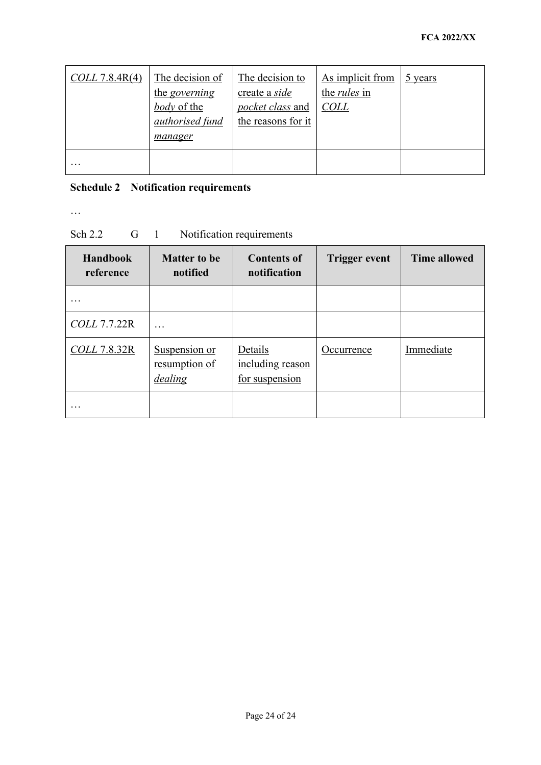| $COLL$ 7.8.4 $R(4)$ | The decision of<br>the <i>governing</i><br>body of the<br>authorised fund<br>manager | The decision to<br>create a side<br>pocket class and<br>the reasons for it | As implicit from<br>the <i>rules</i> in<br><b>COLL</b> | 5 years |
|---------------------|--------------------------------------------------------------------------------------|----------------------------------------------------------------------------|--------------------------------------------------------|---------|
| $\cdots$            |                                                                                      |                                                                            |                                                        |         |

## **Schedule 2 Notification requirements**

…

## Sch 2.2 G 1 Notification requirements

| <b>Handbook</b><br>reference | <b>Matter to be</b><br>notified           | <b>Contents of</b><br>notification            | <b>Trigger event</b> | <b>Time allowed</b> |
|------------------------------|-------------------------------------------|-----------------------------------------------|----------------------|---------------------|
|                              |                                           |                                               |                      |                     |
| <b>COLL 7.7.22R</b>          | .                                         |                                               |                      |                     |
| <b>COLL 7.8.32R</b>          | Suspension or<br>resumption of<br>dealing | Details<br>including reason<br>for suspension | Occurrence           | Immediate           |
| $\cdots$                     |                                           |                                               |                      |                     |